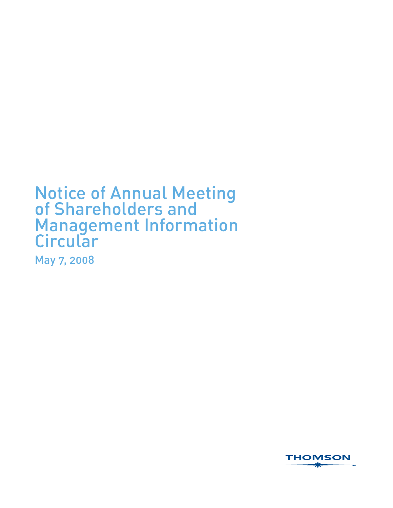# Notice of Annual Meeting of Shareholders and Management Information **Circular**

May 7, 2008

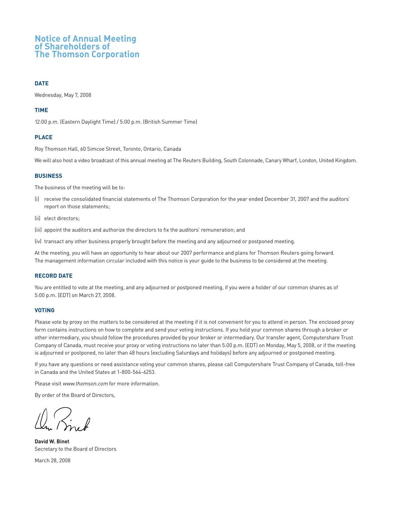## **Notice of Annual Meeting of Shareholders of The Thomson Corporation**

### **DATE**

Wednesday, May 7, 2008

### **TIME**

12:00 p.m. (Eastern Daylight Time) / 5:00 p.m. (British Summer Time)

### **PLACE**

Roy Thomson Hall, 60 Simcoe Street, Toronto, Ontario, Canada

We will also host a video broadcast of this annual meeting at The Reuters Building, South Colonnade, Canary Wharf, London, United Kingdom.

#### **BUSINESS**

The business of the meeting will be to:

- (i) receive the consolidated financial statements of The Thomson Corporation for the year ended December 31, 2007 and the auditors' report on those statements;
- (ii) elect directors;
- (iii) appoint the auditors and authorize the directors to fix the auditors' remuneration; and

(iv) transact any other business properly brought before the meeting and any adjourned or postponed meeting.

At the meeting, you will have an opportunity to hear about our 2007 performance and plans for Thomson Reuters going forward. The management information circular included with this notice is your guide to the business to be considered at the meeting.

#### **RECORD DATE**

You are entitled to vote at the meeting, and any adjourned or postponed meeting, if you were a holder of our common shares as of 5:00 p.m. (EDT) on March 27, 2008.

#### **VOTING**

Please vote by proxy on the matters to be considered at the meeting if it is not convenient for you to attend in person. The enclosed proxy form contains instructions on how to complete and send your voting instructions. If you hold your common shares through a broker or other intermediary, you should follow the procedures provided by your broker or intermediary. Our transfer agent, Computershare Trust Company of Canada, must receive your proxy or voting instructions no later than 5:00 p.m. (EDT) on Monday, May 5, 2008, or if the meeting is adjourned or postponed, no later than 48 hours (excluding Saturdays and holidays) before any adjourned or postponed meeting.

If you have any questions or need assistance voting your common shares, please call Computershare Trust Company of Canada, toll-free in Canada and the United States at 1-800-564-6253.

Please visit www.thomson.com for more information.

By order of the Board of Directors,

**David W. Binet** Secretary to the Board of Directors

March 28, 2008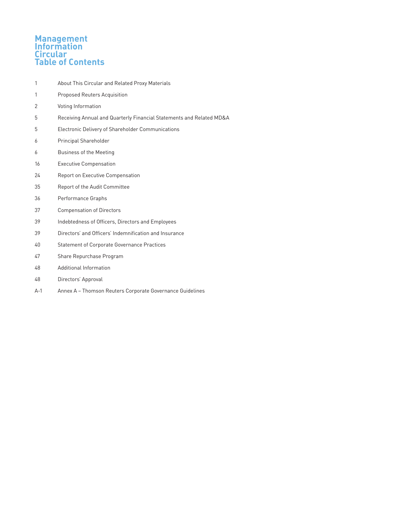## **Management Information Circular Table of Contents**

- 1 About This Circular and Related Proxy Materials
- 1 **Proposed Reuters Acquisition**
- 2 Voting Information
- 5 Receiving Annual and Quarterly Financial Statements and Related MD&A
- 5 Electronic Delivery of Shareholder Communications
- 6 Principal Shareholder
- 6 Business of the Meeting
- 16 Executive Compensation
- 24 Report on Executive Compensation
- 35 Report of the Audit Committee
- 36 Performance Graphs
- 37 Compensation of Directors
- 39 Indebtedness of Officers, Directors and Employees
- 39 Directors' and Officers' Indemnification and Insurance
- 40 Statement of Corporate Governance Practices
- 47 Share Repurchase Program
- 48 Additional Information
- 48 Directors' Approval
- A-1 Annex A Thomson Reuters Corporate Governance Guidelines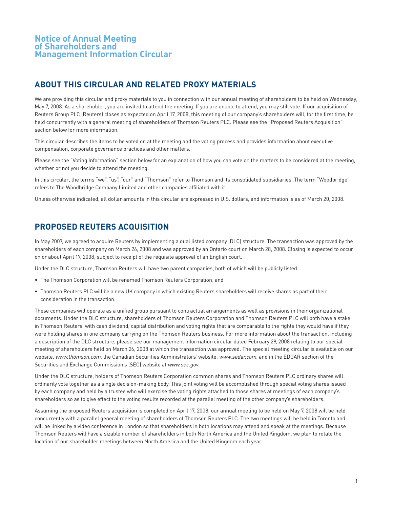## **ABOUT THIS CIRCULAR AND RELATED PROXY MATERIALS**

We are providing this circular and proxy materials to you in connection with our annual meeting of shareholders to be held on Wednesday, May 7, 2008. As a shareholder, you are invited to attend the meeting. If you are unable to attend, you may still vote. If our acquisition of Reuters Group PLC (Reuters) closes as expected on April 17, 2008, this meeting of our company's shareholders will, for the first time, be held concurrently with a general meeting of shareholders of Thomson Reuters PLC. Please see the "Proposed Reuters Acquisition" section below for more information.

This circular describes the items to be voted on at the meeting and the voting process and provides information about executive compensation, corporate governance practices and other matters.

Please see the "Voting Information" section below for an explanation of how you can vote on the matters to be considered at the meeting, whether or not you decide to attend the meeting.

In this circular, the terms "we", "us", "our" and "Thomson" refer to Thomson and its consolidated subsidiaries. The term "Woodbridge" refers to The Woodbridge Company Limited and other companies affiliated with it.

Unless otherwise indicated, all dollar amounts in this circular are expressed in U.S. dollars, and information is as of March 20, 2008.

## **PROPOSED REUTERS ACQUISITION**

In May 2007, we agreed to acquire Reuters by implementing a dual listed company (DLC) structure. The transaction was approved by the shareholders of each company on March 26, 2008 and was approved by an Ontario court on March 28, 2008. Closing is expected to occur on or about April 17, 2008, subject to receipt of the requisite approval of an English court.

Under the DLC structure, Thomson Reuters will have two parent companies, both of which will be publicly listed.

- The Thomson Corporation will be renamed Thomson Reuters Corporation; and
- Thomson Reuters PLC will be a new UK company in which existing Reuters shareholders will receive shares as part of their consideration in the transaction.

These companies will operate as a unified group pursuant to contractual arrangements as well as provisions in their organizational documents. Under the DLC structure, shareholders of Thomson Reuters Corporation and Thomson Reuters PLC will both have a stake in Thomson Reuters, with cash dividend, capital distribution and voting rights that are comparable to the rights they would have if they were holding shares in one company carrying on the Thomson Reuters business. For more information about the transaction, including a description of the DLC structure, please see our management information circular dated February 29, 2008 relating to our special meeting of shareholders held on March 26, 2008 at which the transaction was approved. The special meeting circular is available on our website, www.thomson.com, the Canadian Securities Administrators' website, www.sedar.com, and in the EDGAR section of the Securities and Exchange Commission's (SEC) website at www.sec.gov.

Under the DLC structure, holders of Thomson Reuters Corporation common shares and Thomson Reuters PLC ordinary shares will ordinarily vote together as a single decision-making body. This joint voting will be accomplished through special voting shares issued by each company and held by a trustee who will exercise the voting rights attached to those shares at meetings of each company's shareholders so as to give effect to the voting results recorded at the parallel meeting of the other company's shareholders.

Assuming the proposed Reuters acquisition is completed on April 17, 2008, our annual meeting to be held on May 7, 2008 will be held concurrently with a parallel general meeting of shareholders of Thomson Reuters PLC. The two meetings will be held in Toronto and will be linked by a video conference in London so that shareholders in both locations may attend and speak at the meetings. Because Thomson Reuters will have a sizable number of shareholders in both North America and the United Kingdom, we plan to rotate the location of our shareholder meetings between North America and the United Kingdom each year.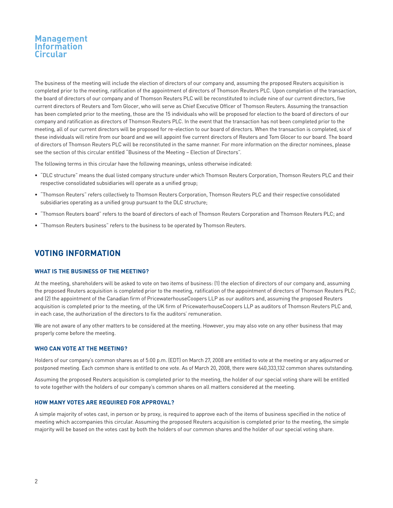The business of the meeting will include the election of directors of our company and, assuming the proposed Reuters acquisition is completed prior to the meeting, ratification of the appointment of directors of Thomson Reuters PLC. Upon completion of the transaction, the board of directors of our company and of Thomson Reuters PLC will be reconstituted to include nine of our current directors, five current directors of Reuters and Tom Glocer, who will serve as Chief Executive Officer of Thomson Reuters. Assuming the transaction has been completed prior to the meeting, those are the 15 individuals who will be proposed for election to the board of directors of our company and ratification as directors of Thomson Reuters PLC. In the event that the transaction has not been completed prior to the meeting, all of our current directors will be proposed for re-election to our board of directors. When the transaction is completed, six of these individuals will retire from our board and we will appoint five current directors of Reuters and Tom Glocer to our board. The board of directors of Thomson Reuters PLC will be reconstituted in the same manner. For more information on the director nominees, please see the section of this circular entitled "Business of the Meeting – Election of Directors".

The following terms in this circular have the following meanings, unless otherwise indicated:

- "DLC structure" means the dual listed company structure under which Thomson Reuters Corporation, Thomson Reuters PLC and their respective consolidated subsidiaries will operate as a unified group;
- "Thomson Reuters" refers collectively to Thomson Reuters Corporation, Thomson Reuters PLC and their respective consolidated subsidiaries operating as a unified group pursuant to the DLC structure;
- "Thomson Reuters board" refers to the board of directors of each of Thomson Reuters Corporation and Thomson Reuters PLC; and
- "Thomson Reuters business" refers to the business to be operated by Thomson Reuters.

## **VOTING INFORMATION**

## **WHAT IS THE BUSINESS OF THE MEETING?**

At the meeting, shareholders will be asked to vote on two items of business: (1) the election of directors of our company and, assuming the proposed Reuters acquisition is completed prior to the meeting, ratification of the appointment of directors of Thomson Reuters PLC; and (2) the appointment of the Canadian firm of PricewaterhouseCoopers LLP as our auditors and, assuming the proposed Reuters acquisition is completed prior to the meeting, of the UK firm of PricewaterhouseCoopers LLP as auditors of Thomson Reuters PLC and, in each case, the authorization of the directors to fix the auditors' remuneration.

We are not aware of any other matters to be considered at the meeting. However, you may also vote on any other business that may properly come before the meeting.

#### **WHO CAN VOTE AT THE MEETING?**

Holders of our company's common shares as of 5:00 p.m. (EDT) on March 27, 2008 are entitled to vote at the meeting or any adjourned or postponed meeting. Each common share is entitled to one vote. As of March 20, 2008, there were 640,333,132 common shares outstanding.

Assuming the proposed Reuters acquisition is completed prior to the meeting, the holder of our special voting share will be entitled to vote together with the holders of our company's common shares on all matters considered at the meeting.

### **HOW MANY VOTES ARE REQUIRED FOR APPROVAL?**

A simple majority of votes cast, in person or by proxy, is required to approve each of the items of business specified in the notice of meeting which accompanies this circular. Assuming the proposed Reuters acquisition is completed prior to the meeting, the simple majority will be based on the votes cast by both the holders of our common shares and the holder of our special voting share.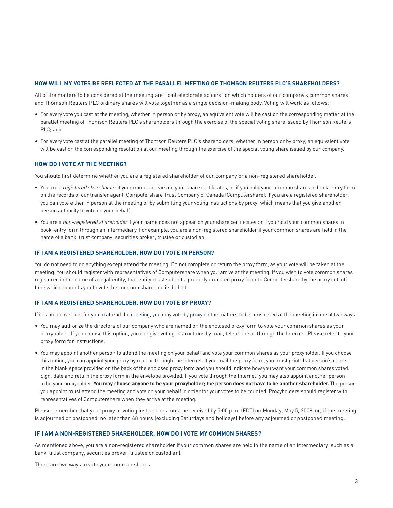#### **HOW WILL MY VOTES BE REFLECTED AT THE PARALLEL MEETING OF THOMSON REUTERS PLC'S SHAREHOLDERS?**

All of the matters to be considered at the meeting are "joint electorate actions" on which holders of our company's common shares and Thomson Reuters PLC ordinary shares will vote together as a single decision-making body. Voting will work as follows:

- For every vote you cast at the meeting, whether in person or by proxy, an equivalent vote will be cast on the corresponding matter at the parallel meeting of Thomson Reuters PLC's shareholders through the exercise of the special voting share issued by Thomson Reuters PLC; and
- For every vote cast at the parallel meeting of Thomson Reuters PLC's shareholders, whether in person or by proxy, an equivalent vote will be cast on the corresponding resolution at our meeting through the exercise of the special voting share issued by our company.

#### **HOW DO I VOTE AT THE MEETING?**

You should first determine whether you are a registered shareholder of our company or a non-registered shareholder.

- You are a registered shareholder if your name appears on your share certificates, or if you hold your common shares in book-entry form on the records of our transfer agent, Computershare Trust Company of Canada (Computershare). If you are a registered shareholder, you can vote either in person at the meeting or by submitting your voting instructions by proxy, which means that you give another person authority to vote on your behalf.
- You are a non-registered shareholder if your name does not appear on your share certificates or if you hold your common shares in book-entry form through an intermediary. For example, you are a non-registered shareholder if your common shares are held in the name of a bank, trust company, securities broker, trustee or custodian.

#### **IF I AM A REGISTERED SHAREHOLDER, HOW DO I VOTE IN PERSON?**

You do not need to do anything except attend the meeting. Do not complete or return the proxy form, as your vote will be taken at the meeting. You should register with representatives of Computershare when you arrive at the meeting. If you wish to vote common shares registered in the name of a legal entity, that entity must submit a properly executed proxy form to Computershare by the proxy cut-off time which appoints you to vote the common shares on its behalf.

### **IF I AM A REGISTERED SHAREHOLDER, HOW DO I VOTE BY PROXY?**

If it is not convenient for you to attend the meeting, you may vote by proxy on the matters to be considered at the meeting in one of two ways.

- You may authorize the directors of our company who are named on the enclosed proxy form to vote your common shares as your proxyholder. If you choose this option, you can give voting instructions by mail, telephone or through the Internet. Please refer to your proxy form for instructions.
- You may appoint another person to attend the meeting on your behalf and vote your common shares as your proxyholder. If you choose this option, you can appoint your proxy by mail or through the Internet. If you mail the proxy form, you must print that person's name in the blank space provided on the back of the enclosed proxy form and you should indicate how you want your common shares voted. Sign, date and return the proxy form in the envelope provided. If you vote through the Internet, you may also appoint another person to be your proxyholder. **You may choose anyone to be your proxyholder; the person does not have to be another shareholder.** The person you appoint must attend the meeting and vote on your behalf in order for your votes to be counted. Proxyholders should register with representatives of Computershare when they arrive at the meeting.

Please remember that your proxy or voting instructions must be received by 5:00 p.m. (EDT) on Monday, May 5, 2008, or, if the meeting is adjourned or postponed, no later than 48 hours (excluding Saturdays and holidays) before any adjourned or postponed meeting.

### **IF I AM A NON-REGISTERED SHAREHOLDER, HOW DO I VOTE MY COMMON SHARES?**

As mentioned above, you are a non-registered shareholder if your common shares are held in the name of an intermediary (such as a bank, trust company, securities broker, trustee or custodian).

There are two ways to vote your common shares.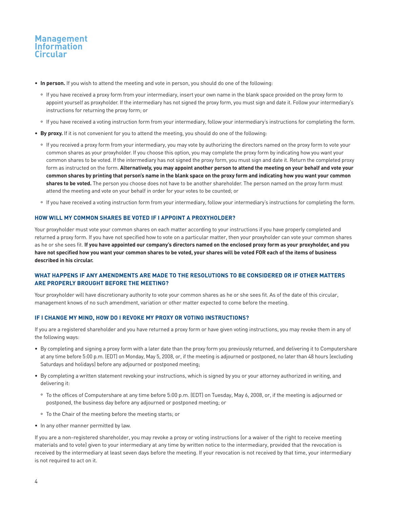

- **In person.** If you wish to attend the meeting and vote in person, you should do one of the following:
	- ° If you have received a proxy form from your intermediary, insert your own name in the blank space provided on the proxy form to appoint yourself as proxyholder. If the intermediary has not signed the proxy form, you must sign and date it. Follow your intermediary's instructions for returning the proxy form; or
	- ° If you have received a voting instruction form from your intermediary, follow your intermediary's instructions for completing the form.
- **By proxy.** If it is not convenient for you to attend the meeting, you should do one of the following:
	- ° If you received a proxy form from your intermediary, you may vote by authorizing the directors named on the proxy form to vote your common shares as your proxyholder. If you choose this option, you may complete the proxy form by indicating how you want your common shares to be voted. If the intermediary has not signed the proxy form, you must sign and date it. Return the completed proxy form as instructed on the form. **Alternatively, you may appoint another person to attend the meeting on your behalf and vote your common shares by printing that person's name in the blank space on the proxy form and indicating how you want your common shares to be voted.** The person you choose does not have to be another shareholder. The person named on the proxy form must attend the meeting and vote on your behalf in order for your votes to be counted; or
	- ° If you have received a voting instruction form from your intermediary, follow your intermediary's instructions for completing the form.

### **HOW WILL MY COMMON SHARES BE VOTED IF I APPOINT A PROXYHOLDER?**

Your proxyholder must vote your common shares on each matter according to your instructions if you have properly completed and returned a proxy form. If you have not specified how to vote on a particular matter, then your proxyholder can vote your common shares as he or she sees fit. **If you have appointed our company's directors named on the enclosed proxy form as your proxyholder, and you have not specified how you want your common shares to be voted, your shares will be voted FOR each of the items of business described in his circular.**

## **WHAT HAPPENS IF ANY AMENDMENTS ARE MADE TO THE RESOLUTIONS TO BE CONSIDERED OR IF OTHER MATTERS ARE PROPERLY BROUGHT BEFORE THE MEETING?**

Your proxyholder will have discretionary authority to vote your common shares as he or she sees fit. As of the date of this circular, management knows of no such amendment, variation or other matter expected to come before the meeting.

### **IF I CHANGE MY MIND, HOW DO I REVOKE MY PROXY OR VOTING INSTRUCTIONS?**

If you are a registered shareholder and you have returned a proxy form or have given voting instructions, you may revoke them in any of the following ways:

- By completing and signing a proxy form with a later date than the proxy form you previously returned, and delivering it to Computershare at any time before 5:00 p.m. (EDT) on Monday, May 5, 2008, or, if the meeting is adjourned or postponed, no later than 48 hours (excluding Saturdays and holidays) before any adjourned or postponed meeting;
- By completing a written statement revoking your instructions, which is signed by you or your attorney authorized in writing, and delivering it:
	- ° To the offices of Computershare at any time before 5:00 p.m. (EDT) on Tuesday, May 6, 2008, or, if the meeting is adjourned or postponed, the business day before any adjourned or postponed meeting; or
	- ° To the Chair of the meeting before the meeting starts; or
- In any other manner permitted by law.

If you are a non-registered shareholder, you may revoke a proxy or voting instructions (or a waiver of the right to receive meeting materials and to vote) given to your intermediary at any time by written notice to the intermediary, provided that the revocation is received by the intermediary at least seven days before the meeting. If your revocation is not received by that time, your intermediary is not required to act on it.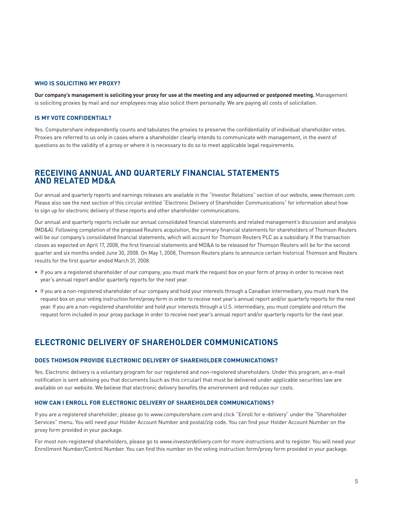#### **WHO IS SOLICITING MY PROXY?**

**Our company's management is soliciting your proxy for use at the meeting and any adjourned or postponed meeting.** Management is soliciting proxies by mail and our employees may also solicit them personally. We are paying all costs of solicitation.

### **IS MY VOTE CONFIDENTIAL?**

Yes. Computershare independently counts and tabulates the proxies to preserve the confidentiality of individual shareholder votes. Proxies are referred to us only in cases where a shareholder clearly intends to communicate with management, in the event of questions as to the validity of a proxy or where it is necessary to do so to meet applicable legal requirements.

## **RECEIVING ANNUAL AND QUARTERLY FINANCIAL STATEMENTS AND RELATED MD&A**

Our annual and quarterly reports and earnings releases are available in the "Investor Relations" section of our website, www.thomson.com. Please also see the next section of this circular entitled "Electronic Delivery of Shareholder Communications" for information about how to sign up for electronic delivery of these reports and other shareholder communications.

Our annual and quarterly reports include our annual consolidated financial statements and related management's discussion and analysis (MD&A). Following completion of the proposed Reuters acquisition, the primary financial statements for shareholders of Thomson Reuters will be our company's consolidated financial statements, which will account for Thomson Reuters PLC as a subsidiary. If the transaction closes as expected on April 17, 2008, the first financial statements and MD&A to be released for Thomson Reuters will be for the second quarter and six months ended June 30, 2008. On May 1, 2008, Thomson Reuters plans to announce certain historical Thomson and Reuters results for the first quarter ended March 31, 2008.

- If you are a registered shareholder of our company, you must mark the request box on your form of proxy in order to receive next year's annual report and/or quarterly reports for the next year.
- If you are a non-registered shareholder of our company and hold your interests through a Canadian intermediary, you must mark the request box on your voting instruction form/proxy form in order to receive next year's annual report and/or quarterly reports for the next year. If you are a non-registered shareholder and hold your interests through a U.S. intermediary, you must complete and return the request form included in your proxy package in order to receive next year's annual report and/or quarterly reports for the next year.

## **ELECTRONIC DELIVERY OF SHAREHOLDER COMMUNICATIONS**

#### **DOES THOMSON PROVIDE ELECTRONIC DELIVERY OF SHAREHOLDER COMMUNICATIONS?**

Yes. Electronic delivery is a voluntary program for our registered and non-registered shareholders. Under this program, an e-mail notification is sent advising you that documents (such as this circular) that must be delivered under applicable securities law are available on our website. We believe that electronic delivery benefits the environment and reduces our costs.

#### **HOW CAN I ENROLL FOR ELECTRONIC DELIVERY OF SHAREHOLDER COMMUNICATIONS?**

If you are a registered shareholder, please go to www.computershare.com and click "Enroll for e-delivery" under the "Shareholder Services" menu. You will need your Holder Account Number and postal/zip code. You can find your Holder Account Number on the proxy form provided in your package.

For most non-registered shareholders, please go to www.investordelivery.com for more instructions and to register. You will need your Enrollment Number/Control Number. You can find this number on the voting instruction form/proxy form provided in your package.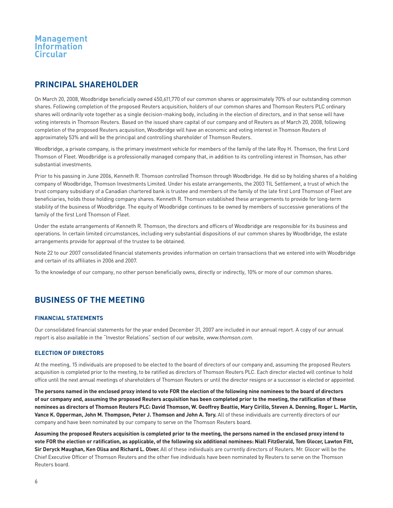## **PRINCIPAL SHAREHOLDER**

On March 20, 2008, Woodbridge beneficially owned 450,611,770 of our common shares or approximately 70% of our outstanding common shares. Following completion of the proposed Reuters acquisition, holders of our common shares and Thomson Reuters PLC ordinary shares will ordinarily vote together as a single decision-making body, including in the election of directors, and in that sense will have voting interests in Thomson Reuters. Based on the issued share capital of our company and of Reuters as of March 20, 2008, following completion of the proposed Reuters acquisition, Woodbridge will have an economic and voting interest in Thomson Reuters of approximately 53% and will be the principal and controlling shareholder of Thomson Reuters.

Woodbridge, a private company, is the primary investment vehicle for members of the family of the late Roy H. Thomson, the first Lord Thomson of Fleet. Woodbridge is a professionally managed company that, in addition to its controlling interest in Thomson, has other substantial investments.

Prior to his passing in June 2006, Kenneth R. Thomson controlled Thomson through Woodbridge. He did so by holding shares of a holding company of Woodbridge, Thomson Investments Limited. Under his estate arrangements, the 2003 TIL Settlement, a trust of which the trust company subsidiary of a Canadian chartered bank is trustee and members of the family of the late first Lord Thomson of Fleet are beneficiaries, holds those holding company shares. Kenneth R. Thomson established these arrangements to provide for long-term stability of the business of Woodbridge. The equity of Woodbridge continues to be owned by members of successive generations of the family of the first Lord Thomson of Fleet.

Under the estate arrangements of Kenneth R. Thomson, the directors and officers of Woodbridge are responsible for its business and operations. In certain limited circumstances, including very substantial dispositions of our common shares by Woodbridge, the estate arrangements provide for approval of the trustee to be obtained.

Note 22 to our 2007 consolidated financial statements provides information on certain transactions that we entered into with Woodbridge and certain of its affiliates in 2006 and 2007.

To the knowledge of our company, no other person beneficially owns, directly or indirectly, 10% or more of our common shares.

## **BUSINESS OF THE MEETING**

## **FINANCIAL STATEMENTS**

Our consolidated financial statements for the year ended December 31, 2007 are included in our annual report. A copy of our annual report is also available in the "Investor Relations" section of our website, www.thomson.com.

## **ELECTION OF DIRECTORS**

At the meeting, 15 individuals are proposed to be elected to the board of directors of our company and, assuming the proposed Reuters acquisition is completed prior to the meeting, to be ratified as directors of Thomson Reuters PLC. Each director elected will continue to hold office until the next annual meetings of shareholders of Thomson Reuters or until the director resigns or a successor is elected or appointed.

**The persons named in the enclosed proxy intend to vote FOR the election of the following nine nominees to the board of directors of our company and, assuming the proposed Reuters acquisition has been completed prior to the meeting, the ratification of these nominees as directors of Thomson Reuters PLC: David Thomson, W. Geoffrey Beattie, Mary Cirillo, Steven A. Denning, Roger L. Martin, Vance K. Opperman, John M. Thompson, Peter J. Thomson and John A. Tory.** All of these individuals are currently directors of our company and have been nominated by our company to serve on the Thomson Reuters board.

**Assuming the proposed Reuters acquisition is completed prior to the meeting, the persons named in the enclosed proxy intend to vote FOR the election or ratification, as applicable, of the following six additional nominees: Niall FitzGerald, Tom Glocer, Lawton Fitt, Sir Deryck Maughan, Ken Olisa and Richard L. Olver.** All of these individuals are currently directors of Reuters. Mr. Glocer will be the Chief Executive Officer of Thomson Reuters and the other five individuals have been nominated by Reuters to serve on the Thomson Reuters board.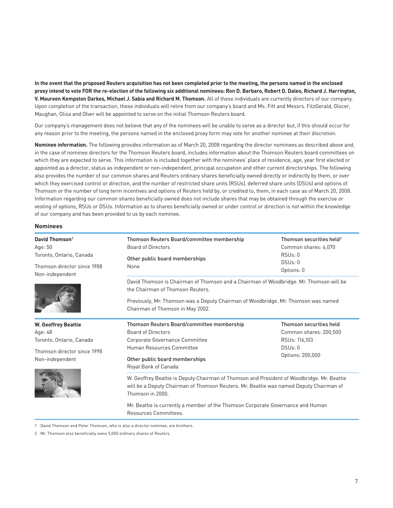**In the event that the proposed Reuters acquisition has not been completed prior to the meeting, the persons named in the enclosed proxy intend to vote FOR the re-election of the following six additional nominees: Ron D. Barbaro, Robert D. Daleo, Richard J. Harrington, V. Maureen Kempston Darkes, Michael J. Sabia and Richard M. Thomson.** All of these individuals are currently directors of our company. Upon completion of the transaction, these individuals will retire from our company's board and Ms. Fitt and Messrs. FitzGerald, Glocer, Maughan, Olisa and Olver will be appointed to serve on the initial Thomson Reuters board.

Our company's management does not believe that any of the nominees will be unable to serve as a director but, if this should occur for any reason prior to the meeting, the persons named in the enclosed proxy form may vote for another nominee at their discretion.

**Nominee information.** The following provides information as of March 20, 2008 regarding the director nominees as described above and, in the case of nominee directors for the Thomson Reuters board, includes information about the Thomson Reuters board committees on which they are expected to serve. This information is included together with the nominees' place of residence, age, year first elected or appointed as a director, status as independent or non-independent, principal occupation and other current directorships. The following also provides the number of our common shares and Reuters ordinary shares beneficially owned directly or indirectly by them, or over which they exercised control or direction, and the number of restricted share units (RSUs), deferred share units (DSUs) and options of Thomson or the number of long term incentives and options of Reuters held by, or credited to, them, in each case as of March 20, 2008. Information regarding our common shares beneficially owned does not include shares that may be obtained through the exercise or vesting of options, RSUs or DSUs. Information as to shares beneficially owned or under control or direction is not within the knowledge of our company and has been provided to us by each nominee.

#### **Nominees**

| David Thomson <sup>1</sup><br>Age: 50                                      | Thomson Reuters Board/committee membership<br><b>Board of Directors</b>                                                                                                                                                                              | Thomson securities held <sup>2</sup><br>Common shares: 6,070 |  |  |
|----------------------------------------------------------------------------|------------------------------------------------------------------------------------------------------------------------------------------------------------------------------------------------------------------------------------------------------|--------------------------------------------------------------|--|--|
| Toronto, Ontario, Canada<br>Thomson director since 1988<br>Non-independent | Other public board memberships<br>None                                                                                                                                                                                                               | RSUs: 0<br>DSUs: 0<br>Options: 0                             |  |  |
|                                                                            | David Thomson is Chairman of Thomson and a Chairman of Woodbridge. Mr. Thomson will be<br>the Chairman of Thomson Reuters.<br>Previously, Mr. Thomson was a Deputy Chairman of Woodbridge. Mr. Thomson was named<br>Chairman of Thomson in May 2002. |                                                              |  |  |
| <b>W. Geoffrey Beattie</b>                                                 | Thomson Reuters Board/committee membership                                                                                                                                                                                                           | Thomson securities held                                      |  |  |
| Age: 48                                                                    | <b>Board of Directors</b>                                                                                                                                                                                                                            | Common shares: 200,500                                       |  |  |
| Toronto, Ontario, Canada                                                   | Corporate Governance Committee                                                                                                                                                                                                                       | RSUs: 116,103                                                |  |  |
| Thomson director since 1998                                                | Human Resources Committee                                                                                                                                                                                                                            | DSUs: 0<br>Options: 200,000                                  |  |  |
| Non-independent                                                            | Other public board memberships<br>Royal Bank of Canada                                                                                                                                                                                               |                                                              |  |  |
|                                                                            | W. Geoffrey Beattie is Deputy Chairman of Thomson and President of Woodbridge. Mr. Beattie<br>will be a Deputy Chairman of Thomson Reuters. Mr. Beattie was named Deputy Chairman of<br>Thomson in 2000.                                             |                                                              |  |  |
|                                                                            | Mr. Beattie is currently a member of the Thomson Corporate Governance and Human<br>Resources Committees                                                                                                                                              |                                                              |  |  |

1 David Thomson and Peter Thomson, who is also a director nominee, are brothers.

2 Mr. Thomson also beneficially owns 5,000 ordinary shares of Reuters.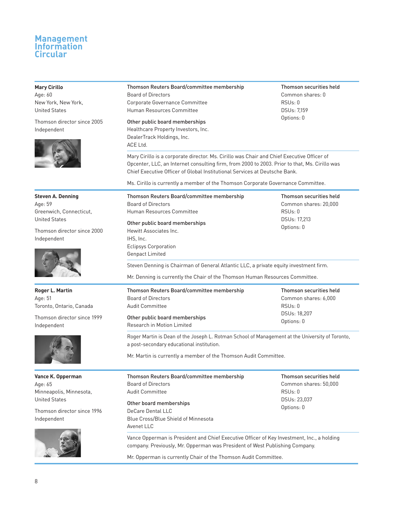## **Mary Cirillo**

Age: 60 New York, New York, United States

Thomson director since 2005 Independent



## Thomson Reuters Board/committee membership Board of Directors Corporate Governance Committee

Thomson Reuters Board/committee membership

Other public board memberships

Human Resources Committee

Healthcare Property Investors, Inc. DealerTrack Holdings, Inc. ACE Ltd.

Genpact Limited

Thomson securities held Common shares: 0 RSUs: 0 DSUs: 7,159 Options: 0

Thomson securities held

Mary Cirillo is a corporate director. Ms. Cirillo was Chair and Chief Executive Officer of Opcenter, LLC, an Internet consulting firm, from 2000 to 2003. Prior to that, Ms. Cirillo was Chief Executive Officer of Global Institutional Services at Deutsche Bank.

Ms. Cirillo is currently a member of the Thomson Corporate Governance Committee.

**Steven A. Denning** Age: 59 Greenwich, Connecticut, United States

Thomson director since 2000 Independent



**Roger L. Martin** Age: 51 Toronto, Ontario, Canada

Thomson director since 1999 Independent



**Vance K. Opperman** Age: 65 Minneapolis, Minnesota, United States

Thomson director since 1996 Independent



Board of Directors Human Resources Committee Other public board memberships Hewitt Associates Inc. IHS, Inc. Eclipsys Corporation Common shares: 20,000 RSUs: 0 DSUs: 17,213 Options: 0

Steven Denning is Chairman of General Atlantic LLC, a private equity investment firm.

Mr. Denning is currently the Chair of the Thomson Human Resources Committee.

| Thomson Reuters Board/committee membership | Thomson securities held   |  |  |
|--------------------------------------------|---------------------------|--|--|
| Board of Directors                         | Common shares: 6,000      |  |  |
| Audit Committee                            | RSUs:0                    |  |  |
|                                            | DSU <sub>s</sub> : 18.207 |  |  |
| Other public board memberships             | Options: 0                |  |  |
| Research in Motion Limited                 |                           |  |  |

Roger Martin is Dean of the Joseph L. Rotman School of Management at the University of Toronto, a post-secondary educational institution.

Mr. Martin is currently a member of the Thomson Audit Committee.

| Thomson Reuters Board/committee membership<br><b>Board of Directors</b><br>Audit Committee               | Thomson securities held<br>Common shares: 50,000<br>RSUs:0 |  |  |
|----------------------------------------------------------------------------------------------------------|------------------------------------------------------------|--|--|
| Other board memberships<br>DeCare Dental LLC<br><b>Blue Cross/Blue Shield of Minnesota</b><br>Avenet LLC | DSU <sub>s</sub> : 23,037<br>Options: 0                    |  |  |
| Vance Opperman is President and Chief Executive Officer of Key Investment, Inc., a holding               |                                                            |  |  |

Vance Opperman is President and Chief Executive Officer of Key Investment, Inc., a holding company. Previously, Mr. Opperman was President of West Publishing Company.

Mr. Opperman is currently Chair of the Thomson Audit Committee.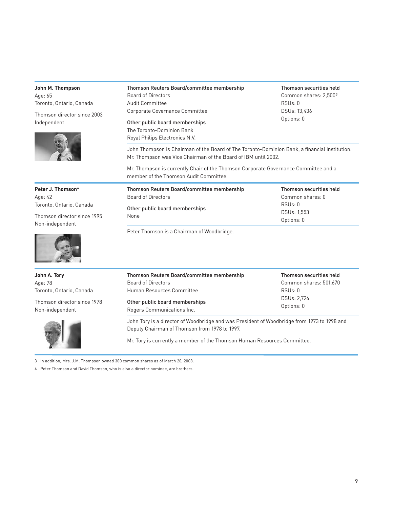| John M. Thompson<br>Age: 65<br>Toronto, Ontario, Canada<br>Thomson director since 2003<br>Independent                  | Thomson Reuters Board/committee membership<br>Thomson securities held<br><b>Board of Directors</b><br>Common shares: 2,5003<br>Audit Committee<br>RSUs: 0<br>Corporate Governance Committee<br>DSUs: 13,436<br>Options: 0<br>Other public board memberships<br>The Toronto-Dominion Bank<br>Royal Philips Electronics N.V.<br>John Thompson is Chairman of the Board of The Toronto-Dominion Bank, a financial institution.<br>Mr. Thompson was Vice Chairman of the Board of IBM until 2002. |                                                                                                  |  |  |  |  |  |
|------------------------------------------------------------------------------------------------------------------------|-----------------------------------------------------------------------------------------------------------------------------------------------------------------------------------------------------------------------------------------------------------------------------------------------------------------------------------------------------------------------------------------------------------------------------------------------------------------------------------------------|--------------------------------------------------------------------------------------------------|--|--|--|--|--|
|                                                                                                                        | member of the Thomson Audit Committee.                                                                                                                                                                                                                                                                                                                                                                                                                                                        | Mr. Thompson is currently Chair of the Thomson Corporate Governance Committee and a              |  |  |  |  |  |
| Peter J. Thomson <sup>4</sup><br>Age: 42<br>Toronto, Ontario, Canada<br>Thomson director since 1995<br>Non-independent | Thomson Reuters Board/committee membership<br><b>Board of Directors</b><br>Other public board memberships<br>None<br>Peter Thomson is a Chairman of Woodbridge.                                                                                                                                                                                                                                                                                                                               | Thomson securities held<br>Common shares: 0<br>RSU <sub>s</sub> : 0<br>DSUs: 1,553<br>Options: 0 |  |  |  |  |  |
| John A. Tory<br>Age: 78<br>Toronto, Ontario, Canada                                                                    | Thomson Reuters Board/committee membership<br><b>Board of Directors</b><br>Human Resources Committee                                                                                                                                                                                                                                                                                                                                                                                          | Thomson securities held<br>Common shares: 501,670<br>RSU <sub>s</sub> : 0                        |  |  |  |  |  |
| Thomson director since 1978<br>Non-independent                                                                         | DSUs: 2,726<br>Other public board memberships<br>Options: 0<br>Rogers Communications Inc.<br>John Tory is a director of Woodbridge and was President of Woodbridge from 1973 to 1998 and<br>Deputy Chairman of Thomson from 1978 to 1997.                                                                                                                                                                                                                                                     |                                                                                                  |  |  |  |  |  |
|                                                                                                                        | Mr. Tory is currently a member of the Thomson Human Resources Committee.                                                                                                                                                                                                                                                                                                                                                                                                                      |                                                                                                  |  |  |  |  |  |

3 In addition, Mrs. J.M. Thompson owned 300 common shares as of March 20, 2008.

4 Peter Thomson and David Thomson, who is also a director nominee, are brothers.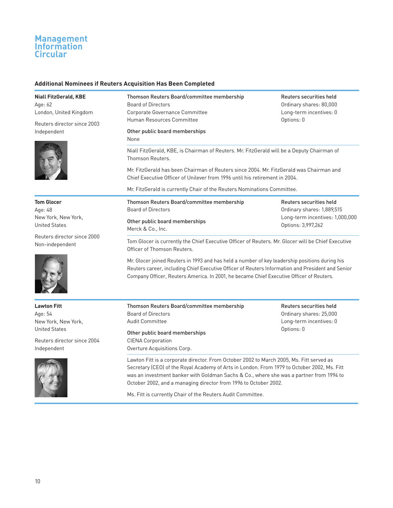### **Additional Nominees if Reuters Acquisition Has Been Completed**

**Niall FitzGerald, KBE** Age: 62 London, United Kingdom

Reuters director since 2003 Independent



**Tom Glocer** Age: 48 New York, New York, United States

Reuters director since 2000 Non-independent



**Lawton Fitt** Age: 54 New York, New York, United States

Reuters director since 2004 Independent



Thomson Reuters Board/committee membership Board of Directors Corporate Governance Committee Human Resources Committee

Other public board memberships

None

Niall FitzGerald, KBE, is Chairman of Reuters. Mr. FitzGerald will be a Deputy Chairman of Thomson Reuters.

Mr. FitzGerald has been Chairman of Reuters since 2004. Mr. FitzGerald was Chairman and Chief Executive Officer of Unilever from 1996 until his retirement in 2004.

Mr. FitzGerald is currently Chair of the Reuters Nominations Committee.

| Thomson Reuters Board/committee membership<br>Board of Directors |
|------------------------------------------------------------------|
| Other public board memberships<br>Merck & Co., Inc.              |

Reuters securities held Ordinary shares: 1,889,515 Long-term incentives: 1,000,000 Options: 3,997,262

Reuters securities held Ordinary shares: 80,000 Long-term incentives: 0

Options: 0

Tom Glocer is currently the Chief Executive Officer of Reuters. Mr. Glocer will be Chief Executive Officer of Thomson Reuters.

Mr. Glocer joined Reuters in 1993 and has held a number of key leadership positions during his Reuters career, including Chief Executive Officer of Reuters Information and President and Senior Company Officer, Reuters America. In 2001, he became Chief Executive Officer of Reuters.

Thomson Reuters Board/committee membership Board of Directors Audit Committee Other public board memberships

CIENA Corporation Overture Acquisitions Corp. Reuters securities held Ordinary shares: 25,000 Long-term incentives: 0 Options: 0

Lawton Fitt is a corporate director. From October 2002 to March 2005, Ms. Fitt served as Secretary (CEO) of the Royal Academy of Arts in London. From 1979 to October 2002, Ms. Fitt was an investment banker with Goldman Sachs & Co., where she was a partner from 1994 to October 2002, and a managing director from 1996 to October 2002.

Ms. Fitt is currently Chair of the Reuters Audit Committee.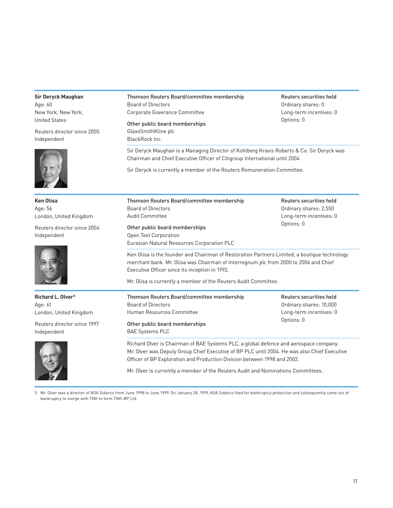#### **Sir Deryck Maughan** Age: 60 New York, New York, United States Reuters director since 2005 Independent Thomson Reuters Board/committee membership Board of Directors Corporate Goverance Committee Other public board memberships GlaxoSmithKline plc BlackRock Inc. Reuters securities held Ordinary shares: 0 Long-term incentives: 0 Options: 0 Sir Deryck Maughan is a Managing Director of Kohlberg Kravis Roberts & Co. Sir Deryck was Chairman and Chief Executive Officer of Citigroup International until 2004. Sir Deryck is currently a member of the Reuters Remuneration Committee. **Ken Olisa** Age: 56 London, United Kingdom Reuters director since 2004 Independent Thomson Reuters Board/committee membership Board of Directors Audit Committee Other public board memberships Open Text Corporation Eurasian Natural Resources Corporation PLC Reuters securities held Ordinary shares: 2,550 Long-term incentives: 0 Options: 0 Ken Olisa is the founder and Chairman of Restoration Partners Limited, a boutique technology merchant bank. Mr. Olisa was Chairman of Interregnum plc from 2000 to 2006 and Chief Executive Officer since its inception in 1992. Mr. Olisa is currently a member of the Reuters Audit Committee. **Richard L. Olver5** Age: 61 London, United Kingdom Reuters director since 1997 Independent Thomson Reuters Board/committee membership Board of Directors Human Resources Committee Other public board memberships BAE Systems PLC Reuters securities held Ordinary shares: 10,000 Long-term incentives: 0 Options: 0 Richard Olver is Chairman of BAE Systems PLC, a global defence and aerospace company. Mr. Olver was Deputy Group Chief Executive of BP PLC until 2004. He was also Chief Executive Officer of BP Exploration and Production Division between 1998 and 2002.

Mr. Olver is currently a member of the Reuters Audit and Nominations Committees.

5 Mr. Olver was a director of AOA Sidanco from June 1998 to June 1999. On January 28, 1999, AOA Sidanco filed for bankruptcy protection and subsequently came out of bankruptcy to merge with TNK to form TNK-BP Ltd.

11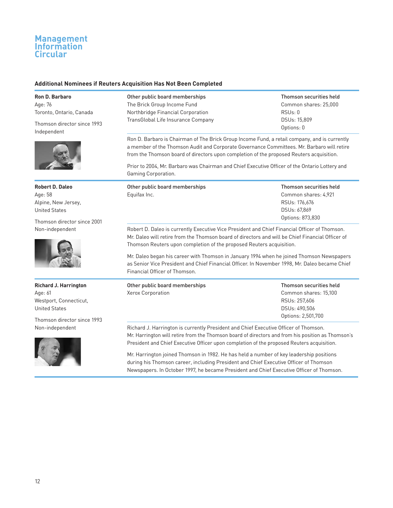### **Additional Nominees if Reuters Acquisition Has Not Been Completed**

**Ron D. Barbaro** Age: 76 Toronto, Ontario, Canada

Thomson director since 1993 Independent



**Robert D. Daleo** Age: 58 Alpine, New Jersey, United States

Thomson director since 2001 Non-independent



**Richard J. Harrington** Age: 61 Westport, Connecticut, United States

Thomson director since 1993 Non-independent



Other public board memberships The Brick Group Income Fund Northbridge Financial Corporation TransGlobal Life Insurance Company Thomson securities held Common shares: 25,000 RSUs: 0 DSUs: 15,809 Options: 0

Ron D. Barbaro is Chairman of The Brick Group Income Fund, a retail company, and is currently a member of the Thomson Audit and Corporate Governance Committees. Mr. Barbaro will retire from the Thomson board of directors upon completion of the proposed Reuters acquisition.

Prior to 2004, Mr. Barbaro was Chairman and Chief Executive Officer of the Ontario Lottery and Gaming Corporation.

| Other public board memberships | Thomson securities held |
|--------------------------------|-------------------------|
| Equifax Inc.                   | Common shares: 4.921    |
|                                | RSUs: 176.676           |
|                                | DSUs: 67.869            |
|                                | Options: 873,830        |

Robert D. Daleo is currently Executive Vice President and Chief Financial Officer of Thomson. Mr. Daleo will retire from the Thomson board of directors and will be Chief Financial Officer of Thomson Reuters upon completion of the proposed Reuters acquisition.

Mr. Daleo began his career with Thomson in January 1994 when he joined Thomson Newspapers as Senior Vice President and Chief Financial Officer. In November 1998, Mr. Daleo became Chief Financial Officer of Thomson.

| Other public board memberships | Thomson securities held |
|--------------------------------|-------------------------|
| Xerox Corporation              | Common shares: 15,100   |
|                                | RSUs: 257.606           |
|                                | DSUs: 490.506           |
|                                | Options: 2,501,700      |

Richard J. Harrington is currently President and Chief Executive Officer of Thomson. Mr. Harrington will retire from the Thomson board of directors and from his position as Thomson's President and Chief Executive Officer upon completion of the proposed Reuters acquisition.

Mr. Harrington joined Thomson in 1982. He has held a number of key leadership positions during his Thomson career, including President and Chief Executive Officer of Thomson Newspapers. In October 1997, he became President and Chief Executive Officer of Thomson.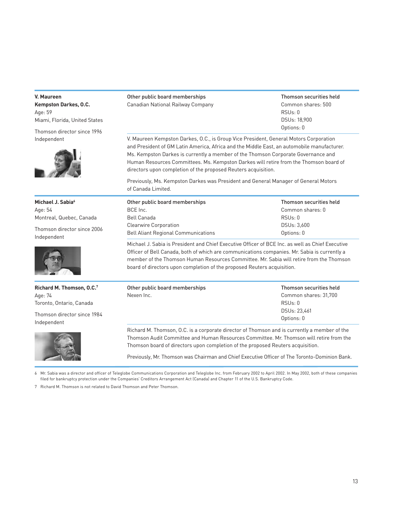#### **V. Maureen**

**Kempston Darkes, O.C.** Age: 59 Miami, Florida, United States

Thomson director since 1996 Independent



**Michael J. Sabia**<sup>6</sup> Age: 54 Montreal, Quebec, Canada

Thomson director since 2006 Independent



**Richard M. Thomson, O.C.7** Age: 74 Toronto, Ontario, Canada

Thomson director since 1984 Independent



Other public board memberships Canadian National Railway Company Thomson securities held Common shares: 500 RSUs: 0 DSUs: 18,900 Options: 0

V. Maureen Kempston Darkes, O.C., is Group Vice President, General Motors Corporation and President of GM Latin America, Africa and the Middle East, an automobile manufacturer. Ms. Kempston Darkes is currently a member of the Thomson Corporate Governance and Human Resources Committees. Ms. Kempston Darkes will retire from the Thomson board of directors upon completion of the proposed Reuters acquisition.

Previously, Ms. Kempston Darkes was President and General Manager of General Motors of Canada Limited.

| Other public board memberships             | Thomson securities held |
|--------------------------------------------|-------------------------|
| BCE Inc.                                   | Common shares: 0        |
| Bell Canada                                | RSUs:0                  |
| <b>Clearwire Corporation</b>               | DSUs: 3.600             |
| <b>Bell Aliant Regional Communications</b> | Options: 0              |

Michael J. Sabia is President and Chief Executive Officer of BCE Inc. as well as Chief Executive Officer of Bell Canada, both of which are communications companies. Mr. Sabia is currently a member of the Thomson Human Resources Committee. Mr. Sabia will retire from the Thomson board of directors upon completion of the proposed Reuters acquisition.

| Other public board memberships | Thomson securities held |  |  |
|--------------------------------|-------------------------|--|--|
| Nexen Inc.                     | Common shares: 31,700   |  |  |
|                                | RSUs: 0                 |  |  |
|                                | DSUs: 23,461            |  |  |
|                                | Options: 0              |  |  |

Richard M. Thomson, O.C. is a corporate director of Thomson and is currently a member of the Thomson Audit Committee and Human Resources Committee. Mr. Thomson will retire from the Thomson board of directors upon completion of the proposed Reuters acquisition.

Previously, Mr. Thomson was Chairman and Chief Executive Officer of The Toronto-Dominion Bank.

6 Mr. Sabia was a director and officer of Teleglobe Communications Corporation and Teleglobe Inc. from February 2002 to April 2002. In May 2002, both of these companies filed for bankruptcy protection under the Companies' Creditors Arrangement Act (Canada) and Chapter 11 of the U.S. Bankruptcy Code.

7 Richard M. Thomson is not related to David Thomson and Peter Thomson.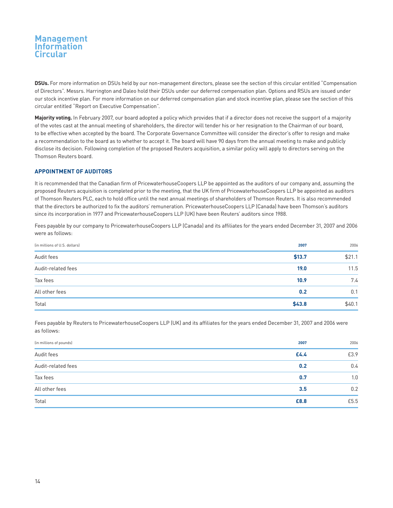**DSUs.** For more information on DSUs held by our non-management directors, please see the section of this circular entitled "Compensation of Directors". Messrs. Harrington and Daleo hold their DSUs under our deferred compensation plan. Options and RSUs are issued under our stock incentive plan. For more information on our deferred compensation plan and stock incentive plan, please see the section of this circular entitled "Report on Executive Compensation".

**Majority voting.** In February 2007, our board adopted a policy which provides that if a director does not receive the support of a majority of the votes cast at the annual meeting of shareholders, the director will tender his or her resignation to the Chairman of our board, to be effective when accepted by the board. The Corporate Governance Committee will consider the director's offer to resign and make a recommendation to the board as to whether to accept it. The board will have 90 days from the annual meeting to make and publicly disclose its decision. Following completion of the proposed Reuters acquisition, a similar policy will apply to directors serving on the Thomson Reuters board.

## **APPOINTMENT OF AUDITORS**

It is recommended that the Canadian firm of PricewaterhouseCoopers LLP be appointed as the auditors of our company and, assuming the proposed Reuters acquisition is completed prior to the meeting, that the UK firm of PricewaterhouseCoopers LLP be appointed as auditors of Thomson Reuters PLC, each to hold office until the next annual meetings of shareholders of Thomson Reuters. It is also recommended that the directors be authorized to fix the auditors' remuneration. PricewaterhouseCoopers LLP (Canada) have been Thomson's auditors since its incorporation in 1977 and PricewaterhouseCoopers LLP (UK) have been Reuters' auditors since 1988.

Fees payable by our company to PricewaterhouseCoopers LLP (Canada) and its affiliates for the years ended December 31, 2007 and 2006 were as follows:

| (in millions of U.S. dollars) | 2007   | 2006   |
|-------------------------------|--------|--------|
| Audit fees                    | \$13.7 | \$21.1 |
| Audit-related fees            | 19.0   | 11.5   |
| Tax fees                      | 10.9   | 7.4    |
| All other fees                | 0.2    | 0.1    |
| Total                         | \$43.8 | \$40.1 |

Fees payable by Reuters to PricewaterhouseCoopers LLP (UK) and its affiliates for the years ended December 31, 2007 and 2006 were as follows:

| (in millions of pounds) | 2007 | 2006 |
|-------------------------|------|------|
| Audit fees              | £4.4 | £3.9 |
| Audit-related fees      | 0.2  | 0.4  |
| Tax fees                | 0.7  | 1.0  |
| All other fees          | 3.5  | 0.2  |
| Total                   | £8.8 | £5.5 |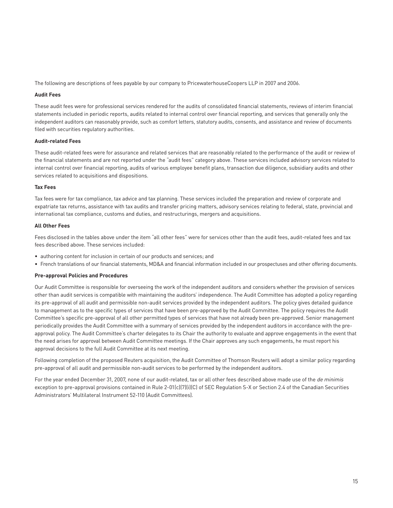The following are descriptions of fees payable by our company to PricewaterhouseCoopers LLP in 2007 and 2006.

#### **Audit Fees**

These audit fees were for professional services rendered for the audits of consolidated financial statements, reviews of interim financial statements included in periodic reports, audits related to internal control over financial reporting, and services that generally only the independent auditors can reasonably provide, such as comfort letters, statutory audits, consents, and assistance and review of documents filed with securities regulatory authorities.

### **Audit-related Fees**

These audit-related fees were for assurance and related services that are reasonably related to the performance of the audit or review of the financial statements and are not reported under the "audit fees" category above. These services included advisory services related to internal control over financial reporting, audits of various employee benefit plans, transaction due diligence, subsidiary audits and other services related to acquisitions and dispositions.

#### **Tax Fees**

Tax fees were for tax compliance, tax advice and tax planning. These services included the preparation and review of corporate and expatriate tax returns, assistance with tax audits and transfer pricing matters, advisory services relating to federal, state, provincial and international tax compliance, customs and duties, and restructurings, mergers and acquisitions.

#### **All Other Fees**

Fees disclosed in the tables above under the item "all other fees" were for services other than the audit fees, audit-related fees and tax fees described above. These services included:

- authoring content for inclusion in certain of our products and services; and
- French translations of our financial statements, MD&A and financial information included in our prospectuses and other offering documents.

#### **Pre-approval Policies and Procedures**

Our Audit Committee is responsible for overseeing the work of the independent auditors and considers whether the provision of services other than audit services is compatible with maintaining the auditors' independence. The Audit Committee has adopted a policy regarding its pre-approval of all audit and permissible non-audit services provided by the independent auditors. The policy gives detailed guidance to management as to the specific types of services that have been pre-approved by the Audit Committee. The policy requires the Audit Committee's specific pre-approval of all other permitted types of services that have not already been pre-approved. Senior management periodically provides the Audit Committee with a summary of services provided by the independent auditors in accordance with the preapproval policy. The Audit Committee's charter delegates to its Chair the authority to evaluate and approve engagements in the event that the need arises for approval between Audit Committee meetings. If the Chair approves any such engagements, he must report his approval decisions to the full Audit Committee at its next meeting.

Following completion of the proposed Reuters acquisition, the Audit Committee of Thomson Reuters will adopt a similar policy regarding pre-approval of all audit and permissible non-audit services to be performed by the independent auditors.

For the year ended December 31, 2007, none of our audit-related, tax or all other fees described above made use of the de minimis exception to pre-approval provisions contained in Rule 2-01(c)(7)(i)(C) of SEC Regulation S-X or Section 2.4 of the Canadian Securities Administrators' Multilateral Instrument 52-110 (Audit Committees).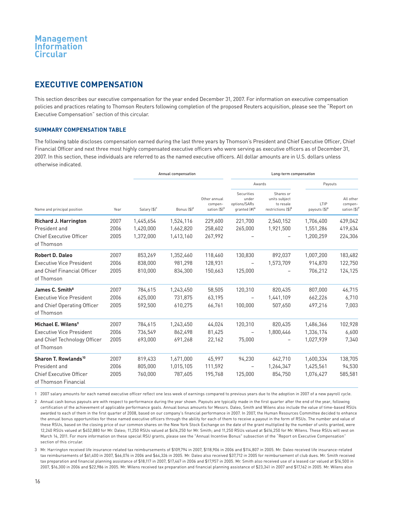## **EXECUTIVE COMPENSATION**

This section describes our executive compensation for the year ended December 31, 2007. For information on executive compensation policies and practices relating to Thomson Reuters following completion of the proposed Reuters acquisition, please see the "Report on Executive Compensation" section of this circular.

### **SUMMARY COMPENSATION TABLE**

The following table discloses compensation earned during the last three years by Thomson's President and Chief Executive Officer, Chief Financial Officer and next three most highly compensated executive officers who were serving as executive officers as of December 31, 2007. In this section, these individuals are referred to as the named executive officers. All dollar amounts are in U.S. dollars unless otherwise indicated.

|                                                        |      |                          | Annual compensation     |                                                     | Long-term compensation                                          |                                                                           |                                   |                                      |
|--------------------------------------------------------|------|--------------------------|-------------------------|-----------------------------------------------------|-----------------------------------------------------------------|---------------------------------------------------------------------------|-----------------------------------|--------------------------------------|
| Name and principal position                            |      |                          |                         |                                                     |                                                                 | Awards                                                                    | Payouts                           |                                      |
|                                                        | Year | Salary (\$) <sup>1</sup> | Bonus $(\frac{4}{3})^2$ | Other annual<br>compen-<br>sation (\$) <sup>3</sup> | Securities<br>under<br>options/SARs<br>qranted (#) <sup>4</sup> | Shares or<br>units subject<br>to resale<br>restrictions (\$) <sup>5</sup> | LTIP<br>payouts (\$) <sup>6</sup> | All other<br>compen-<br>sation (\$)7 |
| <b>Richard J. Harrington</b>                           | 2007 | 1,445,654                | 1,524,116               | 229,600                                             | 221,700                                                         | 2,540,152                                                                 | 1,706,400                         | 439,042                              |
| President and                                          | 2006 | 1,420,000                | 1,662,820               | 258,602                                             | 265,000                                                         | 1,921,500                                                                 | 1,551,286                         | 419,634                              |
| <b>Chief Executive Officer</b><br>of Thomson           | 2005 | 1,372,000                | 1,413,160               | 267,992                                             |                                                                 |                                                                           | 1.200.259                         | 224,306                              |
| <b>Robert D. Daleo</b>                                 | 2007 | 853,269                  | 1,352,460               | 118,460                                             | 130,830                                                         | 892,037                                                                   | 1,007,200                         | 183,482                              |
| <b>Executive Vice President</b>                        | 2006 | 838,000                  | 981.298                 | 128,931                                             | $\overline{\phantom{m}}$                                        | 1,573,709                                                                 | 914,870                           | 122,750                              |
| and Chief Financial Officer<br>of Thomson              | 2005 | 810,000                  | 834.300                 | 150,663                                             | 125,000                                                         |                                                                           | 706,212                           | 124,125                              |
| James C. Smith <sup>8</sup>                            | 2007 | 784,615                  | 1,243,450               | 58,505                                              | 120,310                                                         | 820.435                                                                   | 807.000                           | 46,715                               |
| <b>Executive Vice President</b>                        | 2006 | 625,000                  | 731.875                 | 63,195                                              | $\overline{\phantom{m}}$                                        | 1,441,109                                                                 | 662,226                           | 6,710                                |
| and Chief Operating Officer<br>of Thomson              | 2005 | 592,500                  | 610,275                 | 66,761                                              | 100,000                                                         | 507,650                                                                   | 497,216                           | 7,003                                |
| Michael E. Wilens <sup>9</sup>                         | 2007 | 784,615                  | 1,243,450               | 44,024                                              | 120,310                                                         | 820,435                                                                   | 1,486,366                         | 102,928                              |
| <b>Executive Vice President</b>                        | 2006 | 736,549                  | 862,498                 | 81,425                                              | $\qquad \qquad -$                                               | 1,800,446                                                                 | 1,336,174                         | 6,600                                |
| and Chief Technology Officer<br>of Thomson             | 2005 | 693,000                  | 691,268                 | 22,162                                              | 75,000                                                          |                                                                           | 1,027,939                         | 7,340                                |
| Sharon T. Rowlands <sup>10</sup>                       | 2007 | 819,433                  | 1,671,000               | 45,997                                              | 94,230                                                          | 642,710                                                                   | 1,600,334                         | 138,705                              |
| President and                                          | 2006 | 805.000                  | 1,015,105               | 111,592                                             | $\overline{\phantom{m}}$                                        | 1,264,347                                                                 | 1,425,561                         | 94,530                               |
| <b>Chief Executive Officer</b><br>of Thomson Financial | 2005 | 760,000                  | 787.605                 | 195,768                                             | 125,000                                                         | 854,750                                                                   | 1,076,427                         | 585,581                              |

1 2007 salary amounts for each named executive officer reflect one less week of earnings compared to previous years due to the adoption in 2007 of a new payroll cycle.

2 Annual cash bonus payouts are with respect to performance during the year shown. Payouts are typically made in the first quarter after the end of the year, following certification of the achievement of applicable performance goals. Annual bonus amounts for Messrs. Daleo, Smith and Wilens also include the value of time-based RSUs awarded to each of them in the first quarter of 2008, based on our company's financial performance in 2007. In 2007, the Human Resources Committee decided to enhance the annual bonus opportunities for these named executive officers through the ability for each of them to receive a payout in the form of RSUs. The number and value of these RSUs, based on the closing price of our common shares on the New York Stock Exchange on the date of the grant multiplied by the number of units granted, were 12,240 RSUs valued at \$452,880 for Mr. Daleo; 11,250 RSUs valued at \$416,250 for Mr. Smith; and 11,250 RSUs valued at \$416,250 for Mr. Wilens. These RSUs will vest on March 14, 2011. For more information on these special RSU grants, please see the "Annual Incentive Bonus" subsection of the "Report on Executive Compensation" section of this circular.

3 Mr. Harrington received life insurance-related tax reimbursements of \$109,794 in 2007, \$118,906 in 2006 and \$114,807 in 2005. Mr. Daleo received life insurance-related tax reimbursements of \$61,400 in 2007, \$66,076 in 2006 and \$64,326 in 2005. Mr. Daleo also received \$37,712 in 2005 for reimbursement of club dues. Mr. Smith received tax preparation and financial planning assistance of \$18,117 in 2007, \$17,467 in 2006 and \$17,957 in 2005. Mr. Smith also received use of a leased car valued at \$16,500 in 2007, \$16,300 in 2006 and \$22,986 in 2005. Mr. Wilens received tax preparation and financial planning assistance of \$23,341 in 2007 and \$17,162 in 2005. Mr. Wilens also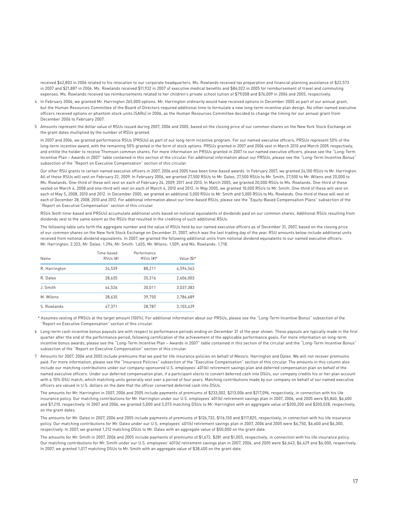received \$42,803 in 2006 related to his relocation to our corporate headquarters. Ms. Rowlands received tax preparation and financial planning assistance of \$22,573 in 2007 and \$21,887 in 2006. Ms. Rowlands received \$11,932 in 2007 of executive medical benefits and \$86,022 in 2005 for reimbursement of travel and commuting expenses. Ms. Rowlands received tax reimbursements related to her children's private school tuition of \$79,008 and \$76,009 in 2006 and 2005, respectively.

- 4 In February 2006, we granted Mr. Harrington 265,000 options. Mr. Harrington ordinarily would have received options in December 2005 as part of our annual grant, but the Human Resources Committee of the Board of Directors required additional time to formulate a new long-term incentive plan design. No other named executive officers received options or phantom stock units (SARs) in 2006, as the Human Resources Committee decided to change the timing for our annual grant from December 2006 to February 2007.
- 5 Amounts represent the dollar value of RSUs issued during 2007, 2006 and 2005, based on the closing price of our common shares on the New York Stock Exchange on the grant dates multiplied by the number of RSUs granted.

In 2007 and 2006, we granted performance RSUs (PRSUs) as part of our long-term incentive program. For our named executive officers, PRSUs represent 50% of the long-term incentive award, with the remaining 50% granted in the form of stock options. PRSUs granted in 2007 and 2006 vest in March 2010 and March 2009, respectively, and entitle the holder to receive Thomson common shares. For more information on PRSUs granted in 2007 to our named executive officers, please see the "Long-Term Incentive Plan – Awards in 2007" table contained in this section of the circular. For additional information about our PRSUs, please see the "Long-Term Incentive Bonus" subsection of the "Report on Executive Compensation" section of this circular.

Our other RSU grants to certain named executive officers in 2007, 2006 and 2005 have been time-based awards. In February 2007, we granted 24,100 RSUs to Mr. Harrington. All of these RSUs will vest on February 22, 2009. In February 2006, we granted 27,500 RSUs to Mr. Daleo, 27,500 RSUs to Mr. Smith, 27,500 to Mr. Wilens and 20,000 to Ms. Rowlands. One-third of these will vest on each of February 24, 2009, 2011 and 2013. In March 2005, we granted 20,000 RSUs to Ms. Rowlands. One-third of these vested on March 4, 2008 and one-third will vest on each of March 4, 2010 and 2012. In May 2005, we granted 10,000 RSUs to Mr. Smith. One-third of these will vest on each of May 5, 2008, 2010 and 2012. In December 2005, we granted an additional 5,000 RSUs to Mr. Smith and 5,000 RSUs to Ms. Rowlands. One-third of these will vest on each of December 28, 2008, 2010 and 2012. For additional information about our time-based RSUs, please see the "Equity-Based Compensation Plans" subsection of the "Report on Executive Compensation" section of this circular.

RSUs (both time-based and PRSUs) accumulate additional units based on notional equivalents of dividends paid on our common shares. Additional RSUs resulting from dividends vest to the same extent as the RSUs that resulted in the crediting of such additional RSUs.

The following table sets forth the aggregate number and the value of RSUs held by our named executive officers as of December 31, 2007, based on the closing price of our common shares on the New York Stock Exchange on December 31, 2007, which was the last trading day of the year. RSU amounts below include additional units received from notional dividend equivalents. In 2007, we granted the following additional units from notional dividend equivalents to our named executive officers: Mr. Harrington: 2,323; Mr. Daleo: 1,394; Mr. Smith: 1,655; Mr. Wilens: 1,509; and Ms. Rowlands: 1,718.

| Name          | Time-based<br>RSU <sub>s</sub> [#] | Performance<br>$RSUs [#]*$ | Value [\$]* |
|---------------|------------------------------------|----------------------------|-------------|
| R. Harrington | 24.539                             | 88,211                     | 4.594.563   |
| R. Daleo      | 28.635                             | 35.316                     | 2,606,003   |
| J. Smith      | 44.526                             | 30.011                     | 3.037.383   |
| M. Wilens     | 28.635                             | 39.750                     | 2.786.689   |
| S. Rowlands   | 47.371                             | 28.787                     | 3.103.439   |

\* Assumes vesting of PRSUs at the target amount (100%). For additional information about our PRSUs, please see the "Long-Term Incentive Bonus" subsection of the "Report on Executive Compensation" section of this circular.

- 6 Long-term cash incentive bonus payouts are with respect to performance periods ending on December 31 of the year shown. These payouts are typically made in the first quarter after the end of the performance period, following certification of the achievement of the applicable performance goals. For more information on long-term incentive bonus awards, please see the "Long-Term Incentive Plan – Awards in 2007" table contained in this section of the circular and the "Long-Term Incentive Bonus" subsection of the "Report on Executive Compensation" section of this circular.
- 7 Amounts for 2007, 2006 and 2005 include premiums that we paid for life insurance policies on behalf of Messrs. Harrington and Daleo. We will not recover premiums paid. For more information, please see the "Insurance Policies" subsection of the "Executive Compensation" section of this circular. The amounts in this column also include our matching contributions under our company-sponsored U.S. employees' 401(k) retirement savings plan and deferred compensation plan on behalf of the named executive officers. Under our deferred compensation plan, if a participant elects to convert deferred cash into DSUs, our company credits his or her plan account with a 10% DSU match, which matching units generally vest over a period of four years. Matching contributions made by our company on behalf of our named executive officers are valued in U.S. dollars on the date that the officer converted deferred cash into DSUs.

The amounts for Mr. Harrington in 2007, 2006 and 2005 include payments of premiums of \$233,002, \$213,006 and \$217,096, respectively, in connection with his life insurance policy. Our matching contributions for Mr. Harrington under our U.S. employees' 401(k) retirement savings plan in 2007, 2006, and 2005 were \$5,840, \$6,600 and \$7,210, respectively. In 2007 and 2006, we granted 5,000 and 5,073 matching DSUs to Mr. Harrington with an aggregate value of \$200,200 and \$200,028, respectively, on the grant dates.

The amounts for Mr. Daleo in 2007, 2006 and 2005 include payments of premiums of \$126,732, \$116,150 and \$117,825, respectively, in connection with his life insurance policy. Our matching contributions for Mr. Daleo under our U.S. employees' 401(k) retirement savings plan in 2007, 2006 and 2005 were \$6,750, \$6,600 and \$6,300, respectively. In 2007, we granted 1,212 matching DSUs to Mr. Daleo with an aggregate value of \$50,000 on the grant date.

The amounts for Mr. Smith in 2007, 2006 and 2005 include payments of premiums of \$1,672, \$281 and \$1,003, respectively, in connection with his life insurance policy. Our matching contributions for Mr. Smith under our U.S. employees' 401(k) retirement savings plan in 2007, 2006, and 2005 were \$6,643, \$6,429 and \$6,000, respectively. In 2007, we granted 1,017 matching DSUs to Mr. Smith with an aggregate value of \$38,400 on the grant date.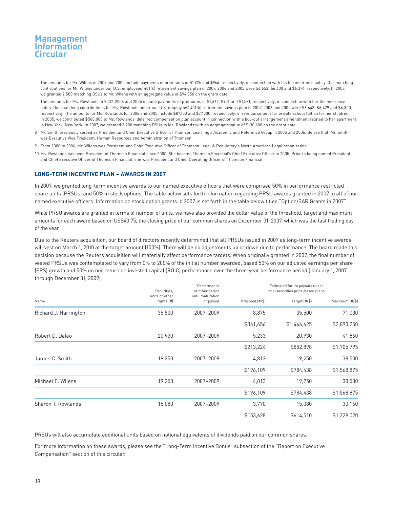The amounts for Mr. Wilens in 2007 and 2005 include payments of premiums of \$1,925 and \$966, respectively, in connection with his life insurance policy. Our matching contributions for Mr. Wilens under our U.S. employees' 401(k) retirement savings plan in 2007, 2006 and 2005 were \$6,653, \$6,600 and \$6,374, respectively. In 2007, we granted 2,500 matching DSUs to Mr. Wilens with an aggregate value of \$94,350 on the grant date.

The amounts for Ms. Rowlands in 2007, 2006 and 2005 include payments of premiums of \$1,662, \$951 and \$1,581, respectively, in connection with her life insurance policy. Our matching contributions for Ms. Rowlands under our U.S. employees' 401(k) retirement savings plan in 2007, 2006 and 2005 were \$6,643, \$6,429 and \$6,300, respectively. The amounts for Ms. Rowlands for 2006 and 2005 include \$87,150 and \$77,700, respectively, of reimbursement for private school tuition for her children. In 2005, we contributed \$500,000 to Ms. Rowlands' deferred compensation plan account in connection with a buy-out arrangement amendment related to her apartment in New York, New York. In 2007, we granted 3,200 matching DSUs to Ms. Rowlands with an aggregate value of \$130,400 on the grant date.

- 8 Mr. Smith previously served as President and Chief Executive Officer of Thomson Learning's Academic and Reference Group in 2005 and 2006. Before that, Mr. Smith was Executive Vice President, Human Resources and Administration of Thomson.
- 9 From 2000 to 2006, Mr. Wilens was President and Chief Executive Officer of Thomson Legal & Regulatory's North American Legal organization.
- 10 Ms. Rowlands has been President of Thomson Financial since 2000. She became Thomson Financial's Chief Executive Officer in 2005. Prior to being named President and Chief Executive Officer of Thomson Financial, she was President and Chief Operating Officer of Thomson Financial.

### **LONG-TERM INCENTIVE PLAN – AWARDS IN 2007**

In 2007, we granted long-term incentive awards to our named executive officers that were comprised 50% in performance restricted share units (PRSUs) and 50% in stock options. The table below sets forth information regarding PRSU awards granted in 2007 to all of our named executive officers. Information on stock option grants in 2007 is set forth in the table below titled "Option/SAR Grants in 2007".

While PRSU awards are granted in terms of number of units, we have also provided the dollar value of the threshold, target and maximum amounts for each award based on US\$40.75, the closing price of our common shares on December 31, 2007, which was the last trading day of the year.

Due to the Reuters acquisition, our board of directors recently determined that all PRSUs issued in 2007 as long-term incentive awards will vest on March 1, 2010 at the target amount (100%). There will be no adjustments up or down due to performance. The board made this decision because the Reuters acquisition will materially affect performance targets. When originally granted in 2007, the final number of vested PRSUs was contemplated to vary from 0% to 200% of the initial number awarded, based 50% on our adjusted earnings per share (EPS) growth and 50% on our return on invested capital (ROIC) performance over the three-year performance period (January 1, 2007 through December 31, 2009).

|                       | Securities.                  | Performance<br>or other period |                  | Estimated future payouts under<br>non-securities price-based plans |                |
|-----------------------|------------------------------|--------------------------------|------------------|--------------------------------------------------------------------|----------------|
| Name                  | units or other<br>rights (#) | until maturation<br>or payout  | Threshold (#/\$) | Target (#/\$)                                                      | Maximum (#/\$) |
| Richard J. Harrington | 35,500                       | 2007-2009                      | 8,875            | 35,500                                                             | 71,000         |
|                       |                              |                                | \$361,656        | \$1,446,625                                                        | \$2,893,250    |
| Robert D. Daleo       | 20,930                       | 2007-2009                      | 5,233            | 20,930                                                             | 41,860         |
|                       |                              |                                | \$213,224        | \$852,898                                                          | \$1,705,795    |
| James C. Smith        | 19,250                       | 2007-2009                      | 4,813            | 19,250                                                             | 38,500         |
|                       |                              |                                | \$196,109        | \$784,438                                                          | \$1,568,875    |
| Michael E. Wilens     | 19,250                       | 2007-2009                      | 4,813            | 19,250                                                             | 38,500         |
|                       |                              |                                | \$196,109        | \$784,438                                                          | \$1,568,875    |
| Sharon T. Rowlands    | 15,080                       | 2007-2009                      | 3,770            | 15,080                                                             | 30,160         |
|                       |                              |                                | \$153,628        | \$614,510                                                          | \$1,229,020    |
|                       |                              |                                |                  |                                                                    |                |

PRSUs will also accumulate additional units based on notional equivalents of dividends paid on our common shares.

For more information on these awards, please see the "Long-Term Incentive Bonus" subsection of the "Report on Executive Compensation" section of this circular.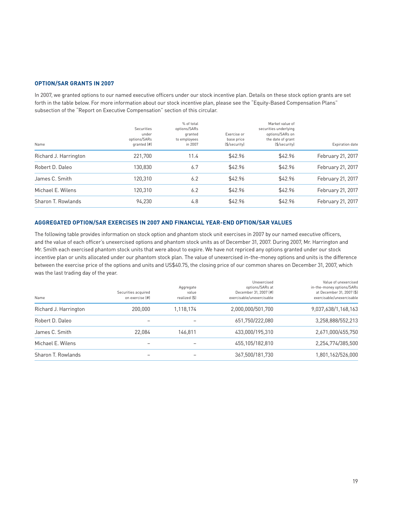### **OPTION/SAR GRANTS IN 2007**

In 2007, we granted options to our named executive officers under our stock incentive plan. Details on these stock option grants are set forth in the table below. For more information about our stock incentive plan, please see the "Equity-Based Compensation Plans" subsection of the "Report on Executive Compensation" section of this circular.

| Name                  | <b>Securities</b><br>under<br>options/SARs<br>qranted (#) | % of total<br>options/SARs<br>granted<br>to employees<br>in 2007 | Exercise or<br>base price<br>(\$/security) | Market value of<br>securities underlying<br>options/SARs on<br>the date of grant<br>(\$/security) | <b>Expiration date</b> |
|-----------------------|-----------------------------------------------------------|------------------------------------------------------------------|--------------------------------------------|---------------------------------------------------------------------------------------------------|------------------------|
| Richard J. Harrington | 221.700                                                   | 11.4                                                             | \$42.96                                    | \$42.96                                                                                           | February 21, 2017      |
| Robert D. Daleo       | 130.830                                                   | 6.7                                                              | \$42.96                                    | \$42.96                                                                                           | February 21, 2017      |
| James C. Smith        | 120.310                                                   | 6.2                                                              | \$42.96                                    | \$42.96                                                                                           | February 21, 2017      |
| Michael E. Wilens     | 120.310                                                   | 6.2                                                              | \$42.96                                    | \$42.96                                                                                           | February 21, 2017      |
| Sharon T. Rowlands    | 94.230                                                    | 4.8                                                              | \$42.96                                    | \$42.96                                                                                           | February 21, 2017      |

## **AGGREGATED OPTION/SAR EXERCISES IN 2007 AND FINANCIAL YEAR-END OPTION/SAR VALUES**

The following table provides information on stock option and phantom stock unit exercises in 2007 by our named executive officers, and the value of each officer's unexercised options and phantom stock units as of December 31, 2007. During 2007, Mr. Harrington and Mr. Smith each exercised phantom stock units that were about to expire. We have not repriced any options granted under our stock incentive plan or units allocated under our phantom stock plan. The value of unexercised in-the-money options and units is the difference between the exercise price of the options and units and US\$40.75, the closing price of our common shares on December 31, 2007, which was the last trading day of the year.

| Name                  | Securities acquired<br>on exercise [#] | Aggregate<br>value<br>realized [\$] | Unexercised<br>options/SARs at<br>December 31, 2007 [#]<br>exercisable/unexercisable | Value of unexercised<br>in-the-money options/SARs<br>at December 31, 2007 (\$)<br>exercisable/unexercisable |
|-----------------------|----------------------------------------|-------------------------------------|--------------------------------------------------------------------------------------|-------------------------------------------------------------------------------------------------------------|
| Richard J. Harrington | 200,000                                | 1,118,174                           | 2,000,000/501,700                                                                    | 9.037.638/1.168.163                                                                                         |
| Robert D. Daleo       |                                        |                                     | 651,750/222,080                                                                      | 3,258,888/552,213                                                                                           |
| James C. Smith        | 22.084                                 | 146.811                             | 433,000/195,310                                                                      | 2,671,000/455,750                                                                                           |
| Michael E. Wilens     | -                                      |                                     | 455,105/182,810                                                                      | 2,254,774/385,500                                                                                           |
| Sharon T. Rowlands    |                                        |                                     | 367,500/181,730                                                                      | 1,801,162/526,000                                                                                           |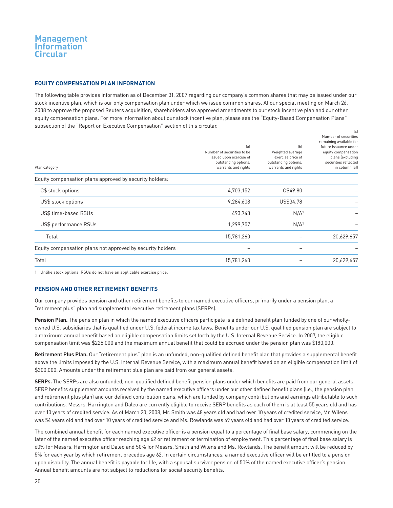#### **EQUITY COMPENSATION PLAN INFORMATION**

The following table provides information as of December 31, 2007 regarding our company's common shares that may be issued under our stock incentive plan, which is our only compensation plan under which we issue common shares. At our special meeting on March 26, 2008 to approve the proposed Reuters acquisition, shareholders also approved amendments to our stock incentive plan and our other equity compensation plans. For more information about our stock incentive plan, please see the "Equity-Based Compensation Plans" subsection of the "Report on Executive Compensation" section of this circular.  $\mathcal{L}$ 

| Plan category                                              | (a)<br>Number of securities to be<br>issued upon exercise of<br>outstanding options,<br>warrants and rights | (b)<br>Weighted average<br>exercise price of<br>outstanding options,<br>warrants and rights | $\sim$<br>Number of securities<br>remaining available for<br>future issuance under<br>equity compensation<br>plans (excluding<br>securities reflected<br>in column (a)) |
|------------------------------------------------------------|-------------------------------------------------------------------------------------------------------------|---------------------------------------------------------------------------------------------|-------------------------------------------------------------------------------------------------------------------------------------------------------------------------|
| Equity compensation plans approved by security holders:    |                                                                                                             |                                                                                             |                                                                                                                                                                         |
| C\$ stock options                                          | 4,703,152                                                                                                   | C\$49.80                                                                                    |                                                                                                                                                                         |
| US\$ stock options                                         | 9,284,608                                                                                                   | US\$34.78                                                                                   |                                                                                                                                                                         |
| US\$ time-based RSUs                                       | 493,743                                                                                                     | N/A <sup>1</sup>                                                                            |                                                                                                                                                                         |
| US\$ performance RSUs                                      | 1,299,757                                                                                                   | N/A <sup>1</sup>                                                                            |                                                                                                                                                                         |
| Total                                                      | 15,781,260                                                                                                  |                                                                                             | 20,629,657                                                                                                                                                              |
| Equity compensation plans not approved by security holders |                                                                                                             |                                                                                             |                                                                                                                                                                         |
| Total                                                      | 15,781,260                                                                                                  |                                                                                             | 20,629,657                                                                                                                                                              |

1 Unlike stock options, RSUs do not have an applicable exercise price.

### **PENSION AND OTHER RETIREMENT BENEFITS**

Our company provides pension and other retirement benefits to our named executive officers, primarily under a pension plan, a "retirement plus" plan and supplemental executive retirement plans (SERPs).

**Pension Plan.** The pension plan in which the named executive officers participate is a defined benefit plan funded by one of our whollyowned U.S. subsidiaries that is qualified under U.S. federal income tax laws. Benefits under our U.S. qualified pension plan are subject to a maximum annual benefit based on eligible compensation limits set forth by the U.S. Internal Revenue Service. In 2007, the eligible compensation limit was \$225,000 and the maximum annual benefit that could be accrued under the pension plan was \$180,000.

**Retirement Plus Plan.** Our "retirement plus" plan is an unfunded, non-qualified defined benefit plan that provides a supplemental benefit above the limits imposed by the U.S. Internal Revenue Service, with a maximum annual benefit based on an eligible compensation limit of \$300,000. Amounts under the retirement plus plan are paid from our general assets.

**SERPs.** The SERPs are also unfunded, non-qualified defined benefit pension plans under which benefits are paid from our general assets. SERP benefits supplement amounts received by the named executive officers under our other defined benefit plans (i.e., the pension plan and retirement plus plan) and our defined contribution plans, which are funded by company contributions and earnings attributable to such contributions. Messrs. Harrington and Daleo are currently eligible to receive SERP benefits as each of them is at least 55 years old and has over 10 years of credited service. As of March 20, 2008, Mr. Smith was 48 years old and had over 10 years of credited service, Mr. Wilens was 54 years old and had over 10 years of credited service and Ms. Rowlands was 49 years old and had over 10 years of credited service.

The combined annual benefit for each named executive officer is a pension equal to a percentage of final base salary, commencing on the later of the named executive officer reaching age 62 or retirement or termination of employment. This percentage of final base salary is 60% for Messrs. Harrington and Daleo and 50% for Messrs. Smith and Wilens and Ms. Rowlands. The benefit amount will be reduced by 5% for each year by which retirement precedes age 62. In certain circumstances, a named executive officer will be entitled to a pension upon disability. The annual benefit is payable for life, with a spousal survivor pension of 50% of the named executive officer's pension. Annual benefit amounts are not subject to reductions for social security benefits.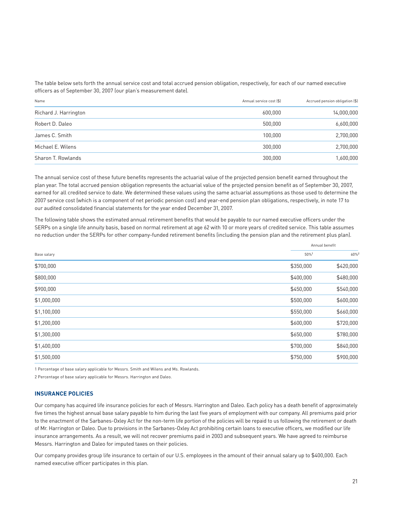The table below sets forth the annual service cost and total accrued pension obligation, respectively, for each of our named executive officers as of September 30, 2007 (our plan's measurement date).

| Name                  | Annual service cost [\$] | Accrued pension obligation (\$) |
|-----------------------|--------------------------|---------------------------------|
| Richard J. Harrington | 600,000                  | 14,000,000                      |
| Robert D. Daleo       | 500.000                  | 6,600,000                       |
| James C. Smith        | 100.000                  | 2,700,000                       |
| Michael E. Wilens     | 300.000                  | 2,700,000                       |
| Sharon T. Rowlands    | 300,000                  | 1,600,000                       |

The annual service cost of these future benefits represents the actuarial value of the projected pension benefit earned throughout the plan year. The total accrued pension obligation represents the actuarial value of the projected pension benefit as of September 30, 2007, earned for all credited service to date. We determined these values using the same actuarial assumptions as those used to determine the 2007 service cost (which is a component of net periodic pension cost) and year-end pension plan obligations, respectively, in note 17 to our audited consolidated financial statements for the year ended December 31, 2007.

The following table shows the estimated annual retirement benefits that would be payable to our named executive officers under the SERPs on a single life annuity basis, based on normal retirement at age 62 with 10 or more years of credited service. This table assumes no reduction under the SERPs for other company-funded retirement benefits (including the pension plan and the retirement plus plan).

|             | Annual benefit |                  |
|-------------|----------------|------------------|
| Base salary | 50%1           | 60% <sup>2</sup> |
| \$700,000   | \$350,000      | \$420,000        |
| \$800,000   | \$400,000      | \$480,000        |
| \$900,000   | \$450,000      | \$540,000        |
| \$1,000,000 | \$500,000      | \$600,000        |
| \$1,100,000 | \$550,000      | \$660,000        |
| \$1,200,000 | \$600,000      | \$720,000        |
| \$1,300,000 | \$650,000      | \$780,000        |
| \$1,400,000 | \$700,000      | \$840,000        |
| \$1,500,000 | \$750,000      | \$900,000        |

1 Percentage of base salary applicable for Messrs. Smith and Wilens and Ms. Rowlands.

2 Percentage of base salary applicable for Messrs. Harrington and Daleo.

### **INSURANCE POLICIES**

Our company has acquired life insurance policies for each of Messrs. Harrington and Daleo. Each policy has a death benefit of approximately five times the highest annual base salary payable to him during the last five years of employment with our company. All premiums paid prior to the enactment of the Sarbanes-Oxley Act for the non-term life portion of the policies will be repaid to us following the retirement or death of Mr. Harrington or Daleo. Due to provisions in the Sarbanes-Oxley Act prohibiting certain loans to executive officers, we modified our life insurance arrangements. As a result, we will not recover premiums paid in 2003 and subsequent years. We have agreed to reimburse Messrs. Harrington and Daleo for imputed taxes on their policies.

Our company provides group life insurance to certain of our U.S. employees in the amount of their annual salary up to \$400,000. Each named executive officer participates in this plan.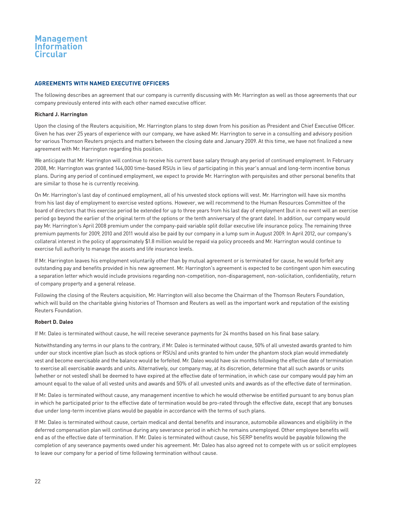### **AGREEMENTS WITH NAMED EXECUTIVE OFFICERS**

The following describes an agreement that our company is currently discussing with Mr. Harrington as well as those agreements that our company previously entered into with each other named executive officer.

#### **Richard J. Harrington**

Upon the closing of the Reuters acquisition, Mr. Harrington plans to step down from his position as President and Chief Executive Officer. Given he has over 25 years of experience with our company, we have asked Mr. Harrington to serve in a consulting and advisory position for various Thomson Reuters projects and matters between the closing date and January 2009. At this time, we have not finalized a new agreement with Mr. Harrington regarding this position.

We anticipate that Mr. Harrington will continue to receive his current base salary through any period of continued employment. In February 2008, Mr. Harrington was granted 144,000 time-based RSUs in lieu of participating in this year's annual and long-term incentive bonus plans. During any period of continued employment, we expect to provide Mr. Harrington with perquisites and other personal benefits that are similar to those he is currently receiving.

On Mr. Harrington's last day of continued employment, all of his unvested stock options will vest. Mr. Harrington will have six months from his last day of employment to exercise vested options. However, we will recommend to the Human Resources Committee of the board of directors that this exercise period be extended for up to three years from his last day of employment (but in no event will an exercise period go beyond the earlier of the original term of the options or the tenth anniversary of the grant date). In addition, our company would pay Mr. Harrington's April 2008 premium under the company-paid variable split dollar executive life insurance policy. The remaining three premium payments for 2009, 2010 and 2011 would also be paid by our company in a lump sum in August 2009. In April 2012, our company's collateral interest in the policy of approximately \$1.8 million would be repaid via policy proceeds and Mr. Harrington would continue to exercise full authority to manage the assets and life insurance levels.

If Mr. Harrington leaves his employment voluntarily other than by mutual agreement or is terminated for cause, he would forfeit any outstanding pay and benefits provided in his new agreement. Mr. Harrington's agreement is expected to be contingent upon him executing a separation letter which would include provisions regarding non-competition, non-disparagement, non-solicitation, confidentiality, return of company property and a general release.

Following the closing of the Reuters acquisition, Mr. Harrington will also become the Chairman of the Thomson Reuters Foundation, which will build on the charitable giving histories of Thomson and Reuters as well as the important work and reputation of the existing Reuters Foundation.

#### **Robert D. Daleo**

If Mr. Daleo is terminated without cause, he will receive severance payments for 24 months based on his final base salary.

Notwithstanding any terms in our plans to the contrary, if Mr. Daleo is terminated without cause, 50% of all unvested awards granted to him under our stock incentive plan (such as stock options or RSUs) and units granted to him under the phantom stock plan would immediately vest and become exercisable and the balance would be forfeited. Mr. Daleo would have six months following the effective date of termination to exercise all exercisable awards and units. Alternatively, our company may, at its discretion, determine that all such awards or units (whether or not vested) shall be deemed to have expired at the effective date of termination, in which case our company would pay him an amount equal to the value of all vested units and awards and 50% of all unvested units and awards as of the effective date of termination.

If Mr. Daleo is terminated without cause, any management incentive to which he would otherwise be entitled pursuant to any bonus plan in which he participated prior to the effective date of termination would be pro-rated through the effective date, except that any bonuses due under long-term incentive plans would be payable in accordance with the terms of such plans.

If Mr. Daleo is terminated without cause, certain medical and dental benefits and insurance, automobile allowances and eligibility in the deferred compensation plan will continue during any severance period in which he remains unemployed. Other employee benefits will end as of the effective date of termination. If Mr. Daleo is terminated without cause, his SERP benefits would be payable following the completion of any severance payments owed under his agreement. Mr. Daleo has also agreed not to compete with us or solicit employees to leave our company for a period of time following termination without cause.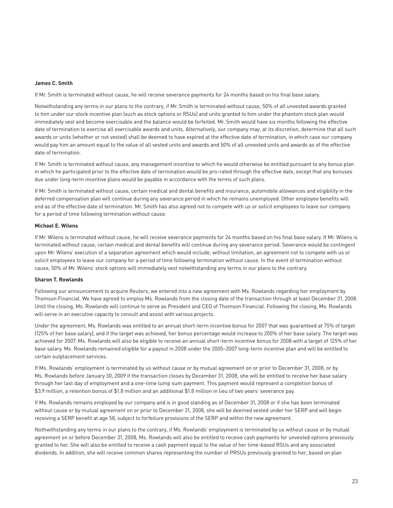#### **James C. Smith**

If Mr. Smith is terminated without cause, he will receive severance payments for 24 months based on his final base salary.

Notwithstanding any terms in our plans to the contrary, if Mr. Smith is terminated without cause, 50% of all unvested awards granted to him under our stock incentive plan (such as stock options or RSUs) and units granted to him under the phantom stock plan would immediately vest and become exercisable and the balance would be forfeited. Mr. Smith would have six months following the effective date of termination to exercise all exercisable awards and units. Alternatively, our company may, at its discretion, determine that all such awards or units (whether or not vested) shall be deemed to have expired at the effective date of termination, in which case our company would pay him an amount equal to the value of all vested units and awards and 50% of all unvested units and awards as of the effective date of termination.

If Mr. Smith is terminated without cause, any management incentive to which he would otherwise be entitled pursuant to any bonus plan in which he participated prior to the effective date of termination would be pro-rated through the effective date, except that any bonuses due under long-term incentive plans would be payable in accordance with the terms of such plans.

If Mr. Smith is terminated without cause, certain medical and dental benefits and insurance, automobile allowances and eligibility in the deferred compensation plan will continue during any severance period in which he remains unemployed. Other employee benefits will end as of the effective date of termination. Mr. Smith has also agreed not to compete with us or solicit employees to leave our company for a period of time following termination without cause.

#### **Michael E. Wilens**

If Mr. Wilens is terminated without cause, he will receive severance payments for 24 months based on his final base salary. If Mr. Wilens is terminated without cause, certain medical and dental benefits will continue during any severance period. Severance would be contingent upon Mr. Wilens' execution of a separation agreement which would include, without limitation, an agreement not to compete with us or solicit employees to leave our company for a period of time following termination without cause. In the event of termination without cause, 50% of Mr. Wilens' stock options will immediately vest notwithstanding any terms in our plans to the contrary.

#### **Sharon T. Rowlands**

Following our announcement to acquire Reuters, we entered into a new agreement with Ms. Rowlands regarding her employment by Thomson Financial. We have agreed to employ Ms. Rowlands from the closing date of the transaction through at least December 31, 2008. Until the closing, Ms. Rowlands will continue to serve as President and CEO of Thomson Financial. Following the closing, Ms. Rowlands will serve in an executive capacity to consult and assist with various projects.

Under the agreement, Ms. Rowlands was entitled to an annual short-term incentive bonus for 2007 that was guaranteed at 75% of target (125% of her base salary), and if the target was achieved, her bonus percentage would increase to 200% of her base salary. The target was achieved for 2007. Ms. Rowlands will also be eligible to receive an annual short-term incentive bonus for 2008 with a target of 125% of her base salary. Ms. Rowlands remained eligible for a payout in 2008 under the 2005–2007 long-term incentive plan and will be entitled to certain outplacement services.

If Ms. Rowlands' employment is terminated by us without cause or by mutual agreement on or prior to December 31, 2008, or by Ms. Rowlands before January 30, 2009 if the transaction closes by December 31, 2008, she will be entitled to receive her base salary through her last day of employment and a one-time lump sum payment. This payment would represent a completion bonus of \$3.9 million, a retention bonus of \$1.8 million and an additional \$1.8 million in lieu of two years' severance pay.

If Ms. Rowlands remains employed by our company and is in good standing as of December 31, 2008 or if she has been terminated without cause or by mutual agreement on or prior to December 31, 2008, she will be deemed vested under her SERP and will begin receiving a SERP benefit at age 58, subject to forfeiture provisions of the SERP and within the new agreement.

Nothwithstanding any terms in our plans to the contrary, if Ms. Rowlands' employment is terminated by us without cause or by mutual agreement on or before December 31, 2008, Ms. Rowlands will also be entitled to receive cash payments for unvested options previously granted to her. She will also be entitled to receive a cash payment equal to the value of her time-based RSUs and any associated dividends. In addition, she will receive common shares representing the number of PRSUs previously granted to her, based on plan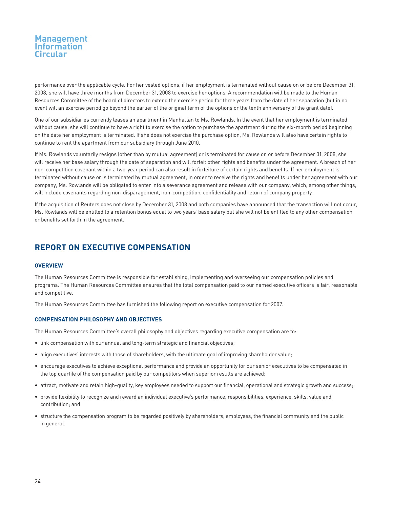performance over the applicable cycle. For her vested options, if her employment is terminated without cause on or before December 31, 2008, she will have three months from December 31, 2008 to exercise her options. A recommendation will be made to the Human Resources Committee of the board of directors to extend the exercise period for three years from the date of her separation (but in no event will an exercise period go beyond the earlier of the original term of the options or the tenth anniversary of the grant date).

One of our subsidiaries currently leases an apartment in Manhattan to Ms. Rowlands. In the event that her employment is terminated without cause, she will continue to have a right to exercise the option to purchase the apartment during the six-month period beginning on the date her employment is terminated. If she does not exercise the purchase option, Ms. Rowlands will also have certain rights to continue to rent the apartment from our subsidiary through June 2010.

If Ms. Rowlands voluntarily resigns (other than by mutual agreement) or is terminated for cause on or before December 31, 2008, she will receive her base salary through the date of separation and will forfeit other rights and benefits under the agreement. A breach of her non-competition covenant within a two-year period can also result in forfeiture of certain rights and benefits. If her employment is terminated without cause or is terminated by mutual agreement, in order to receive the rights and benefits under her agreement with our company, Ms. Rowlands will be obligated to enter into a severance agreement and release with our company, which, among other things, will include covenants regarding non-disparagement, non-competition, confidentiality and return of company property.

If the acquisition of Reuters does not close by December 31, 2008 and both companies have announced that the transaction will not occur, Ms. Rowlands will be entitled to a retention bonus equal to two years' base salary but she will not be entitled to any other compensation or benefits set forth in the agreement.

## **REPORT ON EXECUTIVE COMPENSATION**

### **OVERVIEW**

The Human Resources Committee is responsible for establishing, implementing and overseeing our compensation policies and programs. The Human Resources Committee ensures that the total compensation paid to our named executive officers is fair, reasonable and competitive.

The Human Resources Committee has furnished the following report on executive compensation for 2007.

### **COMPENSATION PHILOSOPHY AND OBJECTIVES**

The Human Resources Committee's overall philosophy and objectives regarding executive compensation are to:

- link compensation with our annual and long-term strategic and financial objectives;
- align executives' interests with those of shareholders, with the ultimate goal of improving shareholder value;
- encourage executives to achieve exceptional performance and provide an opportunity for our senior executives to be compensated in the top quartile of the compensation paid by our competitors when superior results are achieved;
- attract, motivate and retain high-quality, key employees needed to support our financial, operational and strategic growth and success;
- provide flexibility to recognize and reward an individual executive's performance, responsibilities, experience, skills, value and contribution; and
- structure the compensation program to be regarded positively by shareholders, employees, the financial community and the public in general.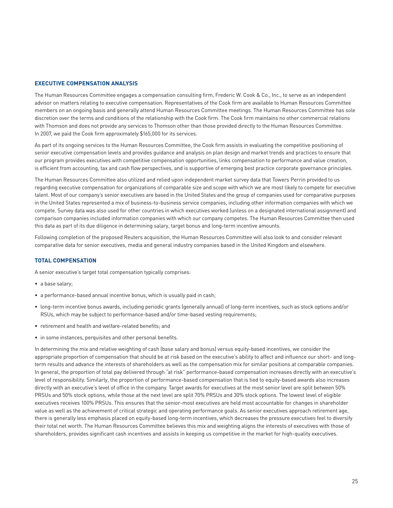#### **EXECUTIVE COMPENSATION ANALYSIS**

The Human Resources Committee engages a compensation consulting firm, Frederic W. Cook & Co., Inc., to serve as an independent advisor on matters relating to executive compensation. Representatives of the Cook firm are available to Human Resources Committee members on an ongoing basis and generally attend Human Resources Committee meetings. The Human Resources Committee has sole discretion over the terms and conditions of the relationship with the Cook firm. The Cook firm maintains no other commercial relations with Thomson and does not provide any services to Thomson other than those provided directly to the Human Resources Committee. In 2007, we paid the Cook firm approximately \$165,000 for its services.

As part of its ongoing services to the Human Resources Committee, the Cook firm assists in evaluating the competitive positioning of senior executive compensation levels and provides guidance and analysis on plan design and market trends and practices to ensure that our program provides executives with competitive compensation opportunities, links compensation to performance and value creation, is efficient from accounting, tax and cash flow perspectives, and is supportive of emerging best practice corporate governance principles.

The Human Resources Committee also utilized and relied upon independent market survey data that Towers Perrin provided to us regarding executive compensation for organizations of comparable size and scope with which we are most likely to compete for executive talent. Most of our company's senior executives are based in the United States and the group of companies used for comparative purposes in the United States represented a mix of business-to-business service companies, including other information companies with which we compete. Survey data was also used for other countries in which executives worked (unless on a designated international assignment) and comparison companies included information companies with which our company competes. The Human Resources Committee then used this data as part of its due diligence in determining salary, target bonus and long-term incentive amounts.

Following completion of the proposed Reuters acquisition, the Human Resources Committee will also look to and consider relevant comparative data for senior executives, media and general industry companies based in the United Kingdom and elsewhere.

#### **TOTAL COMPENSATION**

A senior executive's target total compensation typically comprises:

- a base salary;
- a performance-based annual incentive bonus, which is usually paid in cash;
- long-term incentive bonus awards, including periodic grants (generally annual) of long-term incentives, such as stock options and/or RSUs, which may be subject to performance-based and/or time-based vesting requirements;
- retirement and health and welfare-related benefits; and
- in some instances, perquisites and other personal benefits.

In determining the mix and relative weighting of cash (base salary and bonus) versus equity-based incentives, we consider the appropriate proportion of compensation that should be at risk based on the executive's ability to affect and influence our short- and longterm results and advance the interests of shareholders as well as the compensation mix for similar positions at comparable companies. In general, the proportion of total pay delivered through "at risk" performance-based compensation increases directly with an executive's level of responsibility. Similarly, the proportion of performance-based compensation that is tied to equity-based awards also increases directly with an executive's level of office in the company. Target awards for executives at the most senior level are split between 50% PRSUs and 50% stock options, while those at the next level are split 70% PRSUs and 30% stock options. The lowest level of eligible executives receives 100% PRSUs. This ensures that the senior-most executives are held most accountable for changes in shareholder value as well as the achievement of critical strategic and operating performance goals. As senior executives approach retirement age, there is generally less emphasis placed on equity-based long-term incentives, which decreases the pressure executives feel to diversify their total net worth. The Human Resources Committee believes this mix and weighting aligns the interests of executives with those of shareholders, provides significant cash incentives and assists in keeping us competitive in the market for high-quality executives.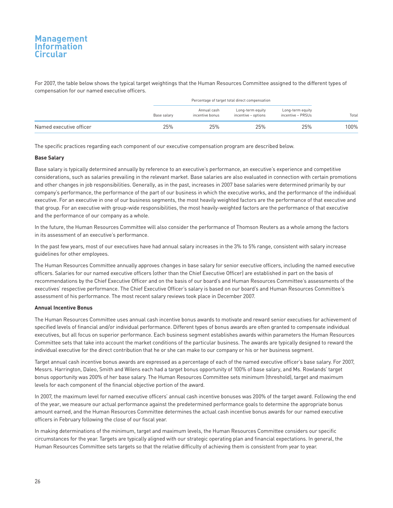For 2007, the table below shows the typical target weightings that the Human Resources Committee assigned to the different types of compensation for our named executive officers.

|                         |             | Percentage of target total direct compensation |                                         |                                       |       |
|-------------------------|-------------|------------------------------------------------|-----------------------------------------|---------------------------------------|-------|
|                         | Base salary | Annual cash<br>incentive bonus                 | Long-term equity<br>incentive - options | Long-term equity<br>incentive - PRSUs | Total |
| Named executive officer | 25%         | 25%                                            | 25%                                     | 25%                                   | 100%  |

The specific practices regarding each component of our executive compensation program are described below.

#### **Base Salary**

Base salary is typically determined annually by reference to an executive's performance, an executive's experience and competitive considerations, such as salaries prevailing in the relevant market. Base salaries are also evaluated in connection with certain promotions and other changes in job responsibilities. Generally, as in the past, increases in 2007 base salaries were determined primarily by our company's performance, the performance of the part of our business in which the executive works, and the performance of the individual executive. For an executive in one of our business segments, the most heavily weighted factors are the performance of that executive and that group. For an executive with group-wide responsibilities, the most heavily-weighted factors are the performance of that executive and the performance of our company as a whole.

In the future, the Human Resources Committee will also consider the performance of Thomson Reuters as a whole among the factors in its assessment of an executive's performance.

In the past few years, most of our executives have had annual salary increases in the 3% to 5% range, consistent with salary increase guidelines for other employees.

The Human Resources Committee annually approves changes in base salary for senior executive officers, including the named executive officers. Salaries for our named executive officers (other than the Chief Executive Officer) are established in part on the basis of recommendations by the Chief Executive Officer and on the basis of our board's and Human Resources Committee's assessments of the executives' respective performance. The Chief Executive Officer's salary is based on our board's and Human Resources Committee's assessment of his performance. The most recent salary reviews took place in December 2007.

#### **Annual Incentive Bonus**

The Human Resources Committee uses annual cash incentive bonus awards to motivate and reward senior executives for achievement of specified levels of financial and/or individual performance. Different types of bonus awards are often granted to compensate individual executives, but all focus on superior performance. Each business segment establishes awards within parameters the Human Resources Committee sets that take into account the market conditions of the particular business. The awards are typically designed to reward the individual executive for the direct contribution that he or she can make to our company or his or her business segment.

Target annual cash incentive bonus awards are expressed as a percentage of each of the named executive officer's base salary. For 2007, Messrs. Harrington, Daleo, Smith and Wilens each had a target bonus opportunity of 100% of base salary, and Ms. Rowlands' target bonus opportunity was 200% of her base salary. The Human Resources Committee sets minimum (threshold), target and maximum levels for each component of the financial objective portion of the award.

In 2007, the maximum level for named executive officers' annual cash incentive bonuses was 200% of the target award. Following the end of the year, we measure our actual performance against the predetermined performance goals to determine the appropriate bonus amount earned, and the Human Resources Committee determines the actual cash incentive bonus awards for our named executive officers in February following the close of our fiscal year.

In making determinations of the minimum, target and maximum levels, the Human Resources Committee considers our specific circumstances for the year. Targets are typically aligned with our strategic operating plan and financial expectations. In general, the Human Resources Committee sets targets so that the relative difficulty of achieving them is consistent from year to year.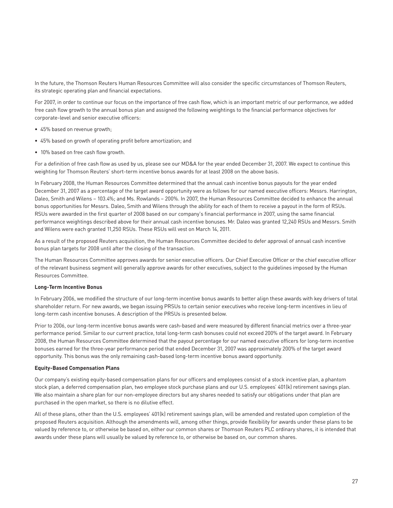In the future, the Thomson Reuters Human Resources Committee will also consider the specific circumstances of Thomson Reuters, its strategic operating plan and financial expectations.

For 2007, in order to continue our focus on the importance of free cash flow, which is an important metric of our performance, we added free cash flow growth to the annual bonus plan and assigned the following weightings to the financial performance objectives for corporate-level and senior executive officers:

- 45% based on revenue growth;
- 45% based on growth of operating profit before amortization; and
- 10% based on free cash flow growth.

For a definition of free cash flow as used by us, please see our MD&A for the year ended December 31, 2007. We expect to continue this weighting for Thomson Reuters' short-term incentive bonus awards for at least 2008 on the above basis.

In February 2008, the Human Resources Committee determined that the annual cash incentive bonus payouts for the year ended December 31, 2007 as a percentage of the target award opportunity were as follows for our named executive officers: Messrs. Harrington, Daleo, Smith and Wilens – 103.4%; and Ms. Rowlands – 200%. In 2007, the Human Resources Committee decided to enhance the annual bonus opportunities for Messrs. Daleo, Smith and Wilens through the ability for each of them to receive a payout in the form of RSUs. RSUs were awarded in the first quarter of 2008 based on our company's financial performance in 2007, using the same financial performance weightings described above for their annual cash incentive bonuses. Mr. Daleo was granted 12,240 RSUs and Messrs. Smith and Wilens were each granted 11,250 RSUs. These RSUs will vest on March 14, 2011.

As a result of the proposed Reuters acquisition, the Human Resources Committee decided to defer approval of annual cash incentive bonus plan targets for 2008 until after the closing of the transaction.

The Human Resources Committee approves awards for senior executive officers. Our Chief Executive Officer or the chief executive officer of the relevant business segment will generally approve awards for other executives, subject to the guidelines imposed by the Human Resources Committee.

#### **Long-Term Incentive Bonus**

In February 2006, we modified the structure of our long-term incentive bonus awards to better align these awards with key drivers of total shareholder return. For new awards, we began issuing PRSUs to certain senior executives who receive long-term incentives in lieu of long-term cash incentive bonuses. A description of the PRSUs is presented below.

Prior to 2006, our long-term incentive bonus awards were cash-based and were measured by different financial metrics over a three-year performance period. Similar to our current practice, total long-term cash bonuses could not exceed 200% of the target award. In February 2008, the Human Resources Committee determined that the payout percentage for our named executive officers for long-term incentive bonuses earned for the three-year performance period that ended December 31, 2007 was approximately 200% of the target award opportunity. This bonus was the only remaining cash-based long-term incentive bonus award opportunity.

#### **Equity-Based Compensation Plans**

Our company's existing equity-based compensation plans for our officers and employees consist of a stock incentive plan, a phantom stock plan, a deferred compensation plan, two employee stock purchase plans and our U.S. employees' 401(k) retirement savings plan. We also maintain a share plan for our non-employee directors but any shares needed to satisfy our obligations under that plan are purchased in the open market, so there is no dilutive effect.

All of these plans, other than the U.S. employees' 401(k) retirement savings plan, will be amended and restated upon completion of the proposed Reuters acquisition. Although the amendments will, among other things, provide flexibility for awards under these plans to be valued by reference to, or otherwise be based on, either our common shares or Thomson Reuters PLC ordinary shares, it is intended that awards under these plans will usually be valued by reference to, or otherwise be based on, our common shares.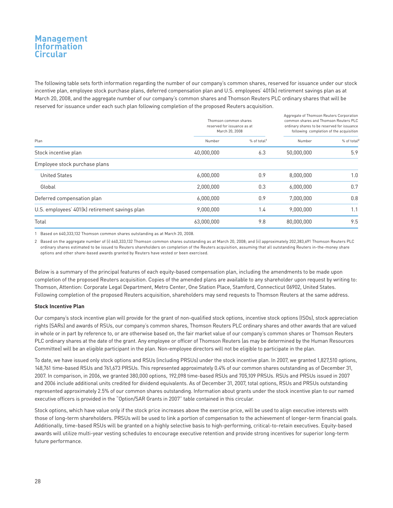The following table sets forth information regarding the number of our company's common shares, reserved for issuance under our stock incentive plan, employee stock purchase plans, deferred compensation plan and U.S. employees' 401(k) retirement savings plan as at March 20, 2008, and the aggregate number of our company's common shares and Thomson Reuters PLC ordinary shares that will be reserved for issuance under each such plan following completion of the proposed Reuters acquisition.

|                                                | Thomson common shares<br>reserved for issuance as at<br>March 20, 2008 |                         | Aggregate of Thomson Reuters Corporation<br>common shares and Thomson Reuters PLC<br>ordinary shares to be reserved for issuance<br>following completion of the acquisition |                         |
|------------------------------------------------|------------------------------------------------------------------------|-------------------------|-----------------------------------------------------------------------------------------------------------------------------------------------------------------------------|-------------------------|
| Plan                                           | Number                                                                 | % of total <sup>1</sup> | Number                                                                                                                                                                      | % of total <sup>2</sup> |
| Stock incentive plan                           | 40,000,000                                                             | 6.3                     | 50,000,000                                                                                                                                                                  | 5.9                     |
| Employee stock purchase plans                  |                                                                        |                         |                                                                                                                                                                             |                         |
| <b>United States</b>                           | 6,000,000                                                              | 0.9                     | 8.000.000                                                                                                                                                                   | 1.0                     |
| Global                                         | 2,000,000                                                              | 0.3                     | 6,000,000                                                                                                                                                                   | 0.7                     |
| Deferred compensation plan                     | 6,000,000                                                              | 0.9                     | 7,000,000                                                                                                                                                                   | 0.8                     |
| U.S. employees' 401(k) retirement savings plan | 9,000,000                                                              | 1.4                     | 9,000,000                                                                                                                                                                   | 1.1                     |
| Total                                          | 63,000,000                                                             | 9.8                     | 80,000,000                                                                                                                                                                  | 9.5                     |

1 Based on 640,333,132 Thomson common shares outstanding as at March 20, 2008.

2 Based on the aggregate number of (i) 640,333,132 Thomson common shares outstanding as at March 20, 2008; and (ii) approximately 202,383,691 Thomson Reuters PLC ordinary shares estimated to be issued to Reuters shareholders on completion of the Reuters acquisition, assuming that all outstanding Reuters in-the-money share options and other share-based awards granted by Reuters have vested or been exercised.

Below is a summary of the principal features of each equity-based compensation plan, including the amendments to be made upon completion of the proposed Reuters acquisition. Copies of the amended plans are available to any shareholder upon request by writing to: Thomson, Attention: Corporate Legal Department, Metro Center, One Station Place, Stamford, Connecticut 06902, United States. Following completion of the proposed Reuters acquisition, shareholders may send requests to Thomson Reuters at the same address.

#### **Stock Incentive Plan**

Our company's stock incentive plan will provide for the grant of non-qualified stock options, incentive stock options (ISOs), stock appreciation rights (SARs) and awards of RSUs, our company's common shares, Thomson Reuters PLC ordinary shares and other awards that are valued in whole or in part by reference to, or are otherwise based on, the fair market value of our company's common shares or Thomson Reuters PLC ordinary shares at the date of the grant. Any employee or officer of Thomson Reuters (as may be determined by the Human Resources Committee) will be an eligible participant in the plan. Non-employee directors will not be eligible to participate in the plan.

To date, we have issued only stock options and RSUs (including PRSUs) under the stock incentive plan. In 2007, we granted 1,827,510 options, 148,761 time-based RSUs and 761,673 PRSUs. This represented approximately 0.4% of our common shares outstanding as of December 31, 2007. In comparison, in 2006, we granted 380,000 options, 192,098 time-based RSUs and 705,109 PRSUs. RSUs and PRSUs issued in 2007 and 2006 include additional units credited for dividend equivalents. As of December 31, 2007, total options, RSUs and PRSUs outstanding represented approximately 2.5% of our common shares outstanding. Information about grants under the stock incentive plan to our named executive officers is provided in the "Option/SAR Grants in 2007" table contained in this circular.

Stock options, which have value only if the stock price increases above the exercise price, will be used to align executive interests with those of long-term shareholders. PRSUs will be used to link a portion of compensation to the achievement of longer-term financial goals. Additionally, time-based RSUs will be granted on a highly selective basis to high-performing, critical-to-retain executives. Equity-based awards will utilize multi-year vesting schedules to encourage executive retention and provide strong incentives for superior long-term future performance.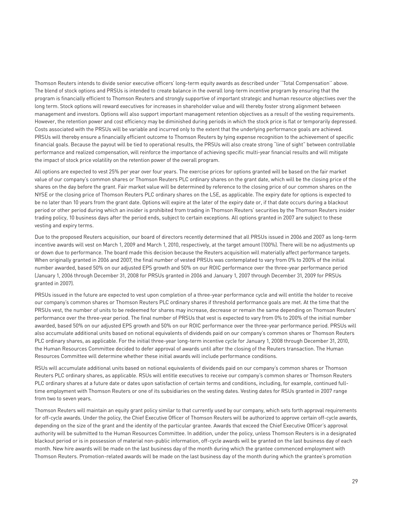Thomson Reuters intends to divide senior executive officers' long-term equity awards as described under ''Total Compensation'' above. The blend of stock options and PRSUs is intended to create balance in the overall long-term incentive program by ensuring that the program is financially efficient to Thomson Reuters and strongly supportive of important strategic and human resource objectives over the long term. Stock options will reward executives for increases in shareholder value and will thereby foster strong alignment between management and investors. Options will also support important management retention objectives as a result of the vesting requirements. However, the retention power and cost efficiency may be diminished during periods in which the stock price is flat or temporarily depressed. Costs associated with the PRSUs will be variable and incurred only to the extent that the underlying performance goals are achieved. PRSUs will thereby ensure a financially efficient outcome to Thomson Reuters by tying expense recognition to the achievement of specific financial goals. Because the payout will be tied to operational results, the PRSUs will also create strong "line of sight" between controllable performance and realized compensation, will reinforce the importance of achieving specific multi-year financial results and will mitigate the impact of stock price volatility on the retention power of the overall program.

All options are expected to vest 25% per year over four years. The exercise prices for options granted will be based on the fair market value of our company's common shares or Thomson Reuters PLC ordinary shares on the grant date, which will be the closing price of the shares on the day before the grant. Fair market value will be determined by reference to the closing price of our common shares on the NYSE or the closing price of Thomson Reuters PLC ordinary shares on the LSE, as applicable. The expiry date for options is expected to be no later than 10 years from the grant date. Options will expire at the later of the expiry date or, if that date occurs during a blackout period or other period during which an insider is prohibited from trading in Thomson Reuters' securities by the Thomson Reuters insider trading policy, 10 business days after the period ends, subject to certain exceptions. All options granted in 2007 are subject to these vesting and expiry terms.

Due to the proposed Reuters acquisition, our board of directors recently determined that all PRSUs issued in 2006 and 2007 as long-term incentive awards will vest on March 1, 2009 and March 1, 2010, respectively, at the target amount (100%). There will be no adjustments up or down due to performance. The board made this decision because the Reuters acquisition will materially affect performance targets. When originally granted in 2006 and 2007, the final number of vested PRSUs was contemplated to vary from 0% to 200% of the initial number awarded, based 50% on our adjusted EPS growth and 50% on our ROIC performance over the three-year performance period (January 1, 2006 through December 31, 2008 for PRSUs granted in 2006 and January 1, 2007 through December 31, 2009 for PRSUs granted in 2007).

PRSUs issued in the future are expected to vest upon completion of a three-year performance cycle and will entitle the holder to receive our company's common shares or Thomson Reuters PLC ordinary shares if threshold performance goals are met. At the time that the PRSUs vest, the number of units to be redeemed for shares may increase, decrease or remain the same depending on Thomson Reuters' performance over the three-year period. The final number of PRSUs that vest is expected to vary from 0% to 200% of the initial number awarded, based 50% on our adjusted EPS growth and 50% on our ROIC performance over the three-year performance period. PRSUs will also accumulate additional units based on notional equivalents of dividends paid on our company's common shares or Thomson Reuters PLC ordinary shares, as applicable. For the initial three-year long-term incentive cycle for January 1, 2008 through December 31, 2010, the Human Resources Committee decided to defer approval of awards until after the closing of the Reuters transaction. The Human Resources Committee will determine whether these initial awards will include performance conditions.

RSUs will accumulate additional units based on notional equivalents of dividends paid on our company's common shares or Thomson Reuters PLC ordinary shares, as applicable. RSUs will entitle executives to receive our company's common shares or Thomson Reuters PLC ordinary shares at a future date or dates upon satisfaction of certain terms and conditions, including, for example, continued fulltime employment with Thomson Reuters or one of its subsidiaries on the vesting dates. Vesting dates for RSUs granted in 2007 range from two to seven years.

Thomson Reuters will maintain an equity grant policy similar to that currently used by our company, which sets forth approval requirements for off-cycle awards. Under the policy, the Chief Executive Officer of Thomson Reuters will be authorized to approve certain off-cycle awards, depending on the size of the grant and the identity of the particular grantee. Awards that exceed the Chief Executive Officer's approval authority will be submitted to the Human Resources Committee. In addition, under the policy, unless Thomson Reuters is in a designated blackout period or is in possession of material non-public information, off-cycle awards will be granted on the last business day of each month. New hire awards will be made on the last business day of the month during which the grantee commenced employment with Thomson Reuters. Promotion-related awards will be made on the last business day of the month during which the grantee's promotion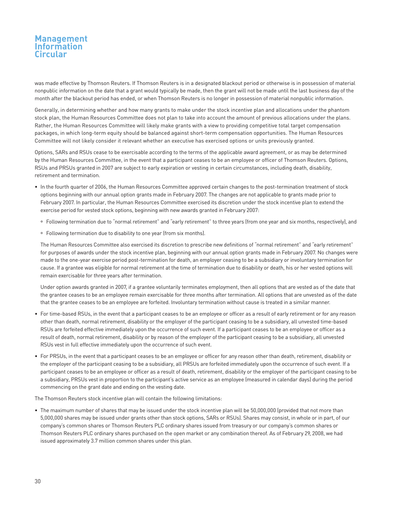was made effective by Thomson Reuters. If Thomson Reuters is in a designated blackout period or otherwise is in possession of material nonpublic information on the date that a grant would typically be made, then the grant will not be made until the last business day of the month after the blackout period has ended, or when Thomson Reuters is no longer in possession of material nonpublic information.

Generally, in determining whether and how many grants to make under the stock incentive plan and allocations under the phantom stock plan, the Human Resources Committee does not plan to take into account the amount of previous allocations under the plans. Rather, the Human Resources Committee will likely make grants with a view to providing competitive total target compensation packages, in which long-term equity should be balanced against short-term compensation opportunities. The Human Resources Committee will not likely consider it relevant whether an executive has exercised options or units previously granted.

Options, SARs and RSUs cease to be exercisable according to the terms of the applicable award agreement, or as may be determined by the Human Resources Committee, in the event that a participant ceases to be an employee or officer of Thomson Reuters. Options, RSUs and PRSUs granted in 2007 are subject to early expiration or vesting in certain circumstances, including death, disability, retirement and termination.

- In the fourth quarter of 2006, the Human Resources Committee approved certain changes to the post-termination treatment of stock options beginning with our annual option grants made in February 2007. The changes are not applicable to grants made prior to February 2007. In particular, the Human Resources Committee exercised its discretion under the stock incentive plan to extend the exercise period for vested stock options, beginning with new awards granted in February 2007:
	- ° Following termination due to "normal retirement" and "early retirement" to three years (from one year and six months, respectively), and
	- ° Following termination due to disability to one year (from six months).

The Human Resources Committee also exercised its discretion to prescribe new definitions of "normal retirement" and "early retirement" for purposes of awards under the stock incentive plan, beginning with our annual option grants made in February 2007. No changes were made to the one-year exercise period post-termination for death, an employer ceasing to be a subsidiary or involuntary termination for cause. If a grantee was eligible for normal retirement at the time of termination due to disability or death, his or her vested options will remain exercisable for three years after termination.

Under option awards granted in 2007, if a grantee voluntarily terminates employment, then all options that are vested as of the date that the grantee ceases to be an employee remain exercisable for three months after termination. All options that are unvested as of the date that the grantee ceases to be an employee are forfeited. Involuntary termination without cause is treated in a similar manner.

- For time-based RSUs, in the event that a participant ceases to be an employee or officer as a result of early retirement or for any reason other than death, normal retirement, disability or the employer of the participant ceasing to be a subsidiary, all unvested time-based RSUs are forfeited effective immediately upon the occurrence of such event. If a participant ceases to be an employee or officer as a result of death, normal retirement, disability or by reason of the employer of the participant ceasing to be a subsidiary, all unvested RSUs vest in full effective immediately upon the occurrence of such event.
- For PRSUs, in the event that a participant ceases to be an employee or officer for any reason other than death, retirement, disability or the employer of the participant ceasing to be a subsidiary, all PRSUs are forfeited immediately upon the occurrence of such event. If a participant ceases to be an employee or officer as a result of death, retirement, disability or the employer of the participant ceasing to be a subsidiary, PRSUs vest in proportion to the participant's active service as an employee (measured in calendar days) during the period commencing on the grant date and ending on the vesting date.

The Thomson Reuters stock incentive plan will contain the following limitations:

• The maximum number of shares that may be issued under the stock incentive plan will be 50,000,000 (provided that not more than 5,000,000 shares may be issued under grants other than stock options, SARs or RSUs). Shares may consist, in whole or in part, of our company's common shares or Thomson Reuters PLC ordinary shares issued from treasury or our company's common shares or Thomson Reuters PLC ordinary shares purchased on the open market or any combination thereof. As of February 29, 2008, we had issued approximately 3.7 million common shares under this plan.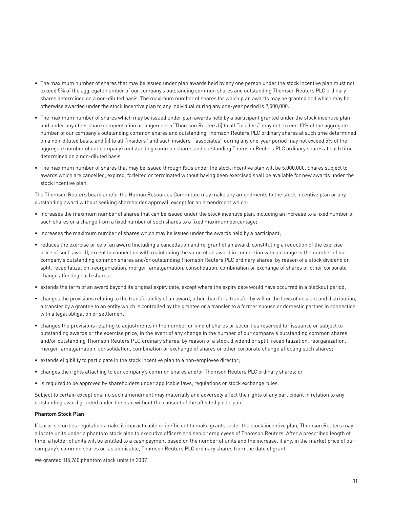- The maximum number of shares that may be issued under plan awards held by any one person under the stock incentive plan must not exceed 5% of the aggregate number of our company's outstanding common shares and outstanding Thomson Reuters PLC ordinary shares determined on a non-diluted basis. The maximum number of shares for which plan awards may be granted and which may be otherwise awarded under the stock incentive plan to any individual during any one-year period is 2,500,000.
- The maximum number of shares which may be issued under plan awards held by a participant granted under the stock incentive plan and under any other share compensation arrangement of Thomson Reuters (i) to all ''insiders'' may not exceed 10% of the aggregate number of our company's outstanding common shares and outstanding Thomson Reuters PLC ordinary shares at such time determined on a non-diluted basis, and (ii) to all ''insiders'' and such insiders' ''associates'' during any one-year period may not exceed 5% of the aggregate number of our company's outstanding common shares and outstanding Thomson Reuters PLC ordinary shares at such time determined on a non-diluted basis.
- The maximum number of shares that may be issued through ISOs under the stock incentive plan will be 5,000,000. Shares subject to awards which are cancelled, expired, forfeited or terminated without having been exercised shall be available for new awards under the stock incentive plan.

The Thomson Reuters board and/or the Human Resources Committee may make any amendments to the stock incentive plan or any outstanding award without seeking shareholder approval, except for an amendment which:

- increases the maximum number of shares that can be issued under the stock incentive plan, including an increase to a fixed number of such shares or a change from a fixed number of such shares to a fixed maximum percentage;
- increases the maximum number of shares which may be issued under the awards held by a participant;
- reduces the exercise price of an award (including a cancellation and re-grant of an award, constituting a reduction of the exercise price of such award), except in connection with maintaining the value of an award in connection with a change in the number of our company's outstanding common shares and/or outstanding Thomson Reuters PLC ordinary shares, by reason of a stock dividend or split, recapitalization, reorganization, merger, amalgamation, consolidation, combination or exchange of shares or other corporate change affecting such shares;
- extends the term of an award beyond its original expiry date, except where the expiry date would have occurred in a blackout period;
- changes the provisions relating to the transferability of an award, other than for a transfer by will or the laws of descent and distribution, a transfer by a grantee to an entity which is controlled by the grantee or a transfer to a former spouse or domestic partner in connection with a legal obligation or settlement;
- changes the provisions relating to adjustments in the number or kind of shares or securities reserved for issuance or subject to outstanding awards or the exercise price, in the event of any change in the number of our company's outstanding common shares and/or outstanding Thomson Reuters PLC ordinary shares, by reason of a stock dividend or split, recapitalization, reorganization, merger, amalgamation, consolidation, combination or exchange of shares or other corporate change affecting such shares;
- extends eligibility to participate in the stock incentive plan to a non-employee director;
- changes the rights attaching to our company's common shares and/or Thomson Reuters PLC ordinary shares; or
- is required to be approved by shareholders under applicable laws, regulations or stock exchange rules.

Subject to certain exceptions, no such amendment may materially and adversely affect the rights of any participant in relation to any outstanding award granted under the plan without the consent of the affected participant.

#### **Phantom Stock Plan**

If tax or securities regulations make it impracticable or inefficient to make grants under the stock incentive plan, Thomson Reuters may allocate units under a phantom stock plan to executive officers and senior employees of Thomson Reuters. After a prescribed length of time, a holder of units will be entitled to a cash payment based on the number of units and the increase, if any, in the market price of our company's common shares or, as applicable, Thomson Reuters PLC ordinary shares from the date of grant.

We granted 115,760 phantom stock units in 2007.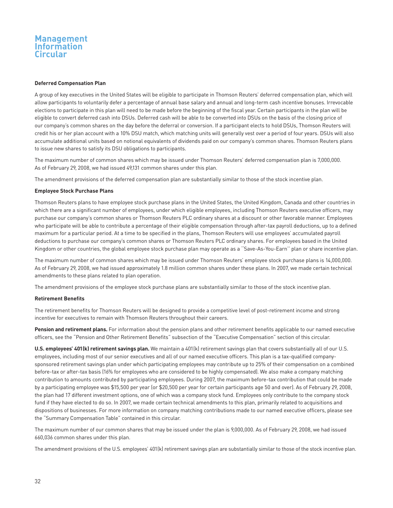#### **Deferred Compensation Plan**

A group of key executives in the United States will be eligible to participate in Thomson Reuters' deferred compensation plan, which will allow participants to voluntarily defer a percentage of annual base salary and annual and long-term cash incentive bonuses. Irrevocable elections to participate in this plan will need to be made before the beginning of the fiscal year. Certain participants in the plan will be eligible to convert deferred cash into DSUs. Deferred cash will be able to be converted into DSUs on the basis of the closing price of our company's common shares on the day before the deferral or conversion. If a participant elects to hold DSUs, Thomson Reuters will credit his or her plan account with a 10% DSU match, which matching units will generally vest over a period of four years. DSUs will also accumulate additional units based on notional equivalents of dividends paid on our company's common shares. Thomson Reuters plans to issue new shares to satisfy its DSU obligations to participants.

The maximum number of common shares which may be issued under Thomson Reuters' deferred compensation plan is 7,000,000. As of February 29, 2008, we had issued 49,131 common shares under this plan.

The amendment provisions of the deferred compensation plan are substantially similar to those of the stock incentive plan.

#### **Employee Stock Purchase Plans**

Thomson Reuters plans to have employee stock purchase plans in the United States, the United Kingdom, Canada and other countries in which there are a significant number of employees, under which eligible employees, including Thomson Reuters executive officers, may purchase our company's common shares or Thomson Reuters PLC ordinary shares at a discount or other favorable manner. Employees who participate will be able to contribute a percentage of their eligible compensation through after-tax payroll deductions, up to a defined maximum for a particular period. At a time to be specified in the plans, Thomson Reuters will use employees' accumulated payroll deductions to purchase our company's common shares or Thomson Reuters PLC ordinary shares. For employees based in the United Kingdom or other countries, the global employee stock purchase plan may operate as a ''Save-As-You-Earn'' plan or share incentive plan.

The maximum number of common shares which may be issued under Thomson Reuters' employee stock purchase plans is 14,000,000. As of February 29, 2008, we had issued approximately 1.8 million common shares under these plans. In 2007, we made certain technical amendments to these plans related to plan operation.

The amendment provisions of the employee stock purchase plans are substantially similar to those of the stock incentive plan.

#### **Retirement Benefits**

The retirement benefits for Thomson Reuters will be designed to provide a competitive level of post-retirement income and strong incentive for executives to remain with Thomson Reuters throughout their careers.

**Pension and retirement plans.** For information about the pension plans and other retirement benefits applicable to our named executive officers, see the "Pension and Other Retirement Benefits" subsection of the "Executive Compensation" section of this circular.

**U.S. employees' 401(k) retirement savings plan.** We maintain a 401(k) retirement savings plan that covers substantially all of our U.S. employees, including most of our senior executives and all of our named executive officers. This plan is a tax-qualified companysponsored retirement savings plan under which participating employees may contribute up to 25% of their compensation on a combined before-tax or after-tax basis (16% for employees who are considered to be highly compensated). We also make a company matching contribution to amounts contributed by participating employees. During 2007, the maximum before-tax contribution that could be made by a participating employee was \$15,500 per year (or \$20,500 per year for certain participants age 50 and over). As of February 29, 2008, the plan had 17 different investment options, one of which was a company stock fund. Employees only contribute to the company stock fund if they have elected to do so. In 2007, we made certain technical amendments to this plan, primarily related to acquisitions and dispositions of businesses. For more information on company matching contributions made to our named executive officers, please see the "Summary Compensation Table" contained in this circular.

The maximum number of our common shares that may be issued under the plan is 9,000,000. As of February 29, 2008, we had issued 660,036 common shares under this plan.

The amendment provisions of the U.S. employees' 401(k) retirement savings plan are substantially similar to those of the stock incentive plan.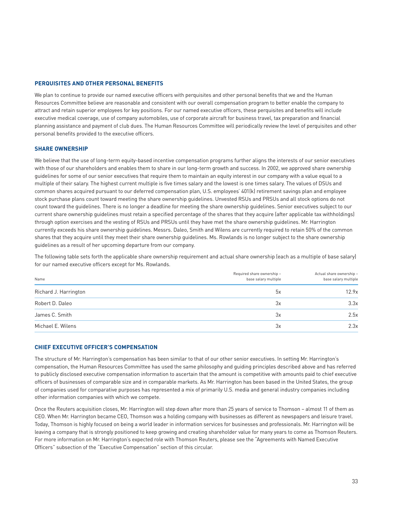### **PERQUISITES AND OTHER PERSONAL BENEFITS**

We plan to continue to provide our named executive officers with perquisites and other personal benefits that we and the Human Resources Committee believe are reasonable and consistent with our overall compensation program to better enable the company to attract and retain superior employees for key positions. For our named executive officers, these perquisites and benefits will include executive medical coverage, use of company automobiles, use of corporate aircraft for business travel, tax preparation and financial planning assistance and payment of club dues. The Human Resources Committee will periodically review the level of perquisites and other personal benefits provided to the executive officers.

#### **SHARE OWNERSHIP**

We believe that the use of long-term equity-based incentive compensation programs further aligns the interests of our senior executives with those of our shareholders and enables them to share in our long-term growth and success. In 2002, we approved share ownership guidelines for some of our senior executives that require them to maintain an equity interest in our company with a value equal to a multiple of their salary. The highest current multiple is five times salary and the lowest is one times salary. The values of DSUs and common shares acquired pursuant to our deferred compensation plan, U.S. employees' 401(k) retirement savings plan and employee stock purchase plans count toward meeting the share ownership guidelines. Unvested RSUs and PRSUs and all stock options do not count toward the guidelines. There is no longer a deadline for meeting the share ownership guidelines. Senior executives subject to our current share ownership guidelines must retain a specified percentage of the shares that they acquire (after applicable tax withholdings) through option exercises and the vesting of RSUs and PRSUs until they have met the share ownership guidelines. Mr. Harrington currently exceeds his share ownership guidelines. Messrs. Daleo, Smith and Wilens are currently required to retain 50% of the common shares that they acquire until they meet their share ownership guidelines. Ms. Rowlands is no longer subject to the share ownership guidelines as a result of her upcoming departure from our company.

The following table sets forth the applicable share ownership requirement and actual share ownership (each as a multiple of base salary) for our named executive officers except for Ms. Rowlands.

| Name                  | Required share ownership -<br>base salary multiple | Actual share ownership -<br>base salary multiple |
|-----------------------|----------------------------------------------------|--------------------------------------------------|
| Richard J. Harrington | 5x                                                 | 12.9x                                            |
| Robert D. Daleo       | 3x                                                 | 3.3x                                             |
| James C. Smith        | 3x                                                 | 2.5x                                             |
| Michael E. Wilens     | 3x                                                 | 2.3x                                             |

### **CHIEF EXECUTIVE OFFICER'S COMPENSATION**

The structure of Mr. Harrington's compensation has been similar to that of our other senior executives. In setting Mr. Harrington's compensation, the Human Resources Committee has used the same philosophy and guiding principles described above and has referred to publicly disclosed executive compensation information to ascertain that the amount is competitive with amounts paid to chief executive officers of businesses of comparable size and in comparable markets. As Mr. Harrington has been based in the United States, the group of companies used for comparative purposes has represented a mix of primarily U.S. media and general industry companies including other information companies with which we compete.

Once the Reuters acquisition closes, Mr. Harrington will step down after more than 25 years of service to Thomson – almost 11 of them as CEO. When Mr. Harrington became CEO, Thomson was a holding company with businesses as different as newspapers and leisure travel. Today, Thomson is highly focused on being a world leader in information services for businesses and professionals. Mr. Harrington will be leaving a company that is strongly positioned to keep growing and creating shareholder value for many years to come as Thomson Reuters. For more information on Mr. Harrington's expected role with Thomson Reuters, please see the "Agreements with Named Executive Officers" subsection of the "Executive Compensation" section of this circular.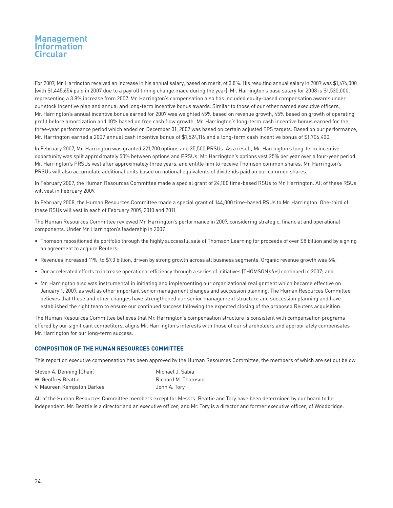For 2007, Mr. Harrington received an increase in his annual salary, based on merit, of 3.8%. His resulting annual salary in 2007 was \$1,474,000 (with \$1,445,654 paid in 2007 due to a payroll timing change made during the year). Mr. Harrington's base salary for 2008 is \$1,530,000, representing a 3.8% increase from 2007. Mr. Harrington's compensation also has included equity-based compensation awards under our stock incentive plan and annual and long-term incentive bonus awards. Similar to those of our other named executive officers, Mr. Harrington's annual incentive bonus earned for 2007 was weighted 45% based on revenue growth, 45% based on growth of operating profit before amortization and 10% based on free cash flow growth. Mr. Harrington's long-term cash incentive bonus earned for the three-year performance period which ended on December 31, 2007 was based on certain adjusted EPS targets. Based on our performance, Mr. Harrington earned a 2007 annual cash incentive bonus of \$1,524,116 and a long-term cash incentive bonus of \$1,706,400.

In February 2007, Mr. Harrington was granted 221,700 options and 35,500 PRSUs. As a result, Mr. Harrington's long-term incentive opportunity was split approximately 50% between options and PRSUs. Mr. Harrington's options vest 25% per year over a four-year period. Mr. Harrington's PRSUs vest after approximately three years, and entitle him to receive Thomson common shares. Mr. Harrington's PRSUs will also accumulate additional units based on notional equivalents of dividends paid on our common shares.

In February 2007, the Human Resources Committee made a special grant of 24,100 time-based RSUs to Mr. Harrington. All of these RSUs will vest in February 2009.

In February 2008, the Human Resources Committee made a special grant of 144,000 time-based RSUs to Mr. Harrington. One-third of these RSUs will vest in each of February 2009, 2010 and 2011.

The Human Resources Committee reviewed Mr. Harrington's performance in 2007, considering strategic, financial and operational components. Under Mr. Harrington's leadership in 2007:

- Thomson repositioned its portfolio through the highly successful sale of Thomson Learning for proceeds of over \$8 billion and by signing an agreement to acquire Reuters;
- Revenues increased 11%, to \$7.3 billion, driven by strong growth across all business segments. Organic revenue growth was 6%;
- Our accelerated efforts to increase operational efficiency through a series of initiatives (THOMSONplus) continued in 2007; and
- Mr. Harrington also was instrumental in initiating and implementing our organizational realignment which became effective on January 1, 2007, as well as other important senior management changes and succession planning. The Human Resources Committee believes that these and other changes have strengthened our senior management structure and succession planning and have established the right team to ensure our continued success following the expected closing of the proposed Reuters acquisition.

The Human Resources Committee believes that Mr. Harrington's compensation structure is consistent with compensation programs offered by our significant competitors, aligns Mr. Harrington's interests with those of our shareholders and appropriately compensates Mr. Harrington for our long-term success.

#### **COMPOSITION OF THE HUMAN RESOURCES COMMITTEE**

This report on executive compensation has been approved by the Human Resources Committee, the members of which are set out below.

| Steven A. Denning (Chair)  | Michael J. Sabia   |
|----------------------------|--------------------|
| W. Geoffrey Beattie        | Richard M. Thomson |
| V. Maureen Kempston Darkes | John A. Tory       |

All of the Human Resources Committee members except for Messrs. Beattie and Tory have been determined by our board to be independent. Mr. Beattie is a director and an executive officer, and Mr. Tory is a director and former executive officer, of Woodbridge.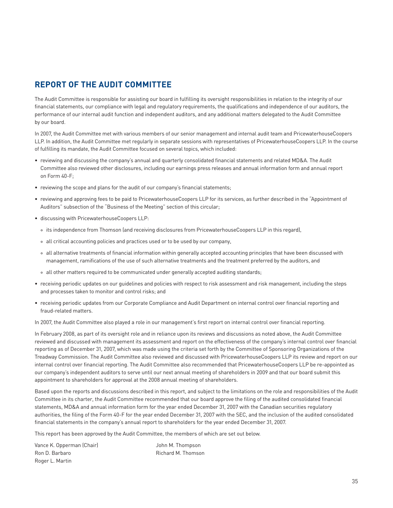## **REPORT OF THE AUDIT COMMITTEE**

The Audit Committee is responsible for assisting our board in fulfilling its oversight responsibilities in relation to the integrity of our financial statements, our compliance with legal and regulatory requirements, the qualifications and independence of our auditors, the performance of our internal audit function and independent auditors, and any additional matters delegated to the Audit Committee by our board.

In 2007, the Audit Committee met with various members of our senior management and internal audit team and PricewaterhouseCoopers LLP. In addition, the Audit Committee met regularly in separate sessions with representatives of PricewaterhouseCoopers LLP. In the course of fulfilling its mandate, the Audit Committee focused on several topics, which included:

- reviewing and discussing the company's annual and quarterly consolidated financial statements and related MD&A. The Audit Committee also reviewed other disclosures, including our earnings press releases and annual information form and annual report on Form 40-F;
- reviewing the scope and plans for the audit of our company's financial statements;
- reviewing and approving fees to be paid to PricewaterhouseCoopers LLP for its services, as further described in the "Appointment of Auditors" subsection of the "Business of the Meeting" section of this circular;
- discussing with PricewaterhouseCoopers LLP:
	- ° its independence from Thomson (and receiving disclosures from PricewaterhouseCoopers LLP in this regard),
	- ° all critical accounting policies and practices used or to be used by our company,
	- ° all alternative treatments of financial information within generally accepted accounting principles that have been discussed with management, ramifications of the use of such alternative treatments and the treatment preferred by the auditors, and
	- ° all other matters required to be communicated under generally accepted auditing standards;
- receiving periodic updates on our guidelines and policies with respect to risk assessment and risk management, including the steps and processes taken to monitor and control risks; and
- receiving periodic updates from our Corporate Compliance and Audit Department on internal control over financial reporting and fraud-related matters.

In 2007, the Audit Committee also played a role in our management's first report on internal control over financial reporting.

In February 2008, as part of its oversight role and in reliance upon its reviews and discussions as noted above, the Audit Committee reviewed and discussed with management its assessment and report on the effectiveness of the company's internal control over financial reporting as of December 31, 2007, which was made using the criteria set forth by the Committee of Sponsoring Organizations of the Treadway Commission. The Audit Committee also reviewed and discussed with PricewaterhouseCoopers LLP its review and report on our internal control over financial reporting. The Audit Committee also recommended that PricewaterhouseCoopers LLP be re-appointed as our company's independent auditors to serve until our next annual meeting of shareholders in 2009 and that our board submit this appointment to shareholders for approval at the 2008 annual meeting of shareholders.

Based upon the reports and discussions described in this report, and subject to the limitations on the role and responsibilities of the Audit Committee in its charter, the Audit Committee recommended that our board approve the filing of the audited consolidated financial statements, MD&A and annual information form for the year ended December 31, 2007 with the Canadian securities regulatory authorities, the filing of the Form 40-F for the year ended December 31, 2007 with the SEC, and the inclusion of the audited consolidated financial statements in the company's annual report to shareholders for the year ended December 31, 2007.

M. Thomson

This report has been approved by the Audit Committee, the members of which are set out below.

| Vance K. Opperman (Chair) | John M. Thompson  |
|---------------------------|-------------------|
| Ron D. Barbaro            | Richard M. Thomso |
| Roger L. Martin           |                   |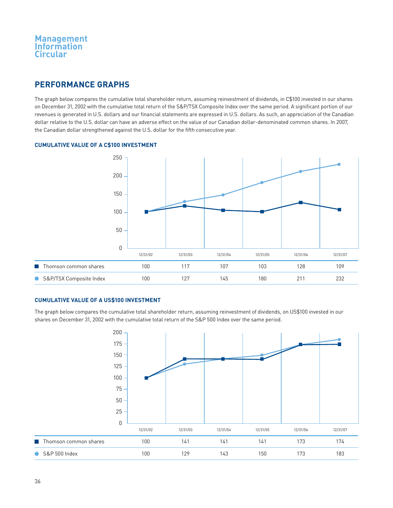## **PERFORMANCE GRAPHS**

The graph below compares the cumulative total shareholder return, assuming reinvestment of dividends, in C\$100 invested in our shares on December 31, 2002 with the cumulative total return of the S&P/TSX Composite Index over the same period. A significant portion of our revenues is generated in U.S. dollars and our financial statements are expressed in U.S. dollars. As such, an appreciation of the Canadian dollar relative to the U.S. dollar can have an adverse effect on the value of our Canadian dollar-denominated common shares. In 2007, the Canadian dollar strengthened against the U.S. dollar for the fifth consecutive year.

## **CUMULATIVE VALUE OF A C\$100 INVESTMENT**



### **CUMULATIVE VALUE OF A US\$100 INVESTMENT**

The graph below compares the cumulative total shareholder return, assuming reinvestment of dividends, on US\$100 invested in our shares on December 31, 2002 with the cumulative total return of the S&P 500 Index over the same period.

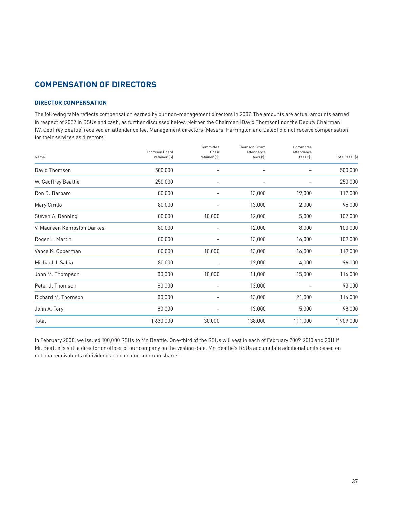## **COMPENSATION OF DIRECTORS**

## **DIRECTOR COMPENSATION**

The following table reflects compensation earned by our non-management directors in 2007. The amounts are actual amounts earned in respect of 2007 in DSUs and cash, as further discussed below. Neither the Chairman (David Thomson) nor the Deputy Chairman (W. Geoffrey Beattie) received an attendance fee. Management directors (Messrs. Harrington and Daleo) did not receive compensation for their services as directors.

| Name                       | Thomson Board<br>retainer (\$) | Committee<br>Chair<br>retainer (\$) | Thomson Board<br>attendance<br>fees $($ \$) | Committee<br>attendance<br>fees $($ \$) | Total fees (\$) |
|----------------------------|--------------------------------|-------------------------------------|---------------------------------------------|-----------------------------------------|-----------------|
| David Thomson              | 500,000                        |                                     |                                             |                                         | 500,000         |
| W. Geoffrey Beattie        | 250,000                        |                                     |                                             |                                         | 250,000         |
| Ron D. Barbaro             | 80,000                         |                                     | 13,000                                      | 19,000                                  | 112,000         |
| Mary Cirillo               | 80,000                         | -                                   | 13,000                                      | 2,000                                   | 95,000          |
| Steven A. Denning          | 80,000                         | 10,000                              | 12,000                                      | 5,000                                   | 107,000         |
| V. Maureen Kempston Darkes | 80,000                         |                                     | 12,000                                      | 8,000                                   | 100,000         |
| Roger L. Martin            | 80,000                         |                                     | 13,000                                      | 16,000                                  | 109,000         |
| Vance K. Opperman          | 80,000                         | 10,000                              | 13,000                                      | 16,000                                  | 119,000         |
| Michael J. Sabia           | 80,000                         | -                                   | 12,000                                      | 4,000                                   | 96,000          |
| John M. Thompson           | 80,000                         | 10,000                              | 11,000                                      | 15,000                                  | 116,000         |
| Peter J. Thomson           | 80,000                         |                                     | 13,000                                      |                                         | 93,000          |
| Richard M. Thomson         | 80,000                         |                                     | 13,000                                      | 21,000                                  | 114,000         |
| John A. Tory               | 80,000                         |                                     | 13,000                                      | 5,000                                   | 98,000          |
| Total                      | 1,630,000                      | 30,000                              | 138,000                                     | 111,000                                 | 1,909,000       |

In February 2008, we issued 100,000 RSUs to Mr. Beattie. One-third of the RSUs will vest in each of February 2009, 2010 and 2011 if Mr. Beattie is still a director or officer of our company on the vesting date. Mr. Beattie's RSUs accumulate additional units based on notional equivalents of dividends paid on our common shares.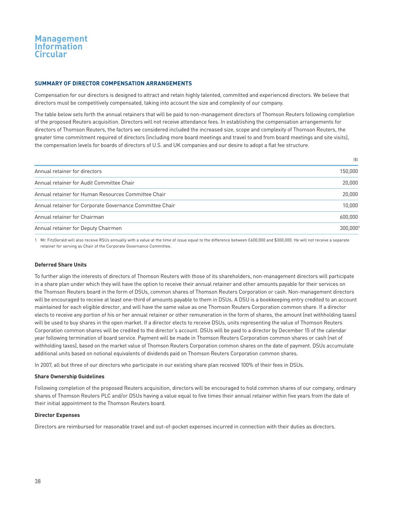#### **SUMMARY OF DIRECTOR COMPENSATION ARRANGEMENTS**

Compensation for our directors is designed to attract and retain highly talented, committed and experienced directors. We believe that directors must be competitively compensated, taking into account the size and complexity of our company.

The table below sets forth the annual retainers that will be paid to non-management directors of Thomson Reuters following completion of the proposed Reuters acquisition. Directors will not receive attendance fees. In establishing the compensation arrangements for directors of Thomson Reuters, the factors we considered included the increased size, scope and complexity of Thomson Reuters, the greater time commitment required of directors (including more board meetings and travel to and from board meetings and site visits), the compensation levels for boards of directors of U.S. and UK companies and our desire to adopt a flat fee structure.

|                                                          | (5)      |
|----------------------------------------------------------|----------|
| Annual retainer for directors                            | 150,000  |
| Annual retainer for Audit Committee Chair                | 20,000   |
| Annual retainer for Human Resources Committee Chair      | 20,000   |
| Annual retainer for Corporate Governance Committee Chair | 10.000   |
| Annual retainer for Chairman                             | 600,000  |
| Annual retainer for Deputy Chairmen                      | 300.0001 |

1 Mr. FitzGerald will also receive RSUs annually with a value at the time of issue equal to the difference between £600,000 and \$300,000. He will not receive a separate retainer for serving as Chair of the Corporate Governance Committee.

### **Deferred Share Units**

To further align the interests of directors of Thomson Reuters with those of its shareholders, non-management directors will participate in a share plan under which they will have the option to receive their annual retainer and other amounts payable for their services on the Thomson Reuters board in the form of DSUs, common shares of Thomson Reuters Corporation or cash. Non-management directors will be encouraged to receive at least one-third of amounts payable to them in DSUs. A DSU is a bookkeeping entry credited to an account maintained for each eligible director, and will have the same value as one Thomson Reuters Corporation common share. If a director elects to receive any portion of his or her annual retainer or other remuneration in the form of shares, the amount (net withholding taxes) will be used to buy shares in the open market. If a director elects to receive DSUs, units representing the value of Thomson Reuters Corporation common shares will be credited to the director's account. DSUs will be paid to a director by December 15 of the calendar year following termination of board service. Payment will be made in Thomson Reuters Corporation common shares or cash (net of withholding taxes), based on the market value of Thomson Reuters Corporation common shares on the date of payment. DSUs accumulate additional units based on notional equivalents of dividends paid on Thomson Reuters Corporation common shares.

In 2007, all but three of our directors who participate in our existing share plan received 100% of their fees in DSUs.

#### **Share Ownership Guidelines**

Following completion of the proposed Reuters acquisition, directors will be encouraged to hold common shares of our company, ordinary shares of Thomson Reuters PLC and/or DSUs having a value equal to five times their annual retainer within five years from the date of their initial appointment to the Thomson Reuters board.

#### **Director Expenses**

Directors are reimbursed for reasonable travel and out-of-pocket expenses incurred in connection with their duties as directors.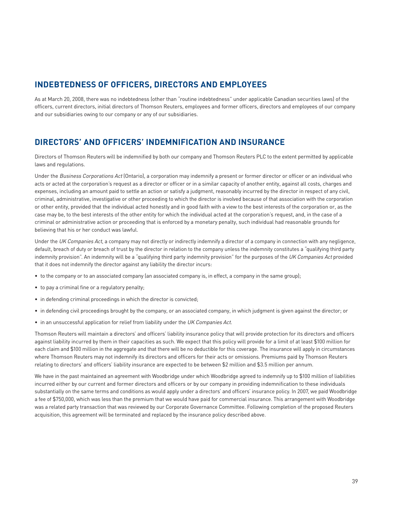## **INDEBTEDNESS OF OFFICERS, DIRECTORS AND EMPLOYEES**

As at March 20, 2008, there was no indebtedness (other than "routine indebtedness" under applicable Canadian securities laws) of the officers, current directors, initial directors of Thomson Reuters, employees and former officers, directors and employees of our company and our subsidiaries owing to our company or any of our subsidiaries.

## **DIRECTORS' AND OFFICERS' INDEMNIFICATION AND INSURANCE**

Directors of Thomson Reuters will be indemnified by both our company and Thomson Reuters PLC to the extent permitted by applicable laws and regulations.

Under the Business Corporations Act (Ontario), a corporation may indemnify a present or former director or officer or an individual who acts or acted at the corporation's request as a director or officer or in a similar capacity of another entity, against all costs, charges and expenses, including an amount paid to settle an action or satisfy a judgment, reasonably incurred by the director in respect of any civil, criminal, administrative, investigative or other proceeding to which the director is involved because of that association with the corporation or other entity, provided that the individual acted honestly and in good faith with a view to the best interests of the corporation or, as the case may be, to the best interests of the other entity for which the individual acted at the corporation's request, and, in the case of a criminal or administrative action or proceeding that is enforced by a monetary penalty, such individual had reasonable grounds for believing that his or her conduct was lawful.

Under the UK Companies Act, a company may not directly or indirectly indemnify a director of a company in connection with any negligence, default, breach of duty or breach of trust by the director in relation to the company unless the indemnity constitutes a "qualifying third party indemnity provision". An indemnity will be a "qualifying third party indemnity provision" for the purposes of the UK Companies Act provided that it does not indemnify the director against any liability the director incurs:

- to the company or to an associated company (an associated company is, in effect, a company in the same group);
- to pay a criminal fine or a regulatory penalty;
- in defending criminal proceedings in which the director is convicted;
- in defending civil proceedings brought by the company, or an associated company, in which judgment is given against the director; or
- in an unsuccessful application for relief from liability under the UK Companies Act.

Thomson Reuters will maintain a directors' and officers' liability insurance policy that will provide protection for its directors and officers against liability incurred by them in their capacities as such. We expect that this policy will provide for a limit of at least \$100 million for each claim and \$100 million in the aggregate and that there will be no deductible for this coverage. The insurance will apply in circumstances where Thomson Reuters may not indemnify its directors and officers for their acts or omissions. Premiums paid by Thomson Reuters relating to directors' and officers' liability insurance are expected to be between \$2 million and \$3.5 million per annum.

We have in the past maintained an agreement with Woodbridge under which Woodbridge agreed to indemnify up to \$100 million of liabilities incurred either by our current and former directors and officers or by our company in providing indemnification to these individuals substantially on the same terms and conditions as would apply under a directors' and officers' insurance policy. In 2007, we paid Woodbridge a fee of \$750,000, which was less than the premium that we would have paid for commercial insurance. This arrangement with Woodbridge was a related party transaction that was reviewed by our Corporate Governance Committee. Following completion of the proposed Reuters acquisition, this agreement will be terminated and replaced by the insurance policy described above.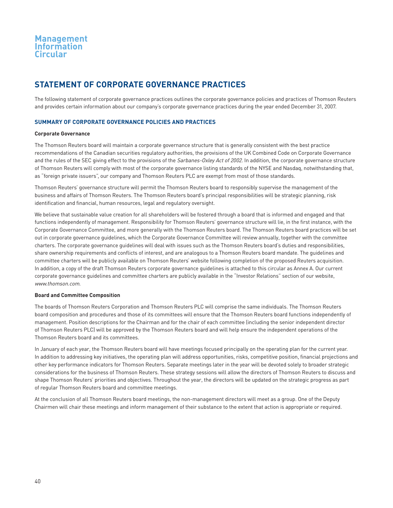## **STATEMENT OF CORPORATE GOVERNANCE PRACTICES**

The following statement of corporate governance practices outlines the corporate governance policies and practices of Thomson Reuters and provides certain information about our company's corporate governance practices during the year ended December 31, 2007.

## **SUMMARY OF CORPORATE GOVERNANCE POLICIES AND PRACTICES**

#### **Corporate Governance**

The Thomson Reuters board will maintain a corporate governance structure that is generally consistent with the best practice recommendations of the Canadian securities regulatory authorities, the provisions of the UK Combined Code on Corporate Governance and the rules of the SEC giving effect to the provisions of the Sarbanes-Oxley Act of 2002. In addition, the corporate governance structure of Thomson Reuters will comply with most of the corporate governance listing standards of the NYSE and Nasdaq, notwithstanding that, as "foreign private issuers", our company and Thomson Reuters PLC are exempt from most of those standards.

Thomson Reuters' governance structure will permit the Thomson Reuters board to responsibly supervise the management of the business and affairs of Thomson Reuters. The Thomson Reuters board's principal responsibilities will be strategic planning, risk identification and financial, human resources, legal and regulatory oversight.

We believe that sustainable value creation for all shareholders will be fostered through a board that is informed and engaged and that functions independently of management. Responsibility for Thomson Reuters' governance structure will lie, in the first instance, with the Corporate Governance Committee, and more generally with the Thomson Reuters board. The Thomson Reuters board practices will be set out in corporate governance guidelines, which the Corporate Governance Committee will review annually, together with the committee charters. The corporate governance guidelines will deal with issues such as the Thomson Reuters board's duties and responsibilities, share ownership requirements and conflicts of interest, and are analogous to a Thomson Reuters board mandate. The guidelines and committee charters will be publicly available on Thomson Reuters' website following completion of the proposed Reuters acquisition. In addition, a copy of the draft Thomson Reuters corporate governance guidelines is attached to this circular as Annex A. Our current corporate governance guidelines and committee charters are publicly available in the "Investor Relations" section of our website, www.thomson.com.

#### **Board and Committee Composition**

The boards of Thomson Reuters Corporation and Thomson Reuters PLC will comprise the same individuals. The Thomson Reuters board composition and procedures and those of its committees will ensure that the Thomson Reuters board functions independently of management. Position descriptions for the Chairman and for the chair of each committee (including the senior independent director of Thomson Reuters PLC) will be approved by the Thomson Reuters board and will help ensure the independent operations of the Thomson Reuters board and its committees.

In January of each year, the Thomson Reuters board will have meetings focused principally on the operating plan for the current year. In addition to addressing key initiatives, the operating plan will address opportunities, risks, competitive position, financial projections and other key performance indicators for Thomson Reuters. Separate meetings later in the year will be devoted solely to broader strategic considerations for the business of Thomson Reuters. These strategy sessions will allow the directors of Thomson Reuters to discuss and shape Thomson Reuters' priorities and objectives. Throughout the year, the directors will be updated on the strategic progress as part of regular Thomson Reuters board and committee meetings.

At the conclusion of all Thomson Reuters board meetings, the non-management directors will meet as a group. One of the Deputy Chairmen will chair these meetings and inform management of their substance to the extent that action is appropriate or required.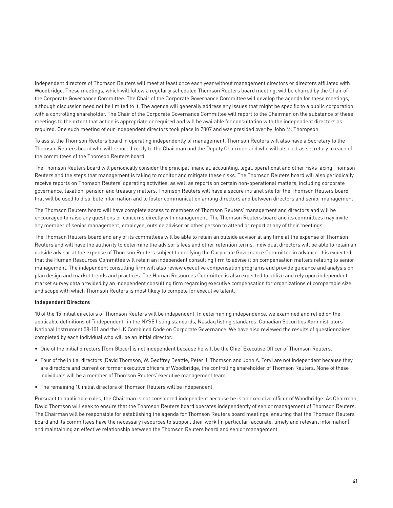Independent directors of Thomson Reuters will meet at least once each year without management directors or directors affiliated with Woodbridge. These meetings, which will follow a regularly scheduled Thomson Reuters board meeting, will be chaired by the Chair of the Corporate Governance Committee. The Chair of the Corporate Governance Committee will develop the agenda for these meetings, although discussion need not be limited to it. The agenda will generally address any issues that might be specific to a public corporation with a controlling shareholder. The Chair of the Corporate Governance Committee will report to the Chairman on the substance of these meetings to the extent that action is appropriate or required and will be available for consultation with the independent directors as required. One such meeting of our independent directors took place in 2007 and was presided over by John M. Thompson.

To assist the Thomson Reuters board in operating independently of management, Thomson Reuters will also have a Secretary to the Thomson Reuters board who will report directly to the Chairman and the Deputy Chairmen and who will also act as secretary to each of the committees of the Thomson Reuters board.

The Thomson Reuters board will periodically consider the principal financial, accounting, legal, operational and other risks facing Thomson Reuters and the steps that management is taking to monitor and mitigate these risks. The Thomson Reuters board will also periodically receive reports on Thomson Reuters' operating activities, as well as reports on certain non-operational matters, including corporate governance, taxation, pension and treasury matters. Thomson Reuters will have a secure intranet site for the Thomson Reuters board that will be used to distribute information and to foster communication among directors and between directors and senior management.

The Thomson Reuters board will have complete access to members of Thomson Reuters' management and directors and will be encouraged to raise any questions or concerns directly with management. The Thomson Reuters board and its committees may invite any member of senior management, employee, outside advisor or other person to attend or report at any of their meetings.

The Thomson Reuters board and any of its committees will be able to retain an outside advisor at any time at the expense of Thomson Reuters and will have the authority to determine the advisor's fees and other retention terms. Individual directors will be able to retain an outside advisor at the expense of Thomson Reuters subject to notifying the Corporate Governance Committee in advance. It is expected that the Human Resources Committee will retain an independent consulting firm to advise it on compensation matters relating to senior management. The independent consulting firm will also review executive compensation programs and provide guidance and analysis on plan design and market trends and practices. The Human Resources Committee is also expected to utilize and rely upon independent market survey data provided by an independent consulting firm regarding executive compensation for organizations of comparable size and scope with which Thomson Reuters is most likely to compete for executive talent.

#### **Independent Directors**

10 of the 15 initial directors of Thomson Reuters will be independent. In determining independence, we examined and relied on the applicable definitions of "independent" in the NYSE listing standards, Nasdaq listing standards, Canadian Securities Administrators' National Instrument 58-101 and the UK Combined Code on Corporate Governance. We have also reviewed the results of questionnaires completed by each individual who will be an initial director.

- One of the initial directors (Tom Glocer) is not independent because he will be the Chief Executive Officer of Thomson Reuters.
- Four of the initial directors (David Thomson, W. Geoffrey Beattie, Peter J. Thomson and John A. Tory) are not independent because they are directors and current or former executive officers of Woodbridge, the controlling shareholder of Thomson Reuters. None of these individuals will be a member of Thomson Reuters' executive management team.
- The remaining 10 initial directors of Thomson Reuters will be independent.

Pursuant to applicable rules, the Chairman is not considered independent because he is an executive officer of Woodbridge. As Chairman, David Thomson will seek to ensure that the Thomson Reuters board operates independently of senior management of Thomson Reuters. The Chairman will be responsible for establishing the agenda for Thomson Reuters board meetings, ensuring that the Thomson Reuters board and its committees have the necessary resources to support their work (in particular, accurate, timely and relevant information), and maintaining an effective relationship between the Thomson Reuters board and senior management.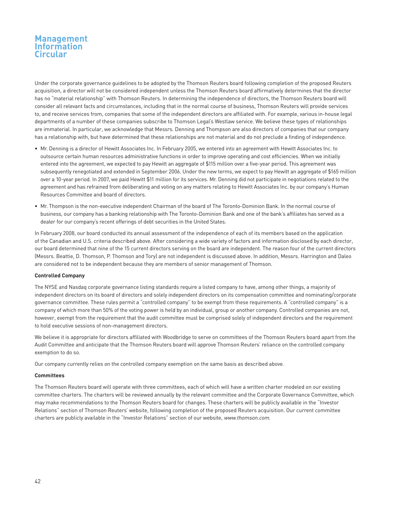Under the corporate governance guidelines to be adopted by the Thomson Reuters board following completion of the proposed Reuters acquisition, a director will not be considered independent unless the Thomson Reuters board affirmatively determines that the director has no "material relationship" with Thomson Reuters. In determining the independence of directors, the Thomson Reuters board will consider all relevant facts and circumstances, including that in the normal course of business, Thomson Reuters will provide services to, and receive services from, companies that some of the independent directors are affiliated with. For example, various in-house legal departments of a number of these companies subscribe to Thomson Legal's Westlaw service. We believe these types of relationships are immaterial. In particular, we acknowledge that Messrs. Denning and Thompson are also directors of companies that our company has a relationship with, but have determined that these relationships are not material and do not preclude a finding of independence.

- Mr. Denning is a director of Hewitt Associates Inc. In February 2005, we entered into an agreement with Hewitt Associates Inc. to outsource certain human resources administrative functions in order to improve operating and cost efficiencies. When we initially entered into the agreement, we expected to pay Hewitt an aggregate of \$115 million over a five-year period. This agreement was subsequently renegotiated and extended in September 2006. Under the new terms, we expect to pay Hewitt an aggregate of \$165 million over a 10-year period. In 2007, we paid Hewitt \$11 million for its services. Mr. Denning did not participate in negotiations related to the agreement and has refrained from deliberating and voting on any matters relating to Hewitt Associates Inc. by our company's Human Resources Committee and board of directors.
- Mr. Thompson is the non-executive independent Chairman of the board of The Toronto-Dominion Bank. In the normal course of business, our company has a banking relationship with The Toronto-Dominion Bank and one of the bank's affiliates has served as a dealer for our company's recent offerings of debt securities in the United States.

In February 2008, our board conducted its annual assessment of the independence of each of its members based on the application of the Canadian and U.S. criteria described above. After considering a wide variety of factors and information disclosed by each director, our board determined that nine of the 15 current directors serving on the board are independent. The reason four of the current directors (Messrs. Beattie, D. Thomson, P. Thomson and Tory) are not independent is discussed above. In addition, Messrs. Harrington and Daleo are considered not to be independent because they are members of senior management of Thomson.

#### **Controlled Company**

The NYSE and Nasdaq corporate governance listing standards require a listed company to have, among other things, a majority of independent directors on its board of directors and solely independent directors on its compensation committee and nominating/corporate governance committee. These rules permit a "controlled company" to be exempt from these requirements. A "controlled company" is a company of which more than 50% of the voting power is held by an individual, group or another company. Controlled companies are not, however, exempt from the requirement that the audit committee must be comprised solely of independent directors and the requirement to hold executive sessions of non-management directors.

We believe it is appropriate for directors affiliated with Woodbridge to serve on committees of the Thomson Reuters board apart from the Audit Committee and anticipate that the Thomson Reuters board will approve Thomson Reuters' reliance on the controlled company exemption to do so.

Our company currently relies on the controlled company exemption on the same basis as described above.

### **Committees**

The Thomson Reuters board will operate with three committees, each of which will have a written charter modeled on our existing committee charters. The charters will be reviewed annually by the relevant committee and the Corporate Governance Committee, which may make recommendations to the Thomson Reuters board for changes. These charters will be publicly available in the "Investor Relations" section of Thomson Reuters' website, following completion of the proposed Reuters acquisition. Our current committee charters are publicly available in the "Investor Relations" section of our website, www.thomson.com.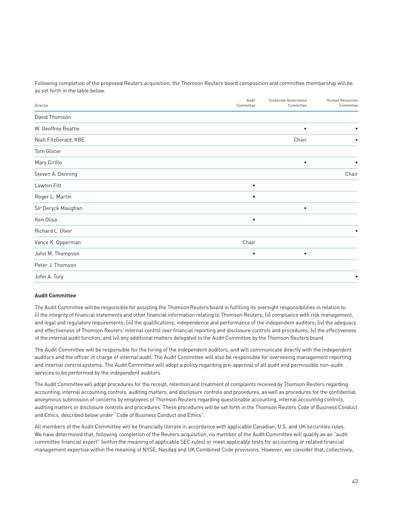Following completion of the proposed Reuters acquisition, the Thomson Reuters board composition and committee membership will be as set forth in the table below.

| Director              | Audit<br>Committee | Corporate Governance<br>Committee | Human Resources<br>Committee |
|-----------------------|--------------------|-----------------------------------|------------------------------|
| David Thomson         |                    |                                   |                              |
| W. Geoffrey Beattie   |                    | $\bullet$                         |                              |
| Niall FitzGerald, KBE |                    | Chair                             | ٠                            |
| Tom Glocer            |                    |                                   |                              |
| Mary Cirillo          |                    | $\bullet$                         | $\bullet$                    |
| Steven A. Denning     |                    |                                   | Chair                        |
| Lawton Fitt           | $\bullet$          |                                   |                              |
| Roger L. Martin       | $\bullet$          |                                   |                              |
| Sir Deryck Maughan    |                    | $\bullet$                         |                              |
| Ken Olisa             | $\bullet$          |                                   |                              |
| Richard L. Olver      |                    |                                   |                              |
| Vance K. Opperman     | Chair              |                                   |                              |
| John M. Thompson      | $\bullet$          | $\bullet$                         |                              |
| Peter J. Thomson      |                    |                                   |                              |
| John A. Tory          |                    |                                   |                              |

#### **Audit Committee**

The Audit Committee will be responsible for assisting the Thomson Reuters board in fulfilling its oversight responsibilities in relation to: (i) the integrity of financial statements and other financial information relating to Thomson Reuters; (ii) compliance with risk management, and legal and regulatory requirements; (iii) the qualifications, independence and performance of the independent auditors; (iv) the adequacy and effectiveness of Thomson Reuters' internal control over financial reporting and disclosure controls and procedures; (v) the effectiveness of the internal audit function; and (vi) any additional matters delegated to the Audit Committee by the Thomson Reuters board.

The Audit Committee will be responsible for the hiring of the independent auditors, and will communicate directly with the independent auditors and the officer in charge of internal audit. The Audit Committee will also be responsible for overseeing management reporting and internal control systems. The Audit Committee will adopt a policy regarding pre-approval of all audit and permissible non-audit services to be performed by the independent auditors.

The Audit Committee will adopt procedures for the receipt, retention and treatment of complaints received by Thomson Reuters regarding accounting, internal accounting controls, auditing matters, and disclosure controls and procedures, as well as procedures for the confidential, anonymous submission of concerns by employees of Thomson Reuters regarding questionable accounting, internal accounting controls, auditing matters or disclosure controls and procedures. These procedures will be set forth in the Thomson Reuters Code of Business Conduct and Ethics, described below under "Code of Business Conduct and Ethics".

All members of the Audit Committee will be financially literate in accordance with applicable Canadian, U.S. and UK securities rules. We have determined that, following completion of the Reuters acquisition, no member of the Audit Committee will qualify as an "audit committee financial expert" (within the meaning of applicable SEC rules) or meet applicable tests for accounting or related financial management expertise within the meaning of NYSE, Nasdaq and UK Combined Code provisions. However, we consider that, collectively,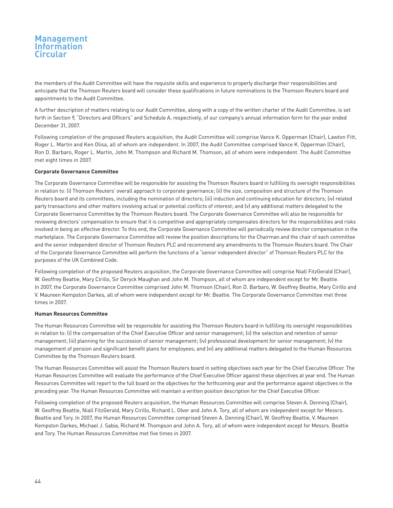the members of the Audit Committee will have the requisite skills and experience to properly discharge their responsibilities and anticipate that the Thomson Reuters board will consider these qualifications in future nominations to the Thomson Reuters board and appointments to the Audit Committee.

A further description of matters relating to our Audit Committee, along with a copy of the written charter of the Audit Committee, is set forth in Section 9, "Directors and Officers" and Schedule A, respectively, of our company's annual information form for the year ended December 31, 2007.

Following completion of the proposed Reuters acquisition, the Audit Committee will comprise Vance K. Opperman (Chair), Lawton Fitt, Roger L. Martin and Ken Olisa, all of whom are independent. In 2007, the Audit Committee comprised Vance K. Opperman (Chair), Ron D. Barbaro, Roger L. Martin, John M. Thompson and Richard M. Thomson, all of whom were independent. The Audit Committee met eight times in 2007.

### **Corporate Governance Committee**

The Corporate Governance Committee will be responsible for assisting the Thomson Reuters board in fulfilling its oversight responsibilities in relation to: (i) Thomson Reuters' overall approach to corporate governance; (ii) the size, composition and structure of the Thomson Reuters board and its committees, including the nomination of directors; (iii) induction and continuing education for directors; (iv) related party transactions and other matters involving actual or potential conflicts of interest; and (v) any additional matters delegated to the Corporate Governance Committee by the Thomson Reuters board. The Corporate Governance Committee will also be responsible for reviewing directors' compensation to ensure that it is competitive and appropriately compensates directors for the responsibilities and risks involved in being an effective director. To this end, the Corporate Governance Committee will periodically review director compensation in the marketplace. The Corporate Governance Committee will review the position descriptions for the Chairman and the chair of each committee and the senior independent director of Thomson Reuters PLC and recommend any amendments to the Thomson Reuters board. The Chair of the Corporate Governance Committee will perform the functions of a "senior independent director" of Thomson Reuters PLC for the purposes of the UK Combined Code.

Following completion of the proposed Reuters acquisition, the Corporate Governance Committee will comprise Niall FitzGerald (Chair), W. Geoffrey Beattie, Mary Cirillo, Sir Deryck Maughan and John M. Thompson, all of whom are independent except for Mr. Beattie. In 2007, the Corporate Governance Committee comprised John M. Thomson (Chair), Ron D. Barbaro, W. Geoffrey Beattie, Mary Cirillo and V. Maureen Kempston Darkes, all of whom were independent except for Mr. Beattie. The Corporate Governance Committee met three times in 2007.

### **Human Resources Committee**

The Human Resources Committee will be responsible for assisting the Thomson Reuters board in fulfilling its oversight responsibilities in relation to: (i) the compensation of the Chief Executive Officer and senior management; (ii) the selection and retention of senior management; (iii) planning for the succession of senior management; (iv) professional development for senior management; (v) the management of pension and significant benefit plans for employees; and (vi) any additional matters delegated to the Human Resources Committee by the Thomson Reuters board.

The Human Resources Committee will assist the Thomson Reuters board in setting objectives each year for the Chief Executive Officer. The Human Resources Committee will evaluate the performance of the Chief Executive Officer against these objectives at year end. The Human Resources Committee will report to the full board on the objectives for the forthcoming year and the performance against objectives in the preceding year. The Human Resources Committee will maintain a written position description for the Chief Executive Officer.

Following completion of the proposed Reuters acquisition, the Human Resources Committee will comprise Steven A. Denning (Chair), W. Geoffrey Beattie, Niall FitzGerald, Mary Cirillo, Richard L. Olver and John A. Tory, all of whom are independent except for Messrs. Beattie and Tory. In 2007, the Human Resources Committee comprised Steven A. Denning (Chair), W. Geoffrey Beattie, V. Maureen Kempston Darkes, Michael J. Sabia, Richard M. Thompson and John A. Tory, all of whom were independent except for Messrs. Beattie and Tory. The Human Resources Committee met five times in 2007.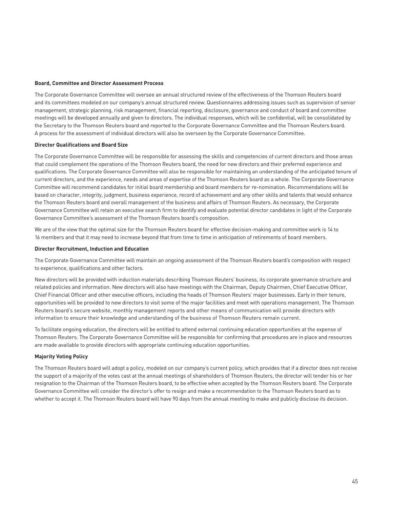#### **Board, Committee and Director Assessment Process**

The Corporate Governance Committee will oversee an annual structured review of the effectiveness of the Thomson Reuters board and its committees modeled on our company's annual structured review. Questionnaires addressing issues such as supervision of senior management, strategic planning, risk management, financial reporting, disclosure, governance and conduct of board and committee meetings will be developed annually and given to directors. The individual responses, which will be confidential, will be consolidated by the Secretary to the Thomson Reuters board and reported to the Corporate Governance Committee and the Thomson Reuters board. A process for the assessment of individual directors will also be overseen by the Corporate Governance Committee.

#### **Director Qualifications and Board Size**

The Corporate Governance Committee will be responsible for assessing the skills and competencies of current directors and those areas that could complement the operations of the Thomson Reuters board, the need for new directors and their preferred experience and qualifications. The Corporate Governance Committee will also be responsible for maintaining an understanding of the anticipated tenure of current directors, and the experience, needs and areas of expertise of the Thomson Reuters board as a whole. The Corporate Governance Committee will recommend candidates for initial board membership and board members for re-nomination. Recommendations will be based on character, integrity, judgment, business experience, record of achievement and any other skills and talents that would enhance the Thomson Reuters board and overall management of the business and affairs of Thomson Reuters. As necessary, the Corporate Governance Committee will retain an executive search firm to identify and evaluate potential director candidates in light of the Corporate Governance Committee's assessment of the Thomson Reuters board's composition.

We are of the view that the optimal size for the Thomson Reuters board for effective decision-making and committee work is 14 to 16 members and that it may need to increase beyond that from time to time in anticipation of retirements of board members.

#### **Director Recruitment, Induction and Education**

The Corporate Governance Committee will maintain an ongoing assessment of the Thomson Reuters board's composition with respect to experience, qualifications and other factors.

New directors will be provided with induction materials describing Thomson Reuters' business, its corporate governance structure and related policies and information. New directors will also have meetings with the Chairman, Deputy Chairmen, Chief Executive Officer, Chief Financial Officer and other executive officers, including the heads of Thomson Reuters' major businesses. Early in their tenure, opportunities will be provided to new directors to visit some of the major facilities and meet with operations management. The Thomson Reuters board's secure website, monthly management reports and other means of communication will provide directors with information to ensure their knowledge and understanding of the business of Thomson Reuters remain current.

To facilitate ongoing education, the directors will be entitled to attend external continuing education opportunities at the expense of Thomson Reuters. The Corporate Governance Committee will be responsible for confirming that procedures are in place and resources are made available to provide directors with appropriate continuing education opportunities.

### **Majority Voting Policy**

The Thomson Reuters board will adopt a policy, modeled on our company's current policy, which provides that if a director does not receive the support of a majority of the votes cast at the annual meetings of shareholders of Thomson Reuters, the director will tender his or her resignation to the Chairman of the Thomson Reuters board, to be effective when accepted by the Thomson Reuters board. The Corporate Governance Committee will consider the director's offer to resign and make a recommendation to the Thomson Reuters board as to whether to accept it. The Thomson Reuters board will have 90 days from the annual meeting to make and publicly disclose its decision.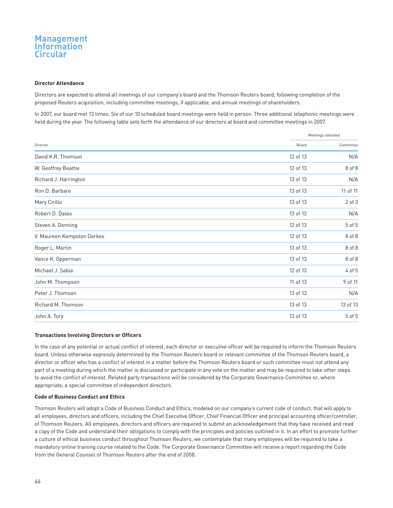#### **Director Attendance**

Directors are expected to attend all meetings of our company's board and the Thomson Reuters board, following completion of the proposed Reuters acquisition, including committee meetings, if applicable, and annual meetings of shareholders.

In 2007, our board met 13 times. Six of our 10 scheduled board meetings were held in person. Three additional telephonic meetings were held during the year. The following table sets forth the attendance of our directors at board and committee meetings in 2007.

|                            | Meetings attended |            |
|----------------------------|-------------------|------------|
| Director                   | Board             | Committee  |
| David K.R. Thomson         | 12 of 13          | N/A        |
| W. Geoffrey Beattie        | 12 of 13          | 8 of 8     |
| Richard J. Harrington      | 13 of 13          | N/A        |
| Ron D. Barbaro             | 13 of 13          | 11 of 11   |
| Mary Cirillo               | 13 of 13          | $2$ of $3$ |
| Robert D. Daleo            | 13 of 13          | N/A        |
| Steven A. Denning          | 12 of 13          | 5 of 5     |
| V. Maureen Kempston Darkes | 12 of 13          | 8 of 8     |
| Roger L. Martin            | 13 of 13          | 8 of 8     |
| Vance K. Opperman          | 13 of 13          | 8 of 8     |
| Michael J. Sabia           | 12 of 13          | 4 of 5     |
| John M. Thompson           | 11 of 13          | 9 of 11    |
| Peter J. Thomson           | 13 of 13          | N/A        |
| Richard M. Thomson         | 13 of 13          | 13 of 13   |
| John A. Tory               | 13 of 13          | 5 of 5     |

#### **Transactions Involving Directors or Officers**

In the case of any potential or actual conflict of interest, each director or executive officer will be required to inform the Thomson Reuters board. Unless otherwise expressly determined by the Thomson Reuters board or relevant committee of the Thomson Reuters board, a director or officer who has a conflict of interest in a matter before the Thomson Reuters board or such committee must not attend any part of a meeting during which the matter is discussed or participate in any vote on the matter and may be required to take other steps to avoid the conflict of interest. Related party transactions will be considered by the Corporate Governance Committee or, where appropriate, a special committee of independent directors.

#### **Code of Business Conduct and Ethics**

Thomson Reuters will adopt a Code of Business Conduct and Ethics, modeled on our company's current code of conduct, that will apply to all employees, directors and officers, including the Chief Executive Officer, Chief Financial Officer and principal accounting officer/controller, of Thomson Reuters. All employees, directors and officers are required to submit an acknowledgement that they have received and read a copy of the Code and understand their obligations to comply with the principles and policies outlined in it. In an effort to promote further a culture of ethical business conduct throughout Thomson Reuters, we contemplate that many employees will be required to take a mandatory online training course related to the Code. The Corporate Governance Committee will receive a report regarding the Code from the General Counsel of Thomson Reuters after the end of 2008.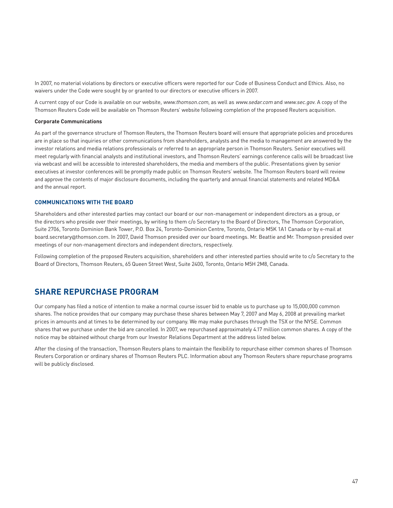In 2007, no material violations by directors or executive officers were reported for our Code of Business Conduct and Ethics. Also, no waivers under the Code were sought by or granted to our directors or executive officers in 2007.

A current copy of our Code is available on our website, www.thomson.com, as well as www.sedar.com and www.sec.gov. A copy of the Thomson Reuters Code will be available on Thomson Reuters' website following completion of the proposed Reuters acquisition.

#### **Corporate Communications**

As part of the governance structure of Thomson Reuters, the Thomson Reuters board will ensure that appropriate policies and procedures are in place so that inquiries or other communications from shareholders, analysts and the media to management are answered by the investor relations and media relations professionals or referred to an appropriate person in Thomson Reuters. Senior executives will meet regularly with financial analysts and institutional investors, and Thomson Reuters' earnings conference calls will be broadcast live via webcast and will be accessible to interested shareholders, the media and members of the public. Presentations given by senior executives at investor conferences will be promptly made public on Thomson Reuters' website. The Thomson Reuters board will review and approve the contents of major disclosure documents, including the quarterly and annual financial statements and related MD&A and the annual report.

### **COMMUNICATIONS WITH THE BOARD**

Shareholders and other interested parties may contact our board or our non-management or independent directors as a group, or the directors who preside over their meetings, by writing to them c/o Secretary to the Board of Directors, The Thomson Corporation, Suite 2706, Toronto Dominion Bank Tower, P.O. Box 24, Toronto-Dominion Centre, Toronto, Ontario M5K 1A1 Canada or by e-mail at board.secretary@thomson.com. In 2007, David Thomson presided over our board meetings. Mr. Beattie and Mr. Thompson presided over meetings of our non-management directors and independent directors, respectively.

Following completion of the proposed Reuters acquisition, shareholders and other interested parties should write to c/o Secretary to the Board of Directors, Thomson Reuters, 65 Queen Street West, Suite 2400, Toronto, Ontario M5H 2M8, Canada.

## **SHARE REPURCHASE PROGRAM**

Our company has filed a notice of intention to make a normal course issuer bid to enable us to purchase up to 15,000,000 common shares. The notice provides that our company may purchase these shares between May 7, 2007 and May 6, 2008 at prevailing market prices in amounts and at times to be determined by our company. We may make purchases through the TSX or the NYSE. Common shares that we purchase under the bid are cancelled. In 2007, we repurchased approximately 4.17 million common shares. A copy of the notice may be obtained without charge from our Investor Relations Department at the address listed below.

After the closing of the transaction, Thomson Reuters plans to maintain the flexibility to repurchase either common shares of Thomson Reuters Corporation or ordinary shares of Thomson Reuters PLC. Information about any Thomson Reuters share repurchase programs will be publicly disclosed.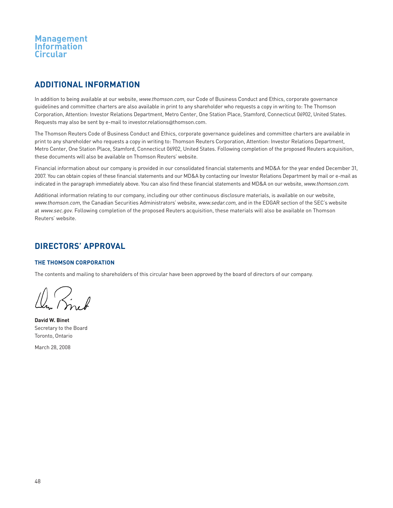## **ADDITIONAL INFORMATION**

In addition to being available at our website, www.thomson.com, our Code of Business Conduct and Ethics, corporate governance guidelines and committee charters are also available in print to any shareholder who requests a copy in writing to: The Thomson Corporation, Attention: Investor Relations Department, Metro Center, One Station Place, Stamford, Connecticut 06902, United States. Requests may also be sent by e-mail to investor.relations@thomson.com.

The Thomson Reuters Code of Business Conduct and Ethics, corporate governance guidelines and committee charters are available in print to any shareholder who requests a copy in writing to: Thomson Reuters Corporation, Attention: Investor Relations Department, Metro Center, One Station Place, Stamford, Connecticut 06902, United States. Following completion of the proposed Reuters acquisition, these documents will also be available on Thomson Reuters' website.

Financial information about our company is provided in our consolidated financial statements and MD&A for the year ended December 31, 2007. You can obtain copies of these financial statements and our MD&A by contacting our Investor Relations Department by mail or e-mail as indicated in the paragraph immediately above. You can also find these financial statements and MD&A on our website, www.thomson.com.

Additional information relating to our company, including our other continuous disclosure materials, is available on our website, www.thomson.com, the Canadian Securities Administrators' website, www.sedar.com, and in the EDGAR section of the SEC's website at www.sec.gov. Following completion of the proposed Reuters acquisition, these materials will also be available on Thomson Reuters' website.

## **DIRECTORS' APPROVAL**

## **THE THOMSON CORPORATION**

The contents and mailing to shareholders of this circular have been approved by the board of directors of our company.

 $\left\langle \cdot\right\rangle _{n}$ 

**David W. Binet** Secretary to the Board Toronto, Ontario

March 28, 2008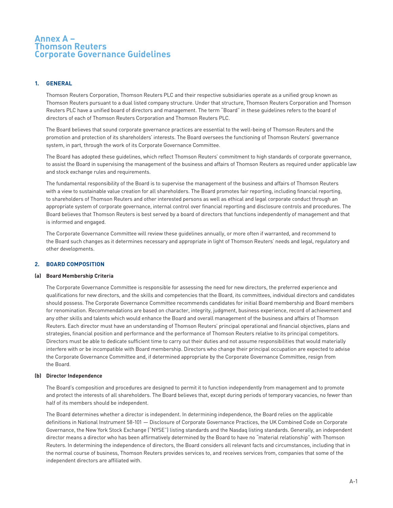## **Annex A – Thomson Reuters Corporate Governance Guidelines**

## **1. GENERAL**

Thomson Reuters Corporation, Thomson Reuters PLC and their respective subsidiaries operate as a unified group known as Thomson Reuters pursuant to a dual listed company structure. Under that structure, Thomson Reuters Corporation and Thomson Reuters PLC have a unified board of directors and management. The term "Board" in these guidelines refers to the board of directors of each of Thomson Reuters Corporation and Thomson Reuters PLC.

The Board believes that sound corporate governance practices are essential to the well-being of Thomson Reuters and the promotion and protection of its shareholders' interests. The Board oversees the functioning of Thomson Reuters' governance system, in part, through the work of its Corporate Governance Committee.

The Board has adopted these guidelines, which reflect Thomson Reuters' commitment to high standards of corporate governance, to assist the Board in supervising the management of the business and affairs of Thomson Reuters as required under applicable law and stock exchange rules and requirements.

The fundamental responsibility of the Board is to supervise the management of the business and affairs of Thomson Reuters with a view to sustainable value creation for all shareholders. The Board promotes fair reporting, including financial reporting, to shareholders of Thomson Reuters and other interested persons as well as ethical and legal corporate conduct through an appropriate system of corporate governance, internal control over financial reporting and disclosure controls and procedures. The Board believes that Thomson Reuters is best served by a board of directors that functions independently of management and that is informed and engaged.

The Corporate Governance Committee will review these guidelines annually, or more often if warranted, and recommend to the Board such changes as it determines necessary and appropriate in light of Thomson Reuters' needs and legal, regulatory and other developments.

## **2. BOARD COMPOSITION**

### **(a) Board Membership Criteria**

The Corporate Governance Committee is responsible for assessing the need for new directors, the preferred experience and qualifications for new directors, and the skills and competencies that the Board, its committees, individual directors and candidates should possess. The Corporate Governance Committee recommends candidates for initial Board membership and Board members for renomination. Recommendations are based on character, integrity, judgment, business experience, record of achievement and any other skills and talents which would enhance the Board and overall management of the business and affairs of Thomson Reuters. Each director must have an understanding of Thomson Reuters' principal operational and financial objectives, plans and strategies, financial position and performance and the performance of Thomson Reuters relative to its principal competitors. Directors must be able to dedicate sufficient time to carry out their duties and not assume responsibilities that would materially interfere with or be incompatible with Board membership. Directors who change their principal occupation are expected to advise the Corporate Governance Committee and, if determined appropriate by the Corporate Governance Committee, resign from the Board.

### **(b) Director Independence**

The Board's composition and procedures are designed to permit it to function independently from management and to promote and protect the interests of all shareholders. The Board believes that, except during periods of temporary vacancies, no fewer than half of its members should be independent.

The Board determines whether a director is independent. In determining independence, the Board relies on the applicable definitions in National Instrument 58-101 — Disclosure of Corporate Governance Practices, the UK Combined Code on Corporate Governance, the New York Stock Exchange ("NYSE") listing standards and the Nasdaq listing standards. Generally, an independent director means a director who has been affirmatively determined by the Board to have no "material relationship" with Thomson Reuters. In determining the independence of directors, the Board considers all relevant facts and circumstances, including that in the normal course of business, Thomson Reuters provides services to, and receives services from, companies that some of the independent directors are affiliated with.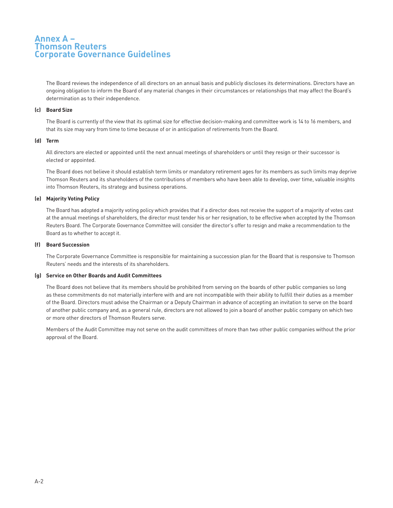## **Annex A – Thomson Reuters Corporate Governance Guidelines**

The Board reviews the independence of all directors on an annual basis and publicly discloses its determinations. Directors have an ongoing obligation to inform the Board of any material changes in their circumstances or relationships that may affect the Board's determination as to their independence.

#### **(c) Board Size**

The Board is currently of the view that its optimal size for effective decision-making and committee work is 14 to 16 members, and that its size may vary from time to time because of or in anticipation of retirements from the Board.

#### **(d) Term**

All directors are elected or appointed until the next annual meetings of shareholders or until they resign or their successor is elected or appointed.

The Board does not believe it should establish term limits or mandatory retirement ages for its members as such limits may deprive Thomson Reuters and its shareholders of the contributions of members who have been able to develop, over time, valuable insights into Thomson Reuters, its strategy and business operations.

### **(e) Majority Voting Policy**

The Board has adopted a majority voting policy which provides that if a director does not receive the support of a majority of votes cast at the annual meetings of shareholders, the director must tender his or her resignation, to be effective when accepted by the Thomson Reuters Board. The Corporate Governance Committee will consider the director's offer to resign and make a recommendation to the Board as to whether to accept it.

#### **(f) Board Succession**

The Corporate Governance Committee is responsible for maintaining a succession plan for the Board that is responsive to Thomson Reuters' needs and the interests of its shareholders.

### **(g) Service on Other Boards and Audit Committees**

The Board does not believe that its members should be prohibited from serving on the boards of other public companies so long as these commitments do not materially interfere with and are not incompatible with their ability to fulfill their duties as a member of the Board. Directors must advise the Chairman or a Deputy Chairman in advance of accepting an invitation to serve on the board of another public company and, as a general rule, directors are not allowed to join a board of another public company on which two or more other directors of Thomson Reuters serve.

Members of the Audit Committee may not serve on the audit committees of more than two other public companies without the prior approval of the Board.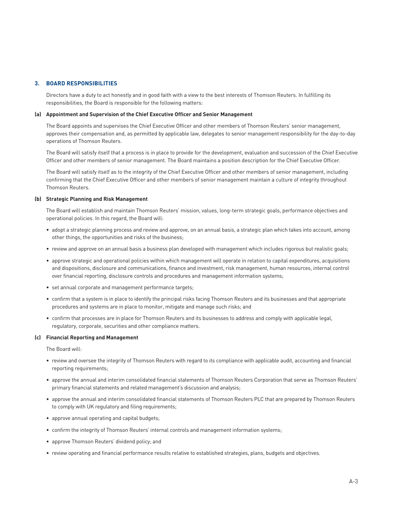#### **3. BOARD RESPONSIBILITIES**

Directors have a duty to act honestly and in good faith with a view to the best interests of Thomson Reuters. In fulfilling its responsibilities, the Board is responsible for the following matters:

#### **(a) Appointment and Supervision of the Chief Executive Officer and Senior Management**

The Board appoints and supervises the Chief Executive Officer and other members of Thomson Reuters' senior management, approves their compensation and, as permitted by applicable law, delegates to senior management responsibility for the day-to-day operations of Thomson Reuters.

The Board will satisfy itself that a process is in place to provide for the development, evaluation and succession of the Chief Executive Officer and other members of senior management. The Board maintains a position description for the Chief Executive Officer.

The Board will satisfy itself as to the integrity of the Chief Executive Officer and other members of senior management, including confirming that the Chief Executive Officer and other members of senior management maintain a culture of integrity throughout Thomson Reuters.

#### **(b) Strategic Planning and Risk Management**

The Board will establish and maintain Thomson Reuters' mission, values, long-term strategic goals, performance objectives and operational policies. In this regard, the Board will:

- adopt a strategic planning process and review and approve, on an annual basis, a strategic plan which takes into account, among other things, the opportunities and risks of the business;
- review and approve on an annual basis a business plan developed with management which includes rigorous but realistic goals;
- approve strategic and operational policies within which management will operate in relation to capital expenditures, acquisitions and dispositions, disclosure and communications, finance and investment, risk management, human resources, internal control over financial reporting, disclosure controls and procedures and management information systems;
- set annual corporate and management performance targets;
- confirm that a system is in place to identify the principal risks facing Thomson Reuters and its businesses and that appropriate procedures and systems are in place to monitor, mitigate and manage such risks; and
- confirm that processes are in place for Thomson Reuters and its businesses to address and comply with applicable legal, regulatory, corporate, securities and other compliance matters.

#### **(c) Financial Reporting and Management**

The Board will:

- review and oversee the integrity of Thomson Reuters with regard to its compliance with applicable audit, accounting and financial reporting requirements;
- approve the annual and interim consolidated financial statements of Thomson Reuters Corporation that serve as Thomson Reuters' primary financial statements and related management's discussion and analysis;
- approve the annual and interim consolidated financial statements of Thomson Reuters PLC that are prepared by Thomson Reuters to comply with UK regulatory and filing requirements;
- approve annual operating and capital budgets;
- confirm the integrity of Thomson Reuters' internal controls and management information systems;
- approve Thomson Reuters' dividend policy; and
- review operating and financial performance results relative to established strategies, plans, budgets and objectives.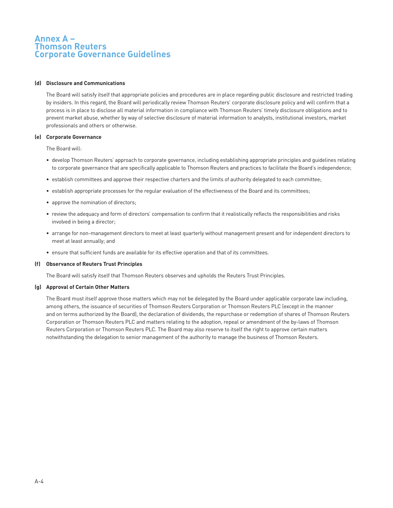## **Annex A – Thomson Reuters Corporate Governance Guidelines**

#### **(d) Disclosure and Communications**

The Board will satisfy itself that appropriate policies and procedures are in place regarding public disclosure and restricted trading by insiders. In this regard, the Board will periodically review Thomson Reuters' corporate disclosure policy and will confirm that a process is in place to disclose all material information in compliance with Thomson Reuters' timely disclosure obligations and to prevent market abuse, whether by way of selective disclosure of material information to analysts, institutional investors, market professionals and others or otherwise.

#### **(e) Corporate Governance**

The Board will:

- develop Thomson Reuters' approach to corporate governance, including establishing appropriate principles and guidelines relating to corporate governance that are specifically applicable to Thomson Reuters and practices to facilitate the Board's independence;
- establish committees and approve their respective charters and the limits of authority delegated to each committee;
- establish appropriate processes for the regular evaluation of the effectiveness of the Board and its committees;
- approve the nomination of directors;
- review the adequacy and form of directors' compensation to confirm that it realistically reflects the responsibilities and risks involved in being a director;
- arrange for non-management directors to meet at least quarterly without management present and for independent directors to meet at least annually; and
- ensure that sufficient funds are available for its effective operation and that of its committees.

#### **(f) Observance of Reuters Trust Principles**

The Board will satisfy itself that Thomson Reuters observes and upholds the Reuters Trust Principles.

#### **(g) Approval of Certain Other Matters**

The Board must itself approve those matters which may not be delegated by the Board under applicable corporate law including, among others, the issuance of securities of Thomson Reuters Corporation or Thomson Reuters PLC (except in the manner and on terms authorized by the Board), the declaration of dividends, the repurchase or redemption of shares of Thomson Reuters Corporation or Thomson Reuters PLC and matters relating to the adoption, repeal or amendment of the by-laws of Thomson Reuters Corporation or Thomson Reuters PLC. The Board may also reserve to itself the right to approve certain matters notwithstanding the delegation to senior management of the authority to manage the business of Thomson Reuters.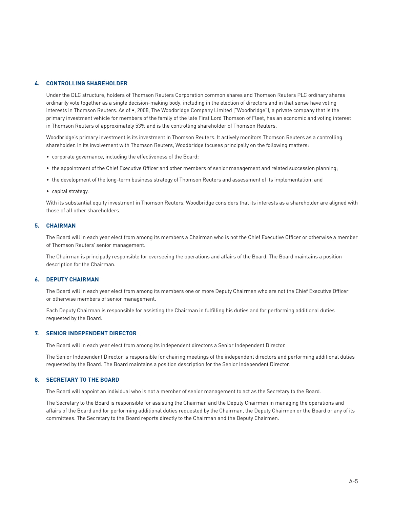### **4. CONTROLLING SHAREHOLDER**

Under the DLC structure, holders of Thomson Reuters Corporation common shares and Thomson Reuters PLC ordinary shares ordinarily vote together as a single decision-making body, including in the election of directors and in that sense have voting interests in Thomson Reuters. As of •, 2008, The Woodbridge Company Limited ("Woodbridge"), a private company that is the primary investment vehicle for members of the family of the late First Lord Thomson of Fleet, has an economic and voting interest in Thomson Reuters of approximately 53% and is the controlling shareholder of Thomson Reuters.

Woodbridge's primary investment is its investment in Thomson Reuters. It actively monitors Thomson Reuters as a controlling shareholder. In its involvement with Thomson Reuters, Woodbridge focuses principally on the following matters:

- corporate governance, including the effectiveness of the Board;
- the appointment of the Chief Executive Officer and other members of senior management and related succession planning;
- the development of the long-term business strategy of Thomson Reuters and assessment of its implementation; and
- capital strategy.

With its substantial equity investment in Thomson Reuters, Woodbridge considers that its interests as a shareholder are aligned with those of all other shareholders.

### **5. CHAIRMAN**

The Board will in each year elect from among its members a Chairman who is not the Chief Executive Officer or otherwise a member of Thomson Reuters' senior management.

The Chairman is principally responsible for overseeing the operations and affairs of the Board. The Board maintains a position description for the Chairman.

### **6. DEPUTY CHAIRMAN**

The Board will in each year elect from among its members one or more Deputy Chairmen who are not the Chief Executive Officer or otherwise members of senior management.

Each Deputy Chairman is responsible for assisting the Chairman in fulfilling his duties and for performing additional duties requested by the Board.

#### **7. SENIOR INDEPENDENT DIRECTOR**

The Board will in each year elect from among its independent directors a Senior Independent Director.

The Senior Independent Director is responsible for chairing meetings of the independent directors and performing additional duties requested by the Board. The Board maintains a position description for the Senior Independent Director.

### **8. SECRETARY TO THE BOARD**

The Board will appoint an individual who is not a member of senior management to act as the Secretary to the Board.

The Secretary to the Board is responsible for assisting the Chairman and the Deputy Chairmen in managing the operations and affairs of the Board and for performing additional duties requested by the Chairman, the Deputy Chairmen or the Board or any of its committees. The Secretary to the Board reports directly to the Chairman and the Deputy Chairmen.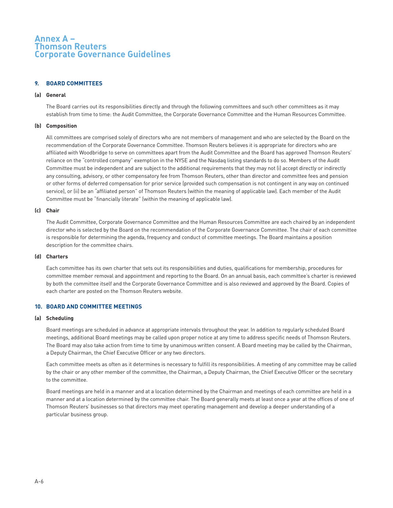## **Annex A – Thomson Reuters Corporate Governance Guidelines**

### **9. BOARD COMMITTEES**

#### **(a) General**

The Board carries out its responsibilities directly and through the following committees and such other committees as it may establish from time to time: the Audit Committee, the Corporate Governance Committee and the Human Resources Committee.

### **(b) Composition**

All committees are comprised solely of directors who are not members of management and who are selected by the Board on the recommendation of the Corporate Governance Committee. Thomson Reuters believes it is appropriate for directors who are affiliated with Woodbridge to serve on committees apart from the Audit Committee and the Board has approved Thomson Reuters' reliance on the "controlled company" exemption in the NYSE and the Nasdaq listing standards to do so. Members of the Audit Committee must be independent and are subject to the additional requirements that they may not (i) accept directly or indirectly any consulting, advisory, or other compensatory fee from Thomson Reuters, other than director and committee fees and pension or other forms of deferred compensation for prior service (provided such compensation is not contingent in any way on continued service), or (ii) be an "affiliated person" of Thomson Reuters (within the meaning of applicable law). Each member of the Audit Committee must be "financially literate" (within the meaning of applicable law).

#### **(c) Chair**

The Audit Committee, Corporate Governance Committee and the Human Resources Committee are each chaired by an independent director who is selected by the Board on the recommendation of the Corporate Governance Committee. The chair of each committee is responsible for determining the agenda, frequency and conduct of committee meetings. The Board maintains a position description for the committee chairs.

#### **(d) Charters**

Each committee has its own charter that sets out its responsibilities and duties, qualifications for membership, procedures for committee member removal and appointment and reporting to the Board. On an annual basis, each committee's charter is reviewed by both the committee itself and the Corporate Governance Committee and is also reviewed and approved by the Board. Copies of each charter are posted on the Thomson Reuters website.

### **10. BOARD AND COMMITTEE MEETINGS**

#### **(a) Scheduling**

Board meetings are scheduled in advance at appropriate intervals throughout the year. In addition to regularly scheduled Board meetings, additional Board meetings may be called upon proper notice at any time to address specific needs of Thomson Reuters. The Board may also take action from time to time by unanimous written consent. A Board meeting may be called by the Chairman, a Deputy Chairman, the Chief Executive Officer or any two directors.

Each committee meets as often as it determines is necessary to fulfill its responsibilities. A meeting of any committee may be called by the chair or any other member of the committee, the Chairman, a Deputy Chairman, the Chief Executive Officer or the secretary to the committee.

Board meetings are held in a manner and at a location determined by the Chairman and meetings of each committee are held in a manner and at a location determined by the committee chair. The Board generally meets at least once a year at the offices of one of Thomson Reuters' businesses so that directors may meet operating management and develop a deeper understanding of a particular business group.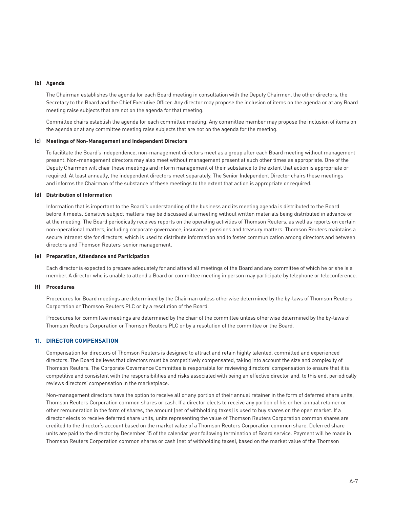#### **(b) Agenda**

The Chairman establishes the agenda for each Board meeting in consultation with the Deputy Chairmen, the other directors, the Secretary to the Board and the Chief Executive Officer. Any director may propose the inclusion of items on the agenda or at any Board meeting raise subjects that are not on the agenda for that meeting.

Committee chairs establish the agenda for each committee meeting. Any committee member may propose the inclusion of items on the agenda or at any committee meeting raise subjects that are not on the agenda for the meeting.

#### **(c) Meetings of Non-Management and Independent Directors**

To facilitate the Board's independence, non-management directors meet as a group after each Board meeting without management present. Non-management directors may also meet without management present at such other times as appropriate. One of the Deputy Chairmen will chair these meetings and inform management of their substance to the extent that action is appropriate or required. At least annually, the independent directors meet separately. The Senior Independent Director chairs these meetings and informs the Chairman of the substance of these meetings to the extent that action is appropriate or required.

#### **(d) Distribution of Information**

Information that is important to the Board's understanding of the business and its meeting agenda is distributed to the Board before it meets. Sensitive subject matters may be discussed at a meeting without written materials being distributed in advance or at the meeting. The Board periodically receives reports on the operating activities of Thomson Reuters, as well as reports on certain non-operational matters, including corporate governance, insurance, pensions and treasury matters. Thomson Reuters maintains a secure intranet site for directors, which is used to distribute information and to foster communication among directors and between directors and Thomson Reuters' senior management.

#### **(e) Preparation, Attendance and Participation**

Each director is expected to prepare adequately for and attend all meetings of the Board and any committee of which he or she is a member. A director who is unable to attend a Board or committee meeting in person may participate by telephone or teleconference.

#### **(f) Procedures**

Procedures for Board meetings are determined by the Chairman unless otherwise determined by the by-laws of Thomson Reuters Corporation or Thomson Reuters PLC or by a resolution of the Board.

Procedures for committee meetings are determined by the chair of the committee unless otherwise determined by the by-laws of Thomson Reuters Corporation or Thomson Reuters PLC or by a resolution of the committee or the Board.

## **11. DIRECTOR COMPENSATION**

Compensation for directors of Thomson Reuters is designed to attract and retain highly talented, committed and experienced directors. The Board believes that directors must be competitively compensated, taking into account the size and complexity of Thomson Reuters. The Corporate Governance Committee is responsible for reviewing directors' compensation to ensure that it is competitive and consistent with the responsibilities and risks associated with being an effective director and, to this end, periodically reviews directors' compensation in the marketplace.

Non-management directors have the option to receive all or any portion of their annual retainer in the form of deferred share units, Thomson Reuters Corporation common shares or cash. If a director elects to receive any portion of his or her annual retainer or other remuneration in the form of shares, the amount (net of withholding taxes) is used to buy shares on the open market. If a director elects to receive deferred share units, units representing the value of Thomson Reuters Corporation common shares are credited to the director's account based on the market value of a Thomson Reuters Corporation common share. Deferred share units are paid to the director by December 15 of the calendar year following termination of Board service. Payment will be made in Thomson Reuters Corporation common shares or cash (net of withholding taxes), based on the market value of the Thomson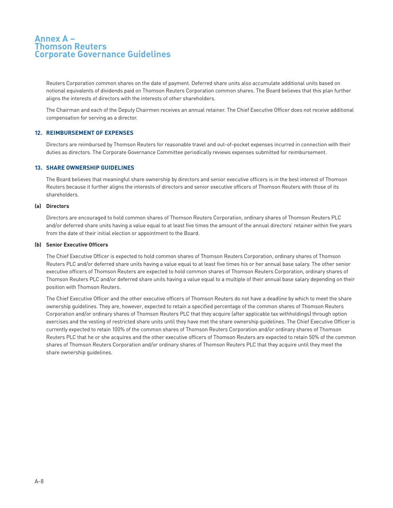## **Annex A – Thomson Reuters Corporate Governance Guidelines**

Reuters Corporation common shares on the date of payment. Deferred share units also accumulate additional units based on notional equivalents of dividends paid on Thomson Reuters Corporation common shares. The Board believes that this plan further aligns the interests of directors with the interests of other shareholders.

The Chairman and each of the Deputy Chairmen receives an annual retainer. The Chief Executive Officer does not receive additional compensation for serving as a director.

## **12. REIMBURSEMENT OF EXPENSES**

Directors are reimbursed by Thomson Reuters for reasonable travel and out-of-pocket expenses incurred in connection with their duties as directors. The Corporate Governance Committee periodically reviews expenses submitted for reimbursement.

### **13. SHARE OWNERSHIP GUIDELINES**

The Board believes that meaningful share ownership by directors and senior executive officers is in the best interest of Thomson Reuters because it further aligns the interests of directors and senior executive officers of Thomson Reuters with those of its shareholders.

#### **(a) Directors**

Directors are encouraged to hold common shares of Thomson Reuters Corporation, ordinary shares of Thomson Reuters PLC and/or deferred share units having a value equal to at least five times the amount of the annual directors' retainer within five years from the date of their initial election or appointment to the Board.

#### **(b) Senior Executive Officers**

The Chief Executive Officer is expected to hold common shares of Thomson Reuters Corporation, ordinary shares of Thomson Reuters PLC and/or deferred share units having a value equal to at least five times his or her annual base salary. The other senior executive officers of Thomson Reuters are expected to hold common shares of Thomson Reuters Corporation, ordinary shares of Thomson Reuters PLC and/or deferred share units having a value equal to a multiple of their annual base salary depending on their position with Thomson Reuters.

The Chief Executive Officer and the other executive officers of Thomson Reuters do not have a deadline by which to meet the share ownership guidelines. They are, however, expected to retain a specified percentage of the common shares of Thomson Reuters Corporation and/or ordinary shares of Thomson Reuters PLC that they acquire (after applicable tax withholdings) through option exercises and the vesting of restricted share units until they have met the share ownership guidelines. The Chief Executive Officer is currently expected to retain 100% of the common shares of Thomson Reuters Corporation and/or ordinary shares of Thomson Reuters PLC that he or she acquires and the other executive officers of Thomson Reuters are expected to retain 50% of the common shares of Thomson Reuters Corporation and/or ordinary shares of Thomson Reuters PLC that they acquire until they meet the share ownership guidelines.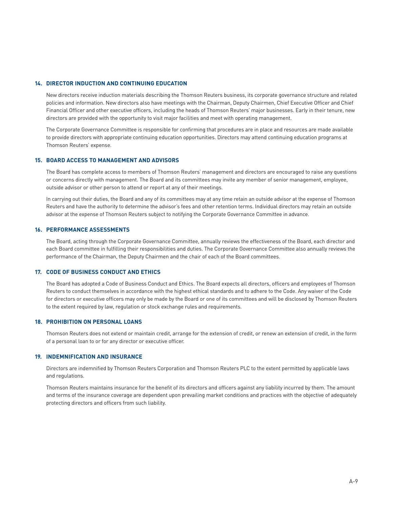#### **14. DIRECTOR INDUCTION AND CONTINUING EDUCATION**

New directors receive induction materials describing the Thomson Reuters business, its corporate governance structure and related policies and information. New directors also have meetings with the Chairman, Deputy Chairmen, Chief Executive Officer and Chief Financial Officer and other executive officers, including the heads of Thomson Reuters' major businesses. Early in their tenure, new directors are provided with the opportunity to visit major facilities and meet with operating management.

The Corporate Governance Committee is responsible for confirming that procedures are in place and resources are made available to provide directors with appropriate continuing education opportunities. Directors may attend continuing education programs at Thomson Reuters' expense.

#### **15. BOARD ACCESS TO MANAGEMENT AND ADVISORS**

The Board has complete access to members of Thomson Reuters' management and directors are encouraged to raise any questions or concerns directly with management. The Board and its committees may invite any member of senior management, employee, outside advisor or other person to attend or report at any of their meetings.

In carrying out their duties, the Board and any of its committees may at any time retain an outside advisor at the expense of Thomson Reuters and have the authority to determine the advisor's fees and other retention terms. Individual directors may retain an outside advisor at the expense of Thomson Reuters subject to notifying the Corporate Governance Committee in advance.

### **16. PERFORMANCE ASSESSMENTS**

The Board, acting through the Corporate Governance Committee, annually reviews the effectiveness of the Board, each director and each Board committee in fulfilling their responsibilities and duties. The Corporate Governance Committee also annually reviews the performance of the Chairman, the Deputy Chairmen and the chair of each of the Board committees.

## **17. CODE OF BUSINESS CONDUCT AND ETHICS**

The Board has adopted a Code of Business Conduct and Ethics. The Board expects all directors, officers and employees of Thomson Reuters to conduct themselves in accordance with the highest ethical standards and to adhere to the Code. Any waiver of the Code for directors or executive officers may only be made by the Board or one of its committees and will be disclosed by Thomson Reuters to the extent required by law, regulation or stock exchange rules and requirements.

#### **18. PROHIBITION ON PERSONAL LOANS**

Thomson Reuters does not extend or maintain credit, arrange for the extension of credit, or renew an extension of credit, in the form of a personal loan to or for any director or executive officer.

### **19. INDEMNIFICATION AND INSURANCE**

Directors are indemnified by Thomson Reuters Corporation and Thomson Reuters PLC to the extent permitted by applicable laws and regulations.

Thomson Reuters maintains insurance for the benefit of its directors and officers against any liability incurred by them. The amount and terms of the insurance coverage are dependent upon prevailing market conditions and practices with the objective of adequately protecting directors and officers from such liability.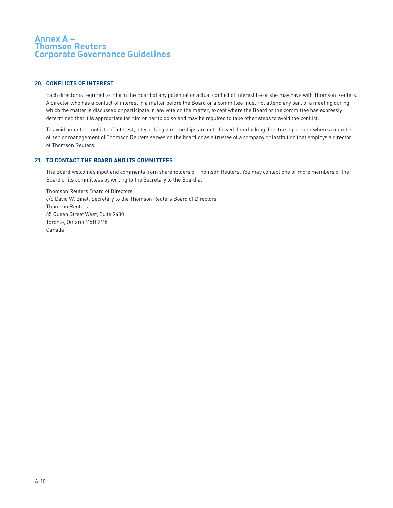## **Annex A – Thomson Reuters Corporate Governance Guidelines**

## **20. CONFLICTS OF INTEREST**

Each director is required to inform the Board of any potential or actual conflict of interest he or she may have with Thomson Reuters. A director who has a conflict of interest in a matter before the Board or a committee must not attend any part of a meeting during which the matter is discussed or participate in any vote on the matter, except where the Board or the committee has expressly determined that it is appropriate for him or her to do so and may be required to take other steps to avoid the conflict.

To avoid potential conflicts of interest, interlocking directorships are not allowed. Interlocking directorships occur where a member of senior management of Thomson Reuters serves on the board or as a trustee of a company or institution that employs a director of Thomson Reuters.

## **21. TO CONTACT THE BOARD AND ITS COMMITTEES**

The Board welcomes input and comments from shareholders of Thomson Reuters. You may contact one or more members of the Board or its committees by writing to the Secretary to the Board at:

Thomson Reuters Board of Directors c/o David W. Binet, Secretary to the Thomson Reuters Board of Directors Thomson Reuters 65 Queen Street West, Suite 2400 Toronto, Ontario M5H 2M8 Canada